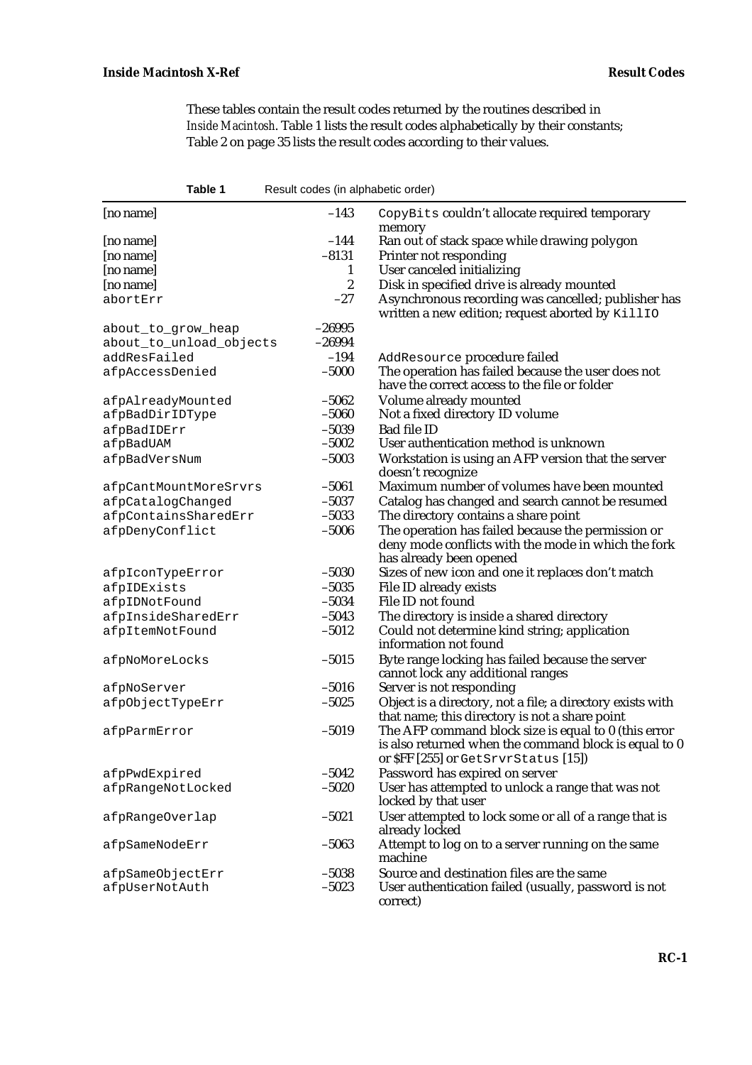These tables contain the result codes returned by the routines described in *Inside Macintosh*. Table 1 lists the result codes alphabetically by their constants; Table 2 on page 35 lists the result codes according to their values.

| Table 1                                       | Result codes (in alphabetic order) |                                                                                                                                                      |
|-----------------------------------------------|------------------------------------|------------------------------------------------------------------------------------------------------------------------------------------------------|
| [no name]                                     | $-143$                             | CopyBits couldn't allocate required temporary                                                                                                        |
| [no name]                                     | $-144$                             | memory<br>Ran out of stack space while drawing polygon                                                                                               |
| [no name]                                     | $-8131$                            | Printer not responding                                                                                                                               |
| [no name]                                     | 1                                  | User canceled initializing                                                                                                                           |
| [no name]                                     | $\boldsymbol{2}$                   | Disk in specified drive is already mounted                                                                                                           |
| abortErr                                      | $-27$                              | Asynchronous recording was cancelled; publisher has<br>written a new edition; request aborted by KillIO                                              |
| about_to_grow_heap<br>about_to_unload_objects | $-26995$<br>$-26994$               |                                                                                                                                                      |
| addResFailed                                  | $-194$                             | AddResource procedure failed                                                                                                                         |
| afpAccessDenied                               | $-5000$                            | The operation has failed because the user does not<br>have the correct access to the file or folder                                                  |
| afpAlreadyMounted                             | $-5062$                            | Volume already mounted                                                                                                                               |
| afpBadDirIDType                               | $-5060$                            | Not a fixed directory ID volume                                                                                                                      |
| afpBadIDErr                                   | $-5039$                            | <b>Bad file ID</b>                                                                                                                                   |
| afpBadUAM                                     | $-5002$                            | User authentication method is unknown                                                                                                                |
| afpBadVersNum                                 | $-5003$                            | Workstation is using an AFP version that the server<br>doesn't recognize                                                                             |
| afpCantMountMoreSrvrs                         | $-5061$                            | Maximum number of volumes have been mounted                                                                                                          |
| afpCatalogChanged                             | $-5037$                            | Catalog has changed and search cannot be resumed                                                                                                     |
| afpContainsSharedErr                          | $-5033$                            | The directory contains a share point                                                                                                                 |
| afpDenyConflict                               | $-5006$                            | The operation has failed because the permission or<br>deny mode conflicts with the mode in which the fork<br>has already been opened                 |
| afpIconTypeError                              | $-5030$                            | Sizes of new icon and one it replaces don't match                                                                                                    |
| afpIDExists                                   | $-5035$                            | File ID already exists                                                                                                                               |
| afpIDNotFound                                 | $-5034$                            | File ID not found                                                                                                                                    |
| afpInsideSharedErr                            | $-5043$                            | The directory is inside a shared directory                                                                                                           |
| afpItemNotFound                               | $-5012$                            | Could not determine kind string; application<br>information not found                                                                                |
| afpNoMoreLocks                                | $-5015$                            | Byte range locking has failed because the server<br>cannot lock any additional ranges                                                                |
| afpNoServer                                   | $-5016$                            | Server is not responding                                                                                                                             |
| afpObjectTypeErr                              | $-5025$                            | Object is a directory, not a file; a directory exists with<br>that name; this directory is not a share point                                         |
| afpParmError                                  | $-5019$                            | The AFP command block size is equal to 0 (this error<br>is also returned when the command block is equal to 0<br>or SFF [255] or GetSrvrStatus [15]) |
| afpPwdExpired                                 | $-5042$                            | Password has expired on server                                                                                                                       |
| afpRangeNotLocked                             | $-5020$                            | User has attempted to unlock a range that was not<br>locked by that user                                                                             |
| afpRangeOverlap                               | $-5021$                            | User attempted to lock some or all of a range that is<br>already locked                                                                              |
| afpSameNodeErr                                | $-5063$                            | Attempt to log on to a server running on the same<br>machine                                                                                         |
| afpSameObjectErr                              | $-5038$                            | Source and destination files are the same                                                                                                            |
| afpUserNotAuth                                | $-5023$                            | User authentication failed (usually, password is not<br>correct)                                                                                     |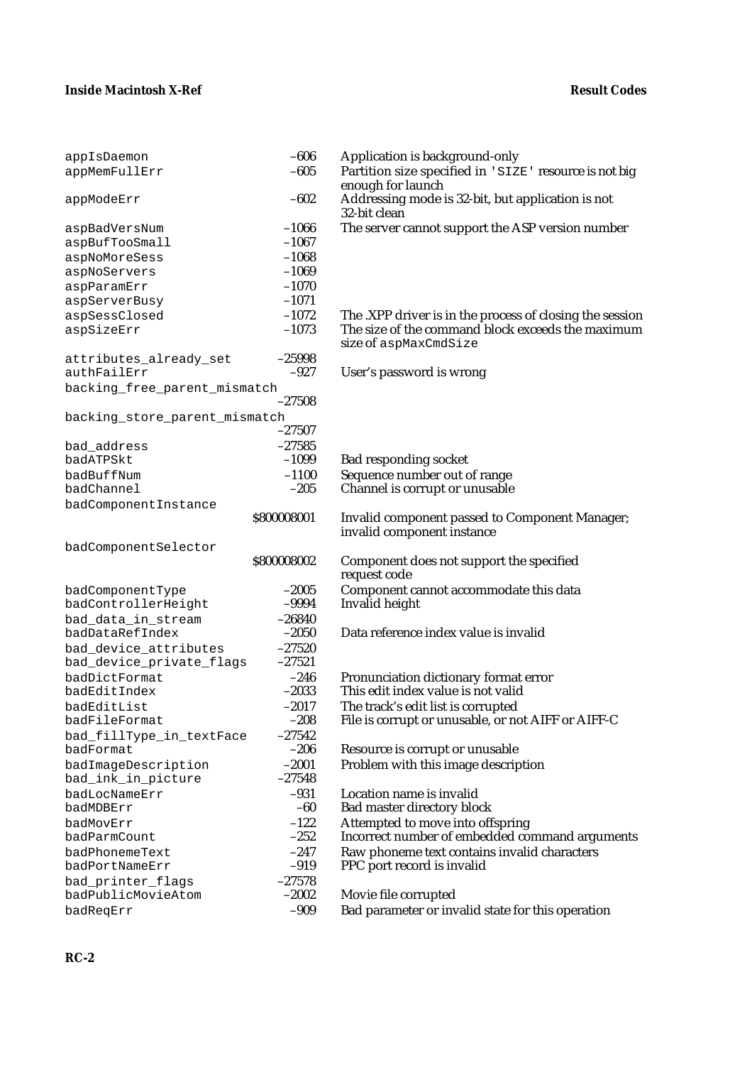| appIsDaemon                   | $-606$              | Application is background-only                           |
|-------------------------------|---------------------|----------------------------------------------------------|
| appMemFullErr                 | $-605$              | Partition size specified in 'SIZE' resource is not big   |
|                               |                     | enough for launch                                        |
| appModeErr                    | $-602$              | Addressing mode is 32-bit, but application is not        |
|                               |                     | 32-bit clean                                             |
| aspBadVersNum                 | $-1066$             | The server cannot support the ASP version number         |
| aspBufTooSmall                | $-1067$             |                                                          |
| aspNoMoreSess                 | $-1068$             |                                                          |
| aspNoServers                  | $-1069$             |                                                          |
| aspParamErr                   | $-1070$             |                                                          |
| aspServerBusy                 | $-1071$             |                                                          |
| aspSessClosed                 | $-1072$             | The .XPP driver is in the process of closing the session |
| aspSizeErr                    | $-1073$             | The size of the command block exceeds the maximum        |
|                               |                     | size of aspMaxCmdSize                                    |
| attributes_already_set        | $-25998$            |                                                          |
| authFailErr                   | $-927$              | User's password is wrong                                 |
| backing_free_parent_mismatch  |                     |                                                          |
|                               | $-27508$            |                                                          |
| backing_store_parent_mismatch |                     |                                                          |
|                               | $-27507$            |                                                          |
| bad_address                   | $-27585$            |                                                          |
| badATPSkt                     | $-1099$             | <b>Bad responding socket</b>                             |
| badBuffNum                    | $-1100$             | Sequence number out of range                             |
| badChannel                    | $-205$              | Channel is corrupt or unusable                           |
| badComponentInstance          |                     |                                                          |
|                               | \$800008001         | <b>Invalid component passed to Component Manager;</b>    |
|                               |                     | invalid component instance                               |
| badComponentSelector          |                     |                                                          |
|                               | \$800008002         | Component does not support the specified                 |
|                               |                     | request code                                             |
| badComponentType              | $-2005$             | Component cannot accommodate this data                   |
| badControllerHeight           | $-9994$             | Invalid height                                           |
| bad_data_in_stream            | $-26840$            |                                                          |
| badDataRefIndex               | $-2050$             | Data reference index value is invalid                    |
| bad_device_attributes         | $-27520$            |                                                          |
| bad_device_private_flags      | $-27521$            |                                                          |
| badDictFormat                 | $-246$              | Pronunciation dictionary format error                    |
| badEditIndex                  | $-2033$             | This edit index value is not valid                       |
| badEditList                   | $-2017$             | The track's edit list is corrupted                       |
| badFileFormat                 | -208                | File is corrupt or unusable, or not AIFF or AIFF-C       |
| bad_fillType_in_textFace      | $-27542$            |                                                          |
| badFormat                     | $-206$              | Resource is corrupt or unusable                          |
| badImageDescription           | $-2001$             | Problem with this image description                      |
| bad_ink_in_picture            | $-27548$            |                                                          |
| badLocNameErr                 | $-931$              | Location name is invalid                                 |
| badMDBErr                     | $-60$               | <b>Bad master directory block</b>                        |
| badMovErr                     | $-122$<br>$-252$    | Attempted to move into offspring                         |
| badParmCount                  |                     | Incorrect number of embedded command arguments           |
| badPhonemeText                | $-247$<br>$-919$    | Raw phoneme text contains invalid characters             |
| badPortNameErr                |                     | PPC port record is invalid                               |
| bad_printer_flags             | $-27578$<br>$-2002$ |                                                          |
| badPublicMovieAtom            |                     | Movie file corrupted                                     |
| badReqErr                     | $-909$              | Bad parameter or invalid state for this operation        |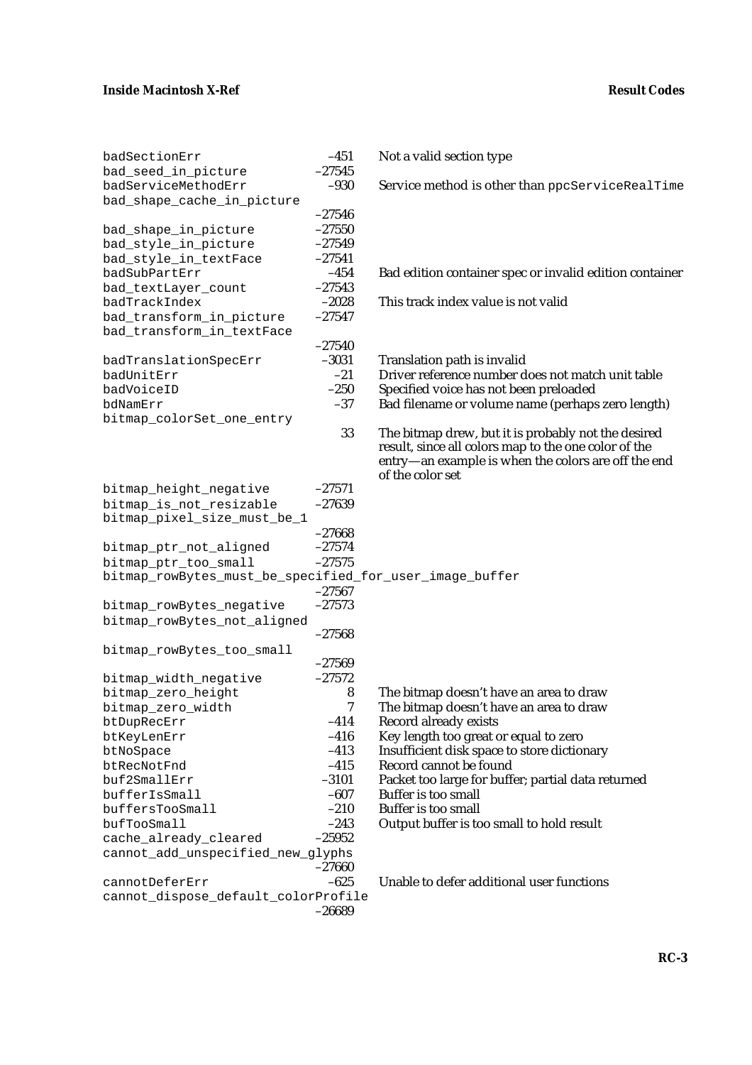| badSectionErr                                           | $-451$    | Not a valid section type                                                |
|---------------------------------------------------------|-----------|-------------------------------------------------------------------------|
| bad_seed_in_picture                                     | $-27545$  |                                                                         |
| badServiceMethodErr                                     | $-930$    | Service method is other than ppcServiceRealTime                         |
| bad_shape_cache_in_picture                              |           |                                                                         |
|                                                         | $-27546$  |                                                                         |
| bad_shape_in_picture                                    | $-27550$  |                                                                         |
| bad_style_in_picture                                    | $-27549$  |                                                                         |
| bad_style_in_textFace                                   | $-27541$  |                                                                         |
| badSubPartErr                                           | $-454$    | Bad edition container spec or invalid edition container                 |
| bad_textLayer_count                                     | $-27543$  |                                                                         |
| badTrackIndex                                           | $-2028$   | This track index value is not valid                                     |
| bad_transform_in_picture                                | $-27547$  |                                                                         |
| bad_transform_in_textFace                               |           |                                                                         |
|                                                         | $-27540$  |                                                                         |
| badTranslationSpecErr                                   | $-3031$   | Translation path is invalid                                             |
| badUnitErr                                              | $-21$     | Driver reference number does not match unit table                       |
| badVoiceID                                              | $-250$    | Specified voice has not been preloaded                                  |
| bdNamErr                                                | $-37$     | Bad filename or volume name (perhaps zero length)                       |
| bitmap_colorSet_one_entry                               |           |                                                                         |
|                                                         |           |                                                                         |
|                                                         | 33        | The bitmap drew, but it is probably not the desired                     |
|                                                         |           | result, since all colors map to the one color of the                    |
|                                                         |           | entry—an example is when the colors are off the end<br>of the color set |
| bitmap_height_negative                                  | $-27571$  |                                                                         |
| bitmap_is_not_resizable                                 | $-27639$  |                                                                         |
| bitmap_pixel_size_must_be_1                             |           |                                                                         |
|                                                         | $-27668$  |                                                                         |
|                                                         | $-27574$  |                                                                         |
| bitmap_ptr_not_aligned                                  | $-27575$  |                                                                         |
| bitmap_ptr_too_small                                    |           |                                                                         |
| bitmap_rowBytes_must_be_specified_for_user_image_buffer |           |                                                                         |
|                                                         | $-27567$  |                                                                         |
| bitmap_rowBytes_negative                                | $-27573$  |                                                                         |
| bitmap_rowBytes_not_aligned                             |           |                                                                         |
|                                                         | $-27568$  |                                                                         |
| bitmap_rowBytes_too_small                               |           |                                                                         |
|                                                         | $-27569$  |                                                                         |
| bitmap_width_negative                                   | $-27572$  |                                                                         |
| bitmap_zero_height                                      | ${\bf 8}$ | The bitmap doesn't have an area to draw                                 |
| bitmap_zero_width                                       | 7         | The bitmap doesn't have an area to draw                                 |
| btDupRecErr                                             | $-414$    | <b>Record already exists</b>                                            |
| btKeyLenErr                                             | $-416$    | Key length too great or equal to zero                                   |
| btNoSpace                                               | $-413$    | Insufficient disk space to store dictionary                             |
| btRecNotFnd                                             | $-415$    | Record cannot be found                                                  |
| buf2SmallErr                                            | $-3101$   | Packet too large for buffer; partial data returned                      |
| bufferIsSmall                                           | $-607$    | <b>Buffer is too small</b>                                              |
| buffersTooSmall                                         | $-210$    | <b>Buffer is too small</b>                                              |
| bufTooSmall                                             | $-243$    | Output buffer is too small to hold result                               |
| cache_already_cleared                                   | $-25952$  |                                                                         |
| cannot_add_unspecified_new_glyphs                       |           |                                                                         |
|                                                         | $-27660$  |                                                                         |
| cannotDeferErr                                          | $-625$    | Unable to defer additional user functions                               |
| cannot_dispose_default_colorProfile                     |           |                                                                         |
|                                                         | $-26689$  |                                                                         |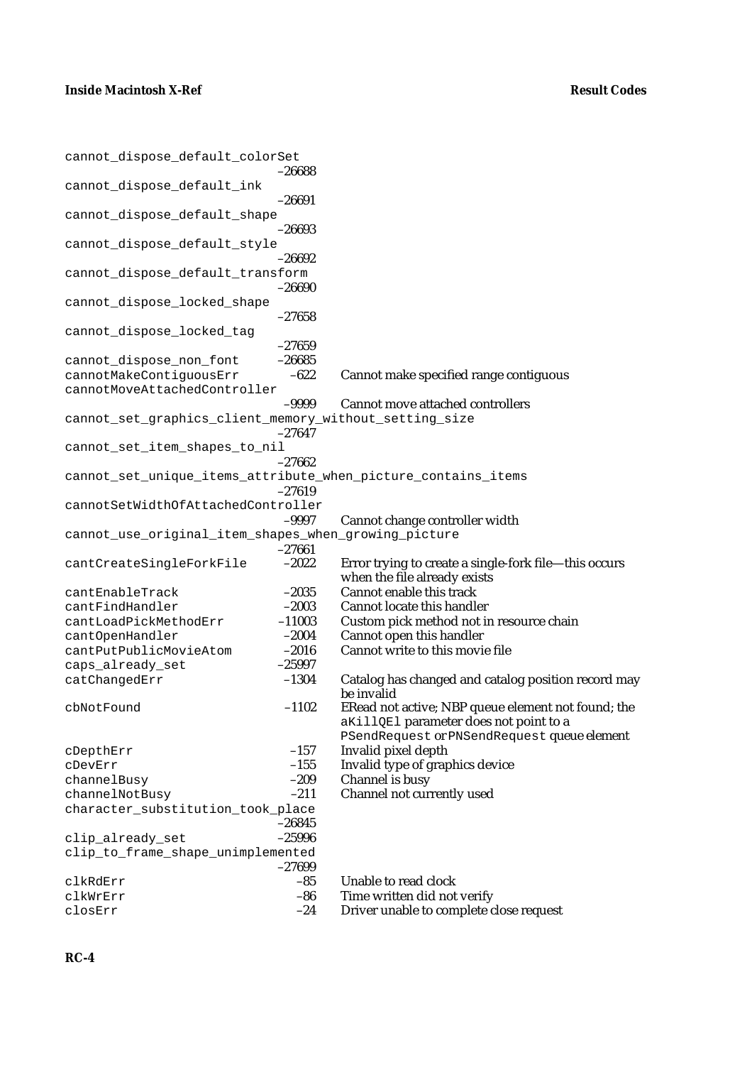| cannot_dispose_default_colorSet                         |                     |                                                                   |
|---------------------------------------------------------|---------------------|-------------------------------------------------------------------|
| cannot_dispose_default_ink                              | $-26688$            |                                                                   |
|                                                         | $-26691$            |                                                                   |
| cannot_dispose_default_shape                            |                     |                                                                   |
|                                                         | $-26693$            |                                                                   |
| cannot_dispose_default_style                            |                     |                                                                   |
|                                                         | $-26692$            |                                                                   |
| cannot_dispose_default_transform                        |                     |                                                                   |
|                                                         | $-26690$            |                                                                   |
| cannot_dispose_locked_shape                             |                     |                                                                   |
|                                                         | $-27658$            |                                                                   |
| cannot_dispose_locked_tag                               |                     |                                                                   |
|                                                         | $-27659$            |                                                                   |
| cannot_dispose_non_font                                 | $-26685$            |                                                                   |
| cannotMakeContiguousErr<br>cannotMoveAttachedController | $-622$              | Cannot make specified range contiguous                            |
|                                                         | $-9999$             | <b>Cannot move attached controllers</b>                           |
| cannot_set_graphics_client_memory_without_setting_size  |                     |                                                                   |
|                                                         | $-27647$            |                                                                   |
| cannot_set_item_shapes_to_nil                           |                     |                                                                   |
|                                                         | $-27662$            |                                                                   |
|                                                         |                     | cannot_set_unique_items_attribute_when_picture_contains_items     |
|                                                         | $-27619$            |                                                                   |
| cannotSetWidthOfAttachedController                      |                     |                                                                   |
|                                                         | $-9997$             | Cannot change controller width                                    |
| cannot_use_original_item_shapes_when_growing_picture    |                     |                                                                   |
| cantCreateSingleForkFile                                | $-27661$<br>$-2022$ | Error trying to create a single-fork file—this occurs             |
|                                                         |                     | when the file already exists                                      |
| cantEnableTrack                                         | $-2035$             | Cannot enable this track                                          |
| cantFindHandler                                         | $-2003$             | Cannot locate this handler                                        |
| cantLoadPickMethodErr                                   | $-11003$            | Custom pick method not in resource chain                          |
| cantOpenHandler                                         | $-2004$             | Cannot open this handler                                          |
| cantPutPublicMovieAtom                                  | $-2016$             | Cannot write to this movie file                                   |
| caps_already_set                                        | $-25997$            |                                                                   |
| catChangedErr                                           | $-1304$             | Catalog has changed and catalog position record may<br>be invalid |
| cbNotFound                                              | $-1102$             | ERead not active; NBP queue element not found; the                |
|                                                         |                     | aKillQEl parameter does not point to a                            |
|                                                         |                     | PSendRequest or PNSendRequest queue element                       |
| cDepthErr                                               | $-157$              | Invalid pixel depth                                               |
| cDevErr                                                 | $-155$              | Invalid type of graphics device                                   |
| channelBusy                                             | $-209$              | Channel is busy                                                   |
| channelNotBusy                                          | $-211$              | Channel not currently used                                        |
| character_substitution_took_place                       |                     |                                                                   |
|                                                         | $-26845$            |                                                                   |
| clip_already_set                                        | $-25996$            |                                                                   |
| clip_to_frame_shape_unimplemented                       | $-27699$            |                                                                   |
| clkRdErr                                                | $-85$               | Unable to read clock                                              |
| clkWrErr                                                | $-86$               | Time written did not verify                                       |
| closErr                                                 | $-24$               | Driver unable to complete close request                           |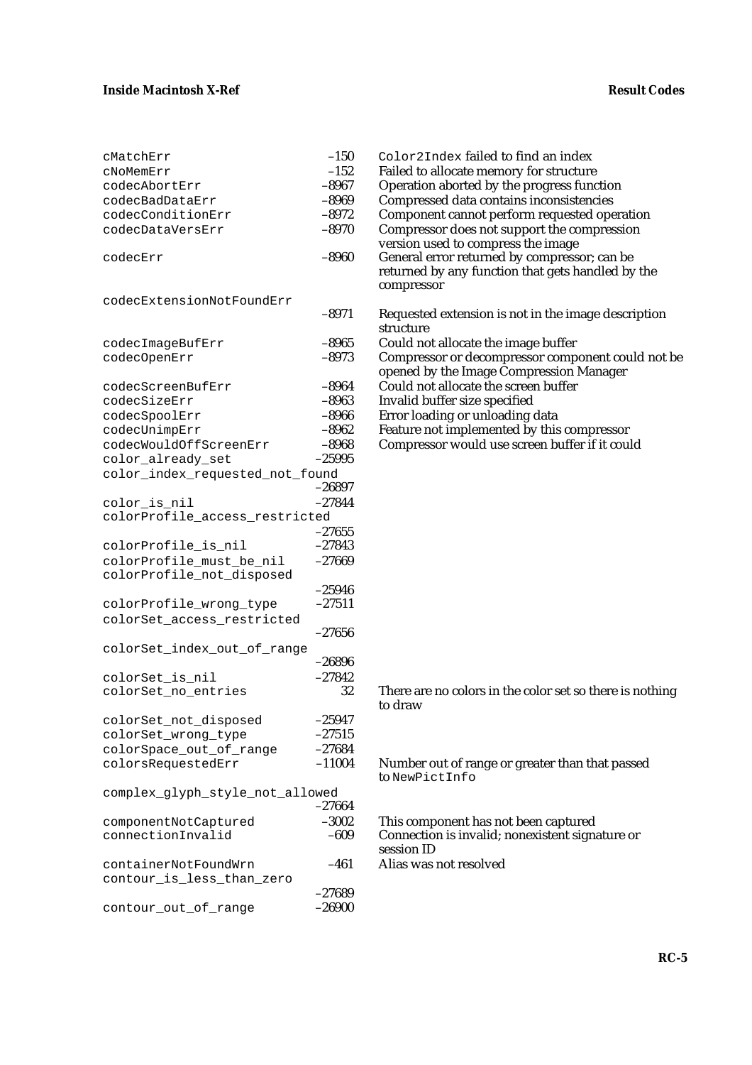| cMatchErr                                 | $-150$            | Color2Index failed to find an index                                                                   |
|-------------------------------------------|-------------------|-------------------------------------------------------------------------------------------------------|
| cNoMemErr                                 | $-152$            | Failed to allocate memory for structure                                                               |
| codecAbortErr                             | $-8967$           | Operation aborted by the progress function                                                            |
| codecBadDataErr                           | $-8969$           | Compressed data contains inconsistencies                                                              |
| codecConditionErr                         | $-8972$           | Component cannot perform requested oper                                                               |
| codecDataVersErr                          | $-8970$           | Compressor does not support the compress<br>version used to compress the image                        |
| codecErr                                  | $-8960$           | General error returned by compressor; can<br>returned by any function that gets handled<br>compressor |
| codecExtensionNotFoundErr                 |                   |                                                                                                       |
|                                           | $-8971$           | Requested extension is not in the image des<br>structure                                              |
| codecImageBufErr                          | $-8965$           | Could not allocate the image buffer                                                                   |
| codecOpenErr                              | $-8973$           | Compressor or decompressor component co<br>opened by the Image Compression Manage                     |
| codecScreenBufErr                         | $-8964$           | Could not allocate the screen buffer                                                                  |
| codecSizeErr                              | $-8963$           | Invalid buffer size specified                                                                         |
| codecSpoolErr                             | $-8966$           | Error loading or unloading data                                                                       |
| codecUnimpErr                             | $-8962$           | Feature not implemented by this compresso                                                             |
| codecWouldOffScreenErr                    | $-8968$           | Compressor would use screen buffer if it co                                                           |
| color_already_set                         | $-25995$          |                                                                                                       |
| color_index_requested_not_found           |                   |                                                                                                       |
|                                           | $-26897$          |                                                                                                       |
| color_is_nil                              | $-27844$          |                                                                                                       |
| colorProfile_access_restricted            |                   |                                                                                                       |
|                                           | $-27655$          |                                                                                                       |
| colorProfile_is_nil                       | $-27843$          |                                                                                                       |
| colorProfile_must_be_nil                  | $-27669$          |                                                                                                       |
| colorProfile_not_disposed                 | $-25946$          |                                                                                                       |
| colorProfile_wrong_type                   | $-27511$          |                                                                                                       |
| colorSet_access_restricted                |                   |                                                                                                       |
|                                           | $-27656$          |                                                                                                       |
| colorSet_index_out_of_range               | $-26896$          |                                                                                                       |
| colorSet_is_nil                           | $-27842$          |                                                                                                       |
| colorSet_no_entries                       | 32                | There are no colors in the color set so there<br>to draw                                              |
| colorSet_not_disposed                     | $-25947$          |                                                                                                       |
| colorSet_wrong_type                       | $-27515$          |                                                                                                       |
| colorSpace_out_of_range                   | $-27684$          |                                                                                                       |
| colorsRequestedErr                        | $-11004$          | Number out of range or greater than that pa<br>to NewPictInfo                                         |
| complex_glyph_style_not_allowed           |                   |                                                                                                       |
|                                           | $-27664$          |                                                                                                       |
| componentNotCaptured<br>connectionInvalid | $-3002$<br>$-609$ | This component has not been captured<br>Connection is invalid; nonexistent signature<br>session ID    |
| containerNotFoundWrn                      | $-461$            | Alias was not resolved                                                                                |
| contour_is_less_than_zero                 |                   |                                                                                                       |
|                                           | $-27689$          |                                                                                                       |
| contour_out_of_range                      | $-26900$          |                                                                                                       |
|                                           |                   |                                                                                                       |

|         | Color2Index failed to find an index                                                                             |
|---------|-----------------------------------------------------------------------------------------------------------------|
|         | Failed to allocate memory for structure                                                                         |
|         |                                                                                                                 |
|         | Operation aborted by the progress function                                                                      |
| $-8969$ | Compressed data contains inconsistencies                                                                        |
| $-8972$ | Component cannot perform requested operation                                                                    |
| $-8970$ | Compressor does not support the compression<br>version used to compress the image                               |
| -8960   | General error returned by compressor; can be<br>returned by any function that gets handled by the<br>compressor |
|         |                                                                                                                 |
| $-8971$ | Requested extension is not in the image description<br>structure                                                |
| $-8965$ | Could not allocate the image buffer                                                                             |
| $-8973$ | Compressor or decompressor component could not be<br>opened by the Image Compression Manager                    |
| $-8964$ | Could not allocate the screen buffer                                                                            |
| $-8963$ | Invalid buffer size specified                                                                                   |
| -8966   | Error loading or unloading data                                                                                 |
| $-8962$ | Feature not implemented by this compressor                                                                      |
|         | $-150$<br>$-152$<br>$-8967$                                                                                     |

Compressor would use screen buffer if it could

There are no colors in the color set so there is nothing to draw

Number out of range or greater than that passed to NewPictInfo

This component has not been captured Connection is invalid; nonexistent signature or session ID Alias was not resolved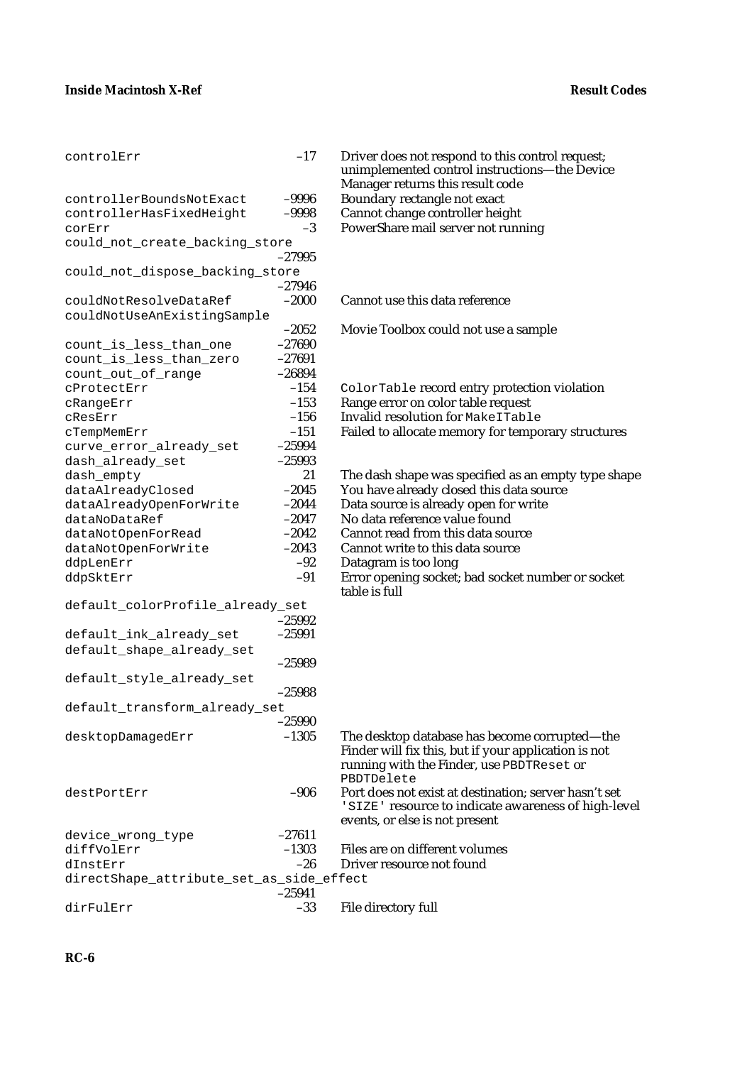| controlErr                                        | $-17$    | Driver does not respond to this control request;<br>unimplemented control instructions-the Device<br>Manager returns this result code |
|---------------------------------------------------|----------|---------------------------------------------------------------------------------------------------------------------------------------|
| controllerBoundsNotExact                          | $-9996$  | Boundary rectangle not exact                                                                                                          |
| controllerHasFixedHeight                          | $-9998$  | Cannot change controller height                                                                                                       |
| corErr                                            | $-3$     | PowerShare mail server not running                                                                                                    |
| could_not_create_backing_store                    |          |                                                                                                                                       |
|                                                   | $-27995$ |                                                                                                                                       |
| could_not_dispose_backing_store                   |          |                                                                                                                                       |
|                                                   | $-27946$ |                                                                                                                                       |
| couldNotResolveDataRef                            | $-2000$  | Cannot use this data reference                                                                                                        |
| couldNotUseAnExistingSample                       | $-2052$  | Movie Toolbox could not use a sample                                                                                                  |
|                                                   | $-27690$ |                                                                                                                                       |
| count_is_less_than_one<br>count_is_less_than_zero | $-27691$ |                                                                                                                                       |
|                                                   | $-26894$ |                                                                                                                                       |
| count_out_of_range<br>CProtectErr                 | $-154$   | ColorTable record entry protection violation                                                                                          |
|                                                   | $-153$   | Range error on color table request                                                                                                    |
| cRangeErr<br>cResErr                              | $-156$   | Invalid resolution for MakeITable                                                                                                     |
|                                                   | $-151$   | Failed to allocate memory for temporary structures                                                                                    |
| cTempMemErr<br>curve_error_already_set            | $-25994$ |                                                                                                                                       |
| dash_already_set                                  | $-25993$ |                                                                                                                                       |
| dash_empty                                        | 21       | The dash shape was specified as an empty type shape                                                                                   |
| dataAlreadyClosed                                 | $-2045$  | You have already closed this data source                                                                                              |
| dataAlreadyOpenForWrite                           | $-2044$  | Data source is already open for write                                                                                                 |
| dataNoDataRef                                     | $-2047$  | No data reference value found                                                                                                         |
| dataNotOpenForRead                                | $-2042$  | Cannot read from this data source                                                                                                     |
|                                                   | $-2043$  | Cannot write to this data source                                                                                                      |
| dataNotOpenForWrite<br>ddpLenErr                  | $-92$    | Datagram is too long                                                                                                                  |
| ddpSktErr                                         | $-91$    | Error opening socket; bad socket number or socket                                                                                     |
|                                                   |          | table is full                                                                                                                         |
| default_colorProfile_already_set                  |          |                                                                                                                                       |
|                                                   | $-25992$ |                                                                                                                                       |
| default_ink_already_set                           | $-25991$ |                                                                                                                                       |
| default_shape_already_set                         |          |                                                                                                                                       |
|                                                   | $-25989$ |                                                                                                                                       |
| default_style_already_set                         |          |                                                                                                                                       |
|                                                   | $-25988$ |                                                                                                                                       |
| default_transform_already_set                     |          |                                                                                                                                       |
|                                                   | $-25990$ |                                                                                                                                       |
| desktopDamagedErr                                 | $-1305$  | The desktop database has become corrupted—the                                                                                         |
|                                                   |          | Finder will fix this, but if your application is not<br>running with the Finder, use PBDTReset or<br>PBDTDelete                       |
| destPortErr                                       | $-906$   | Port does not exist at destination; server hasn't set                                                                                 |
|                                                   |          | 'SIZE' resource to indicate awareness of high-level                                                                                   |
|                                                   |          | events, or else is not present                                                                                                        |
| device_wrong_type                                 | $-27611$ |                                                                                                                                       |
| diffVolErr                                        | $-1303$  | Files are on different volumes                                                                                                        |
| dInstErr                                          | $-26$    | Driver resource not found                                                                                                             |
| directShape_attribute_set_as_side_effect          |          |                                                                                                                                       |
|                                                   | $-25941$ |                                                                                                                                       |
| dirFulErr                                         | $-33$    | File directory full                                                                                                                   |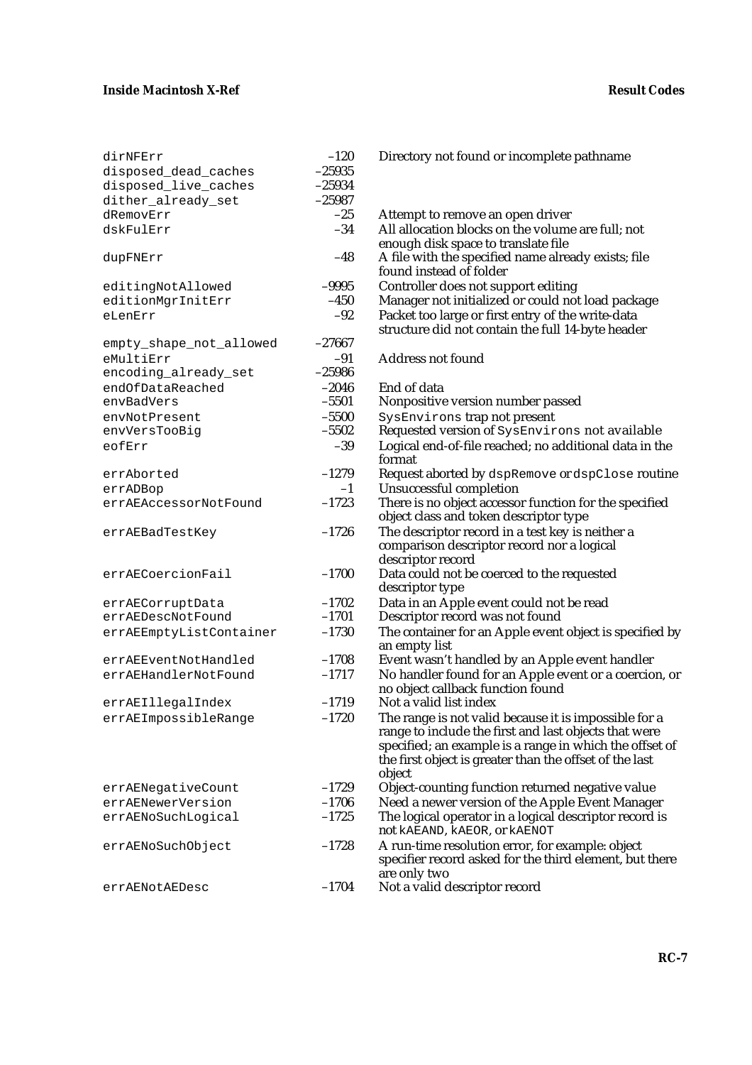| dirNFErr                | $-120$   | Directory not found or incomplete pathname                                                             |
|-------------------------|----------|--------------------------------------------------------------------------------------------------------|
| disposed_dead_caches    | $-25935$ |                                                                                                        |
| disposed_live_caches    | $-25934$ |                                                                                                        |
| dither_already_set      | $-25987$ |                                                                                                        |
| dRemovErr               | $-25$    | Attempt to remove an open driver                                                                       |
| dskFulErr               | $-34$    | All allocation blocks on the volume are full; not                                                      |
|                         |          | enough disk space to translate file                                                                    |
| dupFNErr                | $-48$    | A file with the specified name already exists; file<br>found instead of folder                         |
| editingNotAllowed       | $-9995$  | Controller does not support editing                                                                    |
| editionMgrInitErr       | $-450$   | Manager not initialized or could not load packa                                                        |
| eLenErr                 | $-92$    | Packet too large or first entry of the write-data<br>structure did not contain the full 14-byte header |
| empty_shape_not_allowed | $-27667$ |                                                                                                        |
| eMultiErr               | $-91$    | <b>Address not found</b>                                                                               |
| encoding_already_set    | $-25986$ |                                                                                                        |
| endOfDataReached        | $-2046$  | End of data                                                                                            |
| envBadVers              | $-5501$  | Nonpositive version number passed                                                                      |
| envNotPresent           | $-5500$  | SysEnvirons trap not present                                                                           |
| envVersTooBiq           | $-5502$  | Requested version of SysEnvirons not availa                                                            |
| eofErr                  | $-39$    | Logical end-of-file reached; no additional data i                                                      |
|                         |          | format                                                                                                 |
| errAborted              | $-1279$  | Request aborted by dspRemove or dspClose re                                                            |
| errADBop                | $-1$     | Unsuccessful completion                                                                                |
| errAEAccessorNotFound   | $-1723$  | There is no object accessor function for the spec.                                                     |
|                         |          | object class and token descriptor type                                                                 |
| errAEBadTestKey         | $-1726$  | The descriptor record in a test key is neither a                                                       |
|                         |          | comparison descriptor record nor a logical                                                             |
|                         |          | descriptor record                                                                                      |
| errAECoercionFail       | $-1700$  | Data could not be coerced to the requested                                                             |
|                         |          | descriptor type                                                                                        |
| errAECorruptData        | $-1702$  | Data in an Apple event could not be read                                                               |
| errAEDescNotFound       | $-1701$  | Descriptor record was not found                                                                        |
| errAEEmptyListContainer | $-1730$  | The container for an Apple event object is speci<br>an empty list                                      |
| errAEEventNotHandled    | $-1708$  | Event wasn't handled by an Apple event handle                                                          |
| errAEHandlerNotFound    | $-1717$  | No handler found for an Apple event or a coerc                                                         |
|                         |          | no object callback function found                                                                      |
| errAEIllegalIndex       | $-1719$  | Not a valid list index                                                                                 |
| errAEImpossibleRange    | $-1720$  | The range is not valid because it is impossible fo                                                     |
|                         |          | range to include the first and last objects that we                                                    |
|                         |          | specified; an example is a range in which the of                                                       |
|                         |          | the first object is greater than the offset of the last                                                |
|                         |          | object                                                                                                 |
| errAENegativeCount      | $-1729$  | Object-counting function returned negative value                                                       |
| errAENewerVersion       | $-1706$  | Need a newer version of the Apple Event Mana                                                           |
| errAENoSuchLogical      | $-1725$  | The logical operator in a logical descriptor recor                                                     |
|                         |          | not kAEAND, kAEOR, or kAENOT                                                                           |
| errAENoSuchObject       | $-1728$  | A run-time resolution error, for example: object                                                       |
|                         |          | specifier record asked for the third element, but                                                      |
|                         |          | are only two                                                                                           |

| aisposea_iive_cacnes    | –८७५७4   |                                                                                                                                                                                                                                                |
|-------------------------|----------|------------------------------------------------------------------------------------------------------------------------------------------------------------------------------------------------------------------------------------------------|
| dither_already_set      | $-25987$ |                                                                                                                                                                                                                                                |
| dRemovErr               | $-25$    | Attempt to remove an open driver                                                                                                                                                                                                               |
| dskFulErr               | $-34$    | All allocation blocks on the volume are full; not<br>enough disk space to translate file                                                                                                                                                       |
| dupFNErr                | $-48$    | A file with the specified name already exists; file<br>found instead of folder                                                                                                                                                                 |
| editingNotAllowed       | -9995    | Controller does not support editing                                                                                                                                                                                                            |
| editionMgrInitErr       | $-450$   | Manager not initialized or could not load package                                                                                                                                                                                              |
| eLenErr                 | $-92$    | Packet too large or first entry of the write-data<br>structure did not contain the full 14-byte header                                                                                                                                         |
| empty_shape_not_allowed | $-27667$ |                                                                                                                                                                                                                                                |
| eMultiErr               | $-91$    | <b>Address not found</b>                                                                                                                                                                                                                       |
| encoding_already_set    | $-25986$ |                                                                                                                                                                                                                                                |
| endOfDataReached        | $-2046$  | End of data                                                                                                                                                                                                                                    |
| envBadVers              | $-5501$  | Nonpositive version number passed                                                                                                                                                                                                              |
| envNotPresent           | $-5500$  | SysEnvirons trap not present                                                                                                                                                                                                                   |
| envVersTooBig           | $-5502$  | Requested version of SysEnvirons not available                                                                                                                                                                                                 |
| eofErr                  | $-39$    | Logical end-of-file reached; no additional data in the<br>format                                                                                                                                                                               |
| errAborted              | $-1279$  | Request aborted by dspRemove or dspClose routine                                                                                                                                                                                               |
| errADBop                | $-1$     | Unsuccessful completion                                                                                                                                                                                                                        |
| errAEAccessorNotFound   | $-1723$  | There is no object accessor function for the specified<br>object class and token descriptor type                                                                                                                                               |
| errAEBadTestKey         | $-1726$  | The descriptor record in a test key is neither a<br>comparison descriptor record nor a logical<br>descriptor record                                                                                                                            |
| errAECoercionFail       | $-1700$  | Data could not be coerced to the requested<br>descriptor type                                                                                                                                                                                  |
| errAECorruptData        | $-1702$  | Data in an Apple event could not be read                                                                                                                                                                                                       |
| errAEDescNotFound       | $-1701$  | Descriptor record was not found                                                                                                                                                                                                                |
| errAEEmptyListContainer | $-1730$  | The container for an Apple event object is specified by<br>an empty list                                                                                                                                                                       |
| errAEEventNotHandled    | $-1708$  | Event wasn't handled by an Apple event handler                                                                                                                                                                                                 |
| errAEHandlerNotFound    | $-1717$  | No handler found for an Apple event or a coercion, or<br>no object callback function found                                                                                                                                                     |
| errAEIllegalIndex       | $-1719$  | Not a valid list index                                                                                                                                                                                                                         |
| errAEImpossibleRange    | $-1720$  | The range is not valid because it is impossible for a<br>range to include the first and last objects that were<br>specified; an example is a range in which the offset of<br>the first object is greater than the offset of the last<br>object |
| errAENegativeCount      | $-1729$  | Object-counting function returned negative value                                                                                                                                                                                               |
| errAENewerVersion       | $-1706$  | Need a newer version of the Apple Event Manager                                                                                                                                                                                                |
| errAENoSuchLogical      | $-1725$  | The logical operator in a logical descriptor record is<br>not kAEAND, kAEOR, or kAENOT                                                                                                                                                         |
| errAENoSuchObject       | $-1728$  | A run-time resolution error, for example: object<br>specifier record asked for the third element, but there<br>are only two                                                                                                                    |
| errAENotAEDesc          | $-1704$  | Not a valid descriptor record                                                                                                                                                                                                                  |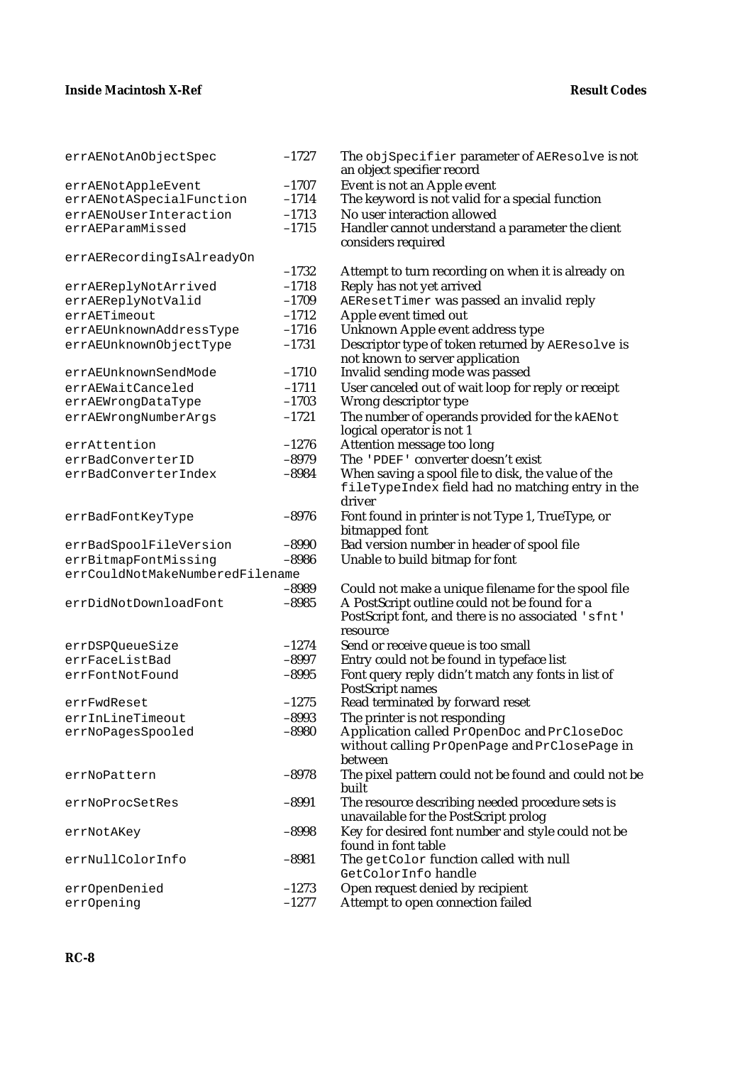| errAENotAnObjectSpec              | $-1727$            | The objSpecifier parameter of AEResolve is not<br>an object specifier record                           |
|-----------------------------------|--------------------|--------------------------------------------------------------------------------------------------------|
| errAENotAppleEvent                | $-1707$            | Event is not an Apple event                                                                            |
| errAENotASpecialFunction          | $-1714$            | The keyword is not valid for a special function                                                        |
| errAENoUserInteraction            | $-1713$            | No user interaction allowed                                                                            |
| errAEParamMissed                  | $-1715$            | Handler cannot understand a parameter the client                                                       |
|                                   |                    | considers required                                                                                     |
| errAERecordingIsAlreadyOn         |                    |                                                                                                        |
|                                   | $-1732$            | Attempt to turn recording on when it is already on                                                     |
| errAEReplyNotArrived              | $-1718$            | Reply has not yet arrived                                                                              |
| errAEReplyNotValid                | $-1709$            | AEResetTimer was passed an invalid reply                                                               |
| errAETimeout                      | $-1712$            | Apple event timed out                                                                                  |
| errAEUnknownAddressType           | $-1716$            | Unknown Apple event address type                                                                       |
| errAEUnknownObjectType            | $-1731$            | Descriptor type of token returned by AEResolve is                                                      |
|                                   |                    | not known to server application                                                                        |
| errAEUnknownSendMode              | $-1710$            | Invalid sending mode was passed                                                                        |
| errAEWaitCanceled                 | $-1711$            | User canceled out of wait loop for reply or receipt                                                    |
| errAEWrongDataType                | $-1703$            | Wrong descriptor type                                                                                  |
| errAEWrongNumberArgs              | $-1721$            | The number of operands provided for the <b>kAENot</b>                                                  |
|                                   |                    | logical operator is not 1                                                                              |
| errAttention                      | $-1276$            | Attention message too long                                                                             |
| errBadConverterID                 | $-8979$            | The 'PDEF' converter doesn't exist                                                                     |
| errBadConverterIndex              | $-8984$            | When saving a spool file to disk, the value of the<br>fileTypeIndex field had no matching entry in the |
|                                   |                    | driver                                                                                                 |
| errBadFontKeyType                 | $-8976$            | Font found in printer is not Type 1, TrueType, or<br>bitmapped font                                    |
| errBadSpoolFileVersion            | $-8990$            | Bad version number in header of spool file                                                             |
| errBitmapFontMissing              | $-8986$            | Unable to build bitmap for font                                                                        |
| errCouldNotMakeNumberedFilename   |                    |                                                                                                        |
|                                   | $-8989$            | Could not make a unique filename for the spool file                                                    |
| errDidNotDownloadFont             | $-8985$            | A PostScript outline could not be found for a                                                          |
|                                   |                    | PostScript font, and there is no associated 'sfnt'                                                     |
|                                   |                    | resource                                                                                               |
| errDSPQueueSize<br>errFaceListBad | $-1274$<br>$-8997$ | Send or receive queue is too small<br>Entry could not be found in typeface list                        |
|                                   | $-8995$            |                                                                                                        |
| errFontNotFound                   |                    | Font query reply didn't match any fonts in list of<br><b>PostScript names</b>                          |
| errFwdReset                       | $-1275$            | Read terminated by forward reset                                                                       |
| errInLineTimeout                  | $-8993$            | The printer is not responding                                                                          |
| errNoPagesSpooled                 | $-8980$            | Application called PrOpenDoc and PrCloseDoc                                                            |
|                                   |                    | without calling PrOpenPage and PrClosePage in                                                          |
|                                   |                    | between                                                                                                |
| errNoPattern                      | $-8978$            | The pixel pattern could not be found and could not be                                                  |
|                                   |                    | built                                                                                                  |
| errNoProcSetRes                   | $-8991$            | The resource describing needed procedure sets is                                                       |
|                                   |                    | unavailable for the PostScript prolog                                                                  |
| errNotAKey                        | $-8998$            | Key for desired font number and style could not be                                                     |
|                                   |                    | found in font table                                                                                    |
| errNullColorInfo                  | $-8981$            | The getColor function called with null                                                                 |
|                                   |                    | GetColorInfo handle                                                                                    |
| errOpenDenied                     | $-1273$            | Open request denied by recipient                                                                       |
| err0pening                        | $-1277$            | Attempt to open connection failed                                                                      |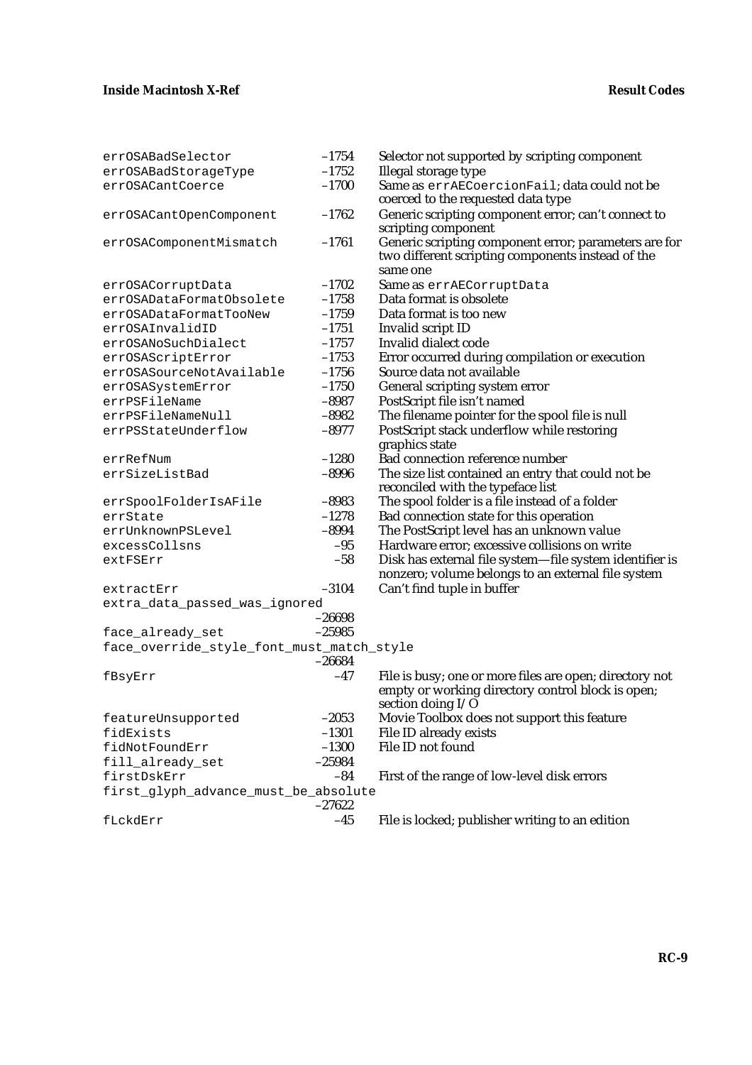| errOSABadSelector                         | $-1754$            | Selector not supported by scripting component                |
|-------------------------------------------|--------------------|--------------------------------------------------------------|
| errOSABadStorageType                      | $-1752$            | Illegal storage type                                         |
| errOSACantCoerce                          | $-1700$            | Same as errAECoercionFail; data could not be                 |
|                                           |                    | coerced to the requested data type                           |
| errOSACantOpenComponent                   | $-1762$            | Generic scripting component error; can't connect to          |
|                                           |                    | scripting component                                          |
| errOSAComponentMismatch                   | $-1761$            | Generic scripting component error; parameters are for        |
|                                           |                    | two different scripting components instead of the            |
|                                           |                    | same one                                                     |
| errOSACorruptData                         | $-1702$            | Same as errAECorruptData                                     |
| errOSADataFormatObsolete                  | $-1758$            | Data format is obsolete                                      |
| errOSADataFormatTooNew                    | $-1759$            | Data format is too new                                       |
| errOSAInvalidID                           | $-1751$            | Invalid script ID                                            |
| errOSANoSuchDialect                       | $-1757$            | Invalid dialect code                                         |
| errOSAScriptError                         | $-1753$            | Error occurred during compilation or execution               |
| errOSASourceNotAvailable                  | $-1756$            | Source data not available                                    |
| errOSASystemError                         | $-1750$            | General scripting system error                               |
| errPSFileName                             | $-8987$<br>$-8982$ | PostScript file isn't named                                  |
| errPSFileNameNull                         |                    | The filename pointer for the spool file is null              |
| errPSStateUnderflow                       | $-8977$            | PostScript stack underflow while restoring<br>graphics state |
| errRefNum                                 | $-1280$            | Bad connection reference number                              |
| errSizeListBad                            | $-8996$            | The size list contained an entry that could not be           |
|                                           |                    | reconciled with the typeface list                            |
| errSpoolFolderIsAFile                     | $-8983$            | The spool folder is a file instead of a folder               |
| errState                                  | $-1278$            | Bad connection state for this operation                      |
| errUnknownPSLevel                         | $-8994$            | The PostScript level has an unknown value                    |
| excessCollsns                             | $-95$              | Hardware error; excessive collisions on write                |
| extFSErr                                  | $-58$              | Disk has external file system-file system identifier is      |
|                                           |                    | nonzero; volume belongs to an external file system           |
| extractErr                                | $-3104$            | Can't find tuple in buffer                                   |
| extra_data_passed_was_ignored             |                    |                                                              |
|                                           | $-26698$           |                                                              |
| face_already_set                          | $-25985$           |                                                              |
| face_override_style_font_must_match_style |                    |                                                              |
|                                           | $-26684$           |                                                              |
| fBsyErr                                   | $-47$              | File is busy; one or more files are open; directory not      |
|                                           |                    | empty or working directory control block is open;            |
|                                           |                    | section doing I/O                                            |
| featureUnsupported                        | $-2053$            | Movie Toolbox does not support this feature                  |
| fidExists                                 | $-1301$            | <b>File ID already exists</b>                                |
| fidNotFoundErr                            | $-1300$            | File ID not found                                            |
| fill_already_set                          | $-25984$           |                                                              |
| firstDskErr                               | $-84$              | First of the range of low-level disk errors                  |
| first_glyph_advance_must_be_absolute      | $-27622$           |                                                              |
| fLckdErr                                  | $-45$              | File is locked; publisher writing to an edition              |
|                                           |                    |                                                              |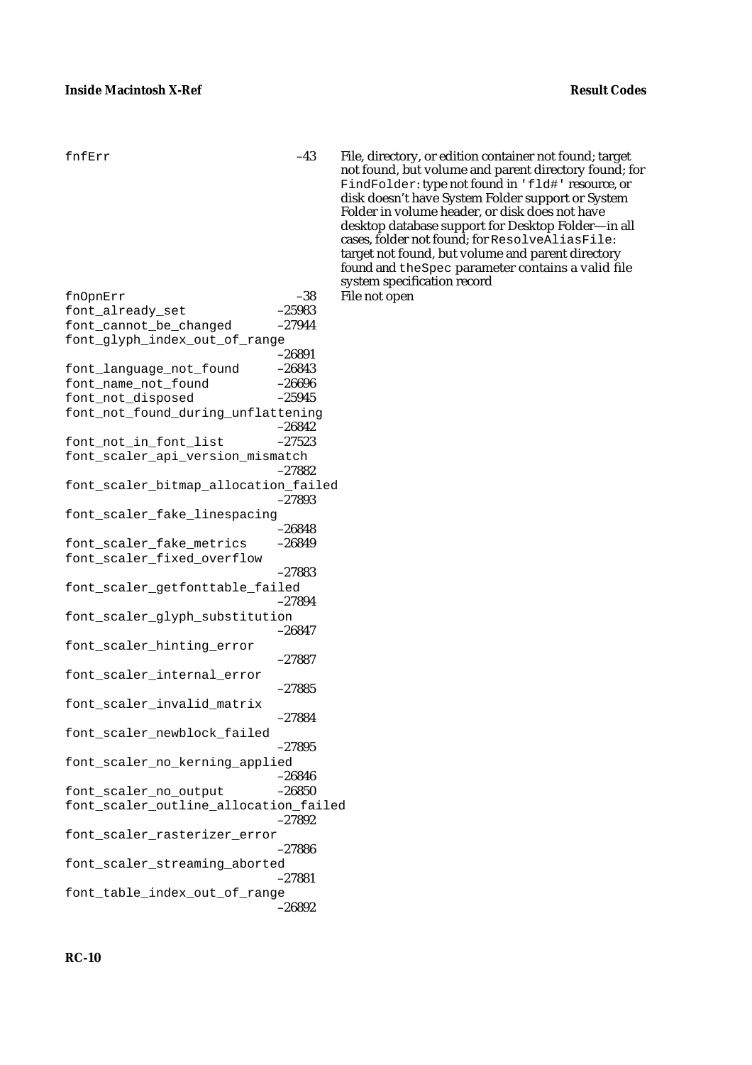- fnfErr –43 File, directory, or edition container not found; target not found, but volume and parent directory found; for FindFolder: type not found in 'fld#' resource, or disk doesn't have System Folder support or System Folder in volume header, or disk does not have desktop database support for Desktop Folder—in all cases, folder not found; for ResolveAliasFile: target not found, but volume and parent directory found and theSpec parameter contains a valid file system specification record
- fnOpnErr –38 File not open font\_already\_set font\_cannot\_be\_changed –27944 font qlyph index out of range  $-26891$ <br> $-26843$ font\_language\_not\_found –26843 font\_name\_not\_found -26696<br>font not disposed -25945 font\_not\_disposed font\_not\_found\_during\_unflattening –26842 font\_not\_in\_font\_list –27523 font scaler api version mismatch –27882 font\_scaler\_bitmap\_allocation\_failed –27893 font\_scaler\_fake\_linespacing –26848 font\_scaler\_fake\_metrics –26849 font\_scaler\_fixed\_overflow –27883 font\_scaler\_getfonttable\_failed –27894 font scaler qlyph substitution –26847 font\_scaler\_hinting\_error –27887 font\_scaler\_internal\_error –27885 font\_scaler\_invalid\_matrix –27884 font\_scaler\_newblock\_failed –27895 font\_scaler\_no\_kerning\_applied –26846 font\_scaler\_no\_output –26850 font\_scaler\_outline\_allocation\_failed –27892 font scaler rasterizer error –27886 font\_scaler\_streaming\_aborted –27881 font\_table\_index\_out\_of\_range –26892
	-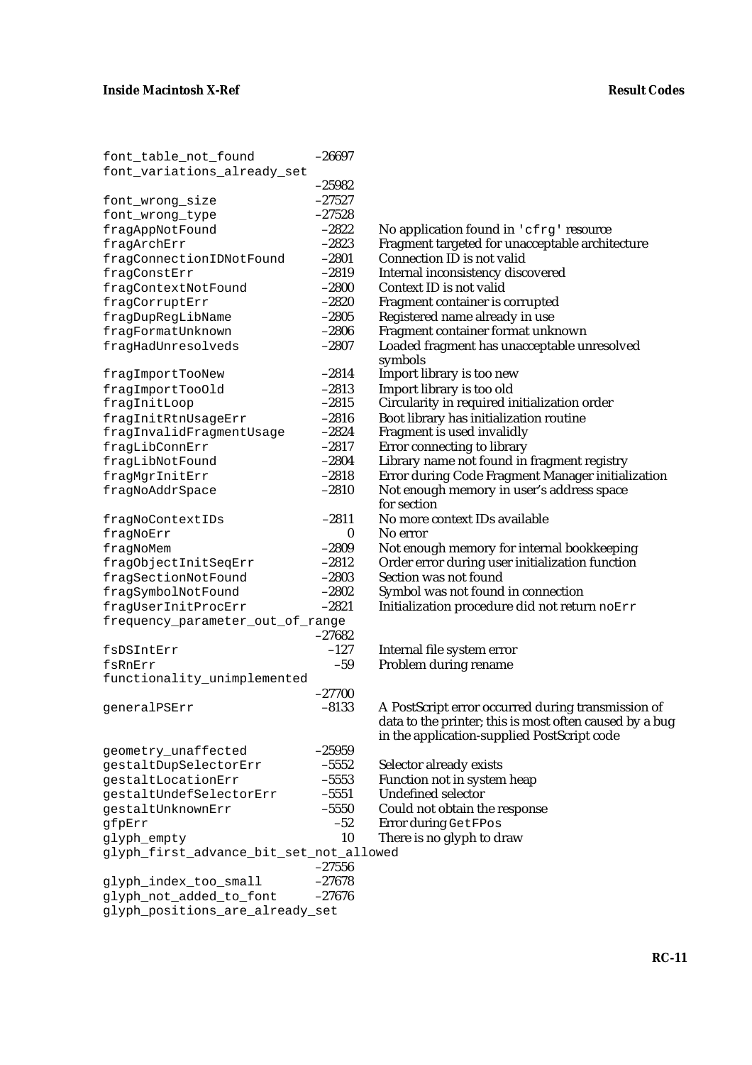| font_table_not_found                                       | $-26697$           |              |
|------------------------------------------------------------|--------------------|--------------|
| font_variations_already_set                                |                    |              |
|                                                            | $-25982$           |              |
| font_wrong_size                                            | $-27527$           |              |
| font_wrong_type                                            | $-27528$           |              |
| fragAppNotFound                                            | $-2822$            | No           |
| fragArchErr                                                | $-2823$            | Frag         |
| fragConnectionIDNotFound                                   | $-2801$            | Cor          |
| fragConstErr                                               | $-2819$            | Inte         |
| fragContextNotFound                                        | $-2800$            | Cor          |
| fragCorruptErr                                             | $-2820$            | Frag         |
| fragDupRegLibName                                          | $-2805$            | Reg          |
| fragFormatUnknown                                          | $-2806$            | Frag         |
| fragHadUnresolveds                                         | $-2807$            | Loa          |
|                                                            |                    | syn          |
| fragImportTooNew                                           | $-2814$            | Imp          |
| fragImportTooOld                                           | $-2813$            | Imp<br>Ciro  |
| fragInitLoop                                               | $-2815$            |              |
| fragInitRtnUsageErr                                        | $-2816$<br>$-2824$ | <b>Boo</b>   |
| fragInvalidFragmentUsage                                   |                    | Frag<br>Erro |
| fragLibConnErr<br>fragLibNotFound                          | $-2817$<br>$-2804$ | Lib          |
|                                                            | $-2818$            | Erro         |
| fragMgrInitErr<br>fragNoAddrSpace                          | $-2810$            | Not          |
|                                                            |                    | for:         |
| fragNoContextIDs                                           | $-2811$            | No.          |
| fragNoErr                                                  | 0                  | No.          |
| fragNoMem                                                  | $-2809$            | Not          |
| fragObjectInitSeqErr                                       | $-2812$            | Orc          |
| fragSectionNotFound                                        | $-2803$            | Sect         |
| fragSymbolNotFound                                         | $-2802$            | Syn          |
| fragUserInitProcErr                                        | $-2821$            | Init         |
| frequency_parameter_out_of_range                           |                    |              |
|                                                            | $-27682$           |              |
| fsDSIntErr                                                 | $-127$             | Inte         |
| fsRnErr                                                    | $-59$              | Pro          |
| functionality_unimplemented                                |                    |              |
|                                                            | $-27700$           |              |
| generalPSErr                                               | -8133              | A P          |
|                                                            |                    | data         |
|                                                            |                    | in tl        |
| geometry_unaffected                                        | $-25959$           |              |
| gestaltDupSelectorErr                                      | $-5552$            | Sele         |
| gestaltLocationErr                                         | $-5553$            | Fun          |
| qestaltUndefSelectorErr                                    | $-5551$            | Uno          |
| gestaltUnknownErr                                          | $-5550$            | Cou          |
| gfpErr                                                     | $-52$              | Erro         |
| glyph_empty                                                | 10                 | The          |
| glyph_first_advance_bit_set_not_allowed                    |                    |              |
|                                                            | $-27556$           |              |
| glyph_index_too_small                                      | $-27678$           |              |
| glyph_not_added_to_font<br>glyph_positions_are_already_set | $-27676$           |              |
|                                                            |                    |              |

No application found in 'cfrq' resource Fragment targeted for unacceptable architecture Connection ID is not valid Internal inconsistency discovered Context ID is not valid Fragment container is corrupted Registered name already in use Fragment container format unknown Loaded fragment has unacceptable unresolved symbols Import library is too new Import library is too old Circularity in required initialization order Boot library has initialization routine Fragment is used invalidly Error connecting to library Library name not found in fragment registry Error during Code Fragment Manager initialization Not enough memory in user's address space for section No more context IDs available No error Not enough memory for internal bookkeeping Order error during user initialization function Section was not found Symbol was not found in connection Initialization procedure did not return noErr

Internal file system error Problem during rename

A PostScript error occurred during transmission of data to the printer; this is most often caused by a bug in the application-supplied PostScript code

Selector already exists Function not in system heap Undefined selector Could not obtain the response Error during GetFPos There is no glyph to draw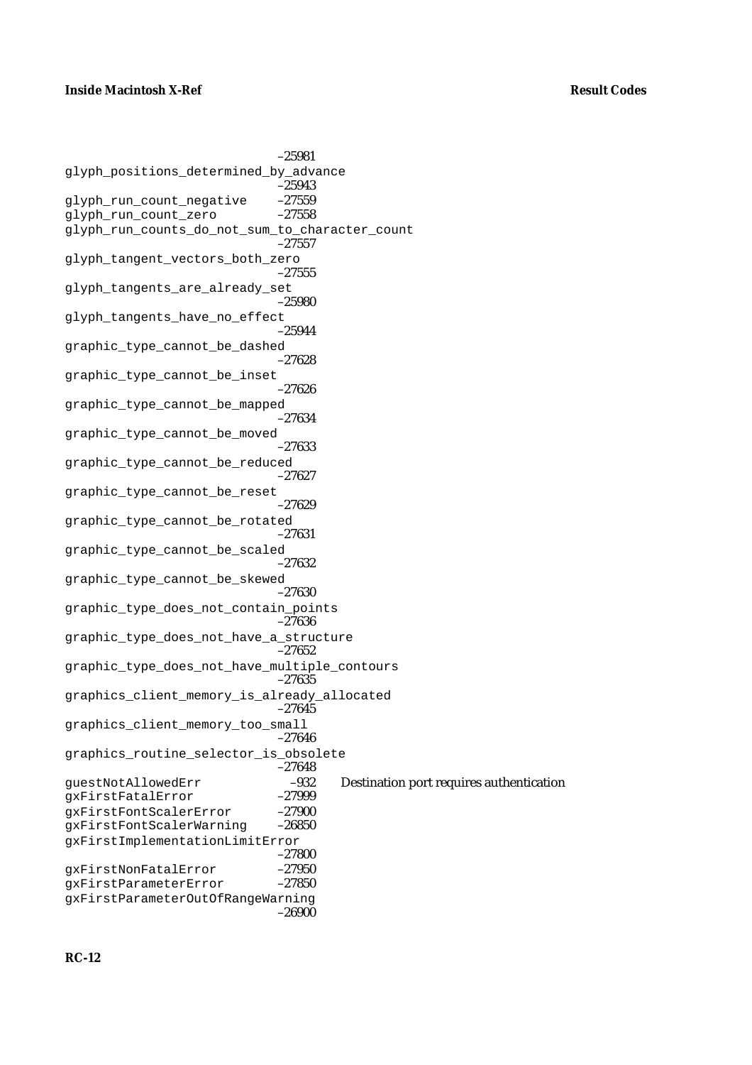–25981 glyph\_positions\_determined\_by\_advance –25943 glyph\_run\_count\_negative –27559 glyph\_run\_count\_zero –27558 glyph\_run\_counts\_do\_not\_sum\_to\_character\_count –27557 glyph tangent vectors both zero –27555 glyph\_tangents\_are\_already\_set –25980 glyph\_tangents\_have\_no\_effect –25944 graphic\_type\_cannot\_be\_dashed –27628 graphic\_type\_cannot\_be\_inset –27626 graphic\_type\_cannot\_be\_mapped –27634 graphic\_type\_cannot\_be\_moved –27633 graphic\_type\_cannot\_be\_reduced –27627 graphic\_type\_cannot\_be\_reset –27629 graphic\_type\_cannot\_be\_rotated –27631 graphic\_type\_cannot\_be\_scaled –27632 graphic\_type\_cannot\_be\_skewed –27630 graphic\_type\_does\_not\_contain\_points –27636 graphic\_type\_does\_not\_have\_a\_structure –27652 graphic\_type\_does\_not\_have\_multiple\_contours –27635 graphics\_client\_memory\_is\_already\_allocated –27645 graphics\_client\_memory\_too\_small –27646 graphics\_routine\_selector\_is\_obsolete –27648 guestNotAllowedErr –932 Destination port requires authentication gxFirstFatalError gxFirstFontScalerError –27900 gxFirstFontScalerWarning –26850 gxFirstImplementationLimitError –27800 gxFirstNonFatalError -27950<br>qxFirstParameterError -27850 gxFirstParameterError gxFirstParameterOutOfRangeWarning –26900

### **RC-12**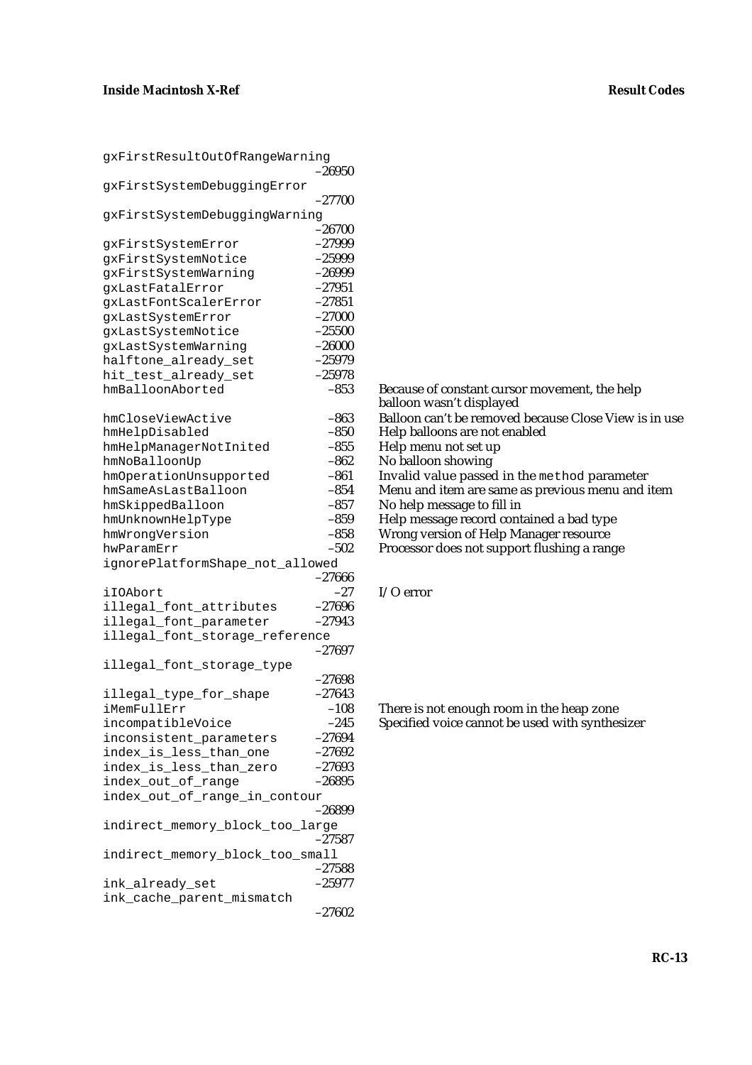| gxFirstResultOutOfRangeWarning  |          |
|---------------------------------|----------|
|                                 | $-26950$ |
| qxFirstSystemDebuqqinqError     |          |
|                                 | $-27700$ |
|                                 |          |
| gxFirstSystemDebuggingWarning   |          |
|                                 | -26700   |
| gxFirstSystemError              | $-27999$ |
| gxFirstSystemNotice             | $-25999$ |
| gxFirstSystemWarning            | $-26999$ |
|                                 | $-27951$ |
| gxLastFatalError                |          |
| gxLastFontScalerError           | $-27851$ |
| gxLastSystemError               | $-27000$ |
| gxLastSystemNotice              | $-25500$ |
| gxLastSystemWarning             | $-26000$ |
| halftone_already_set            | $-25979$ |
|                                 | $-25978$ |
| hit_test_already_set            |          |
| hmBalloonAborted                | $-853$   |
|                                 |          |
| hmCloseViewActive               | $-863$   |
| hmHelpDisabled                  | $-850$   |
| hmHelpManagerNotInited          | $-855$   |
|                                 | $-862$   |
| hmNoBalloonUp                   |          |
| hmOperationUnsupported          | $-861$   |
| hmSameAsLastBalloon             | $-854$   |
| hmSkippedBalloon                | $-857$   |
| hmUnknownHelpType               | $-859$   |
| hmWrongVersion                  | $-858$   |
|                                 | $-502$   |
| hwParamErr                      |          |
| ignorePlatformShape_not_allowed |          |
|                                 | $-27666$ |
| iIOAbort                        | -27      |
| illegal_font_attributes         | $-27696$ |
| illegal_font_parameter          | $-27943$ |
|                                 |          |
| illegal_font_storage_reference  |          |
|                                 | $-27697$ |
| illegal_font_storage_type       |          |
|                                 | $-27698$ |
| illegal_type_for_shape          | $-27643$ |
| iMemFullErr                     | $-108$   |
|                                 |          |
| incompatibleVoice               | $-245$   |
| inconsistent_parameters         | $-27694$ |
| index_is_less_than_one          | $-27692$ |
| index_is_less_than_zero         | $-27693$ |
| index_out_of_range              | $-26895$ |
| index_out_of_range_in_contour   |          |
|                                 |          |
|                                 | –26899   |
| indirect_memory_block_too_large |          |
|                                 | $-27587$ |
| indirect_memory_block_too_small |          |
|                                 | $-27588$ |
| ink_already_set                 | $-25977$ |
|                                 |          |
| ink_cache_parent_mismatch       |          |
|                                 | $-27602$ |

balloon wasn't displayed Balloon can't be removed because Close View is in use Help balloons are not enabled Help menu not set up No balloon showing

Invalid value passed in the method parameter

Because of constant cursor movement, the help

Menu and item are same as previous menu and item

No help message to fill in

Help message record contained a bad type

Wrong version of Help Manager resource

Processor does not support flushing a range

```
I/O error
```
There is not enough room in the heap zone Specified voice cannot be used with synthesizer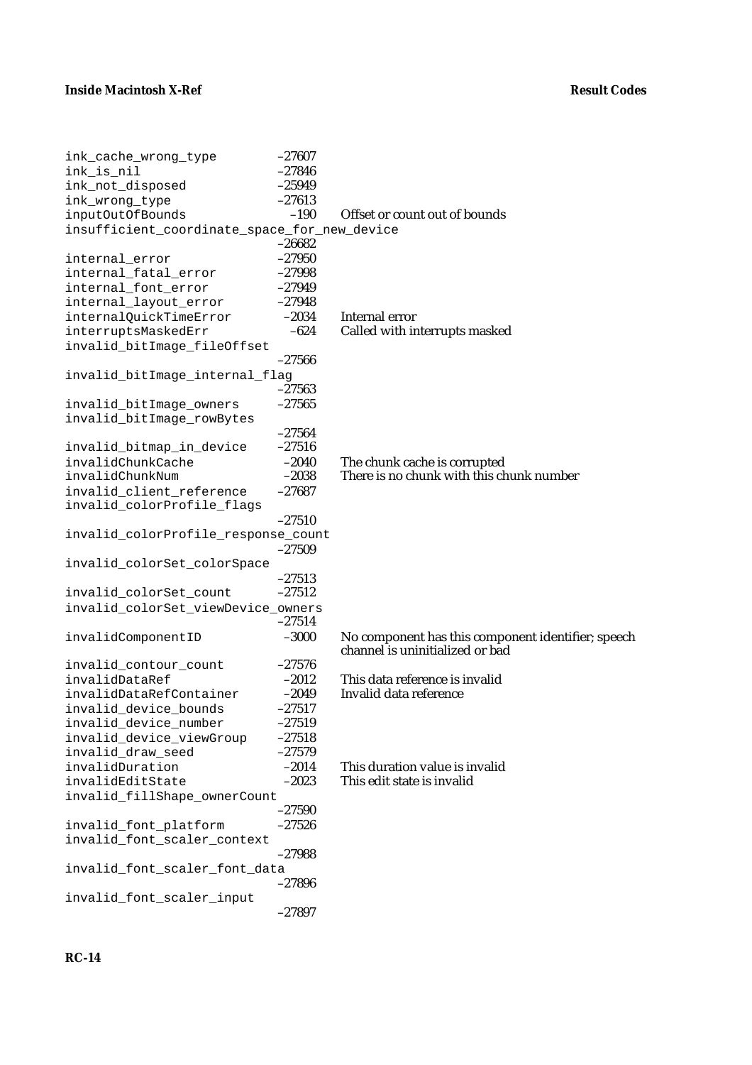| ink_cache_wrong_type                         | $-27607$ |                                                    |
|----------------------------------------------|----------|----------------------------------------------------|
| ink_is_nil                                   | $-27846$ |                                                    |
| ink_not_disposed                             | $-25949$ |                                                    |
| ink_wrong_type                               | $-27613$ |                                                    |
| inputOutOfBounds                             | $-190$   | Offset or count out of bounds                      |
| insufficient_coordinate_space_for_new_device |          |                                                    |
|                                              | $-26682$ |                                                    |
| internal_error                               | $-27950$ |                                                    |
| internal_fatal_error                         | $-27998$ |                                                    |
| internal_font_error                          | $-27949$ |                                                    |
| internal_layout_error                        | $-27948$ |                                                    |
|                                              | $-2034$  | Internal error                                     |
| internalQuickTimeError                       | $-624$   | Called with interrupts masked                      |
| interruptsMaskedErr                          |          |                                                    |
| invalid_bitImage_fileOffset                  |          |                                                    |
|                                              | $-27566$ |                                                    |
| invalid_bitImage_internal_flag               |          |                                                    |
|                                              | $-27563$ |                                                    |
| invalid_bitImage_owners                      | $-27565$ |                                                    |
| invalid_bitImage_rowBytes                    |          |                                                    |
|                                              | $-27564$ |                                                    |
| invalid_bitmap_in_device                     | $-27516$ |                                                    |
| invalidChunkCache                            | $-2040$  | The chunk cache is corrupted                       |
| invalidChunkNum                              | $-2038$  | There is no chunk with this chunk number           |
| invalid_client_reference                     | $-27687$ |                                                    |
| invalid_colorProfile_flags                   |          |                                                    |
|                                              | $-27510$ |                                                    |
| invalid_colorProfile_response_count          |          |                                                    |
|                                              | $-27509$ |                                                    |
| invalid_colorSet_colorSpace                  |          |                                                    |
|                                              | $-27513$ |                                                    |
| invalid_colorSet_count                       | $-27512$ |                                                    |
|                                              |          |                                                    |
| invalid_colorSet_viewDevice_owners           | $-27514$ |                                                    |
|                                              |          |                                                    |
| invalidComponentID                           | $-3000$  | No component has this component identifier; speech |
|                                              |          | channel is uninitialized or bad                    |
| invalid_contour_count                        | $-27576$ |                                                    |
| invalidDataRef                               | $-2012$  | This data reference is invalid                     |
| invalidDataRefContainer                      | $-2049$  | Invalid data reference                             |
| invalid_device_bounds                        | $-27517$ |                                                    |
| invalid_device_number                        | -27519   |                                                    |
| invalid_device_viewGroup                     | $-27518$ |                                                    |
| invalid_draw_seed                            | $-27579$ |                                                    |
| invalidDuration                              | $-2014$  | This duration value is invalid                     |
| invalidEditState                             | $-2023$  | This edit state is invalid                         |
| invalid_fillShape_ownerCount                 |          |                                                    |
|                                              | $-27590$ |                                                    |
| invalid_font_platform                        | $-27526$ |                                                    |
| invalid_font_scaler_context                  |          |                                                    |
|                                              | $-27988$ |                                                    |
| invalid_font_scaler_font_data                |          |                                                    |
|                                              | $-27896$ |                                                    |
| invalid_font_scaler_input                    |          |                                                    |
|                                              | $-27897$ |                                                    |
|                                              |          |                                                    |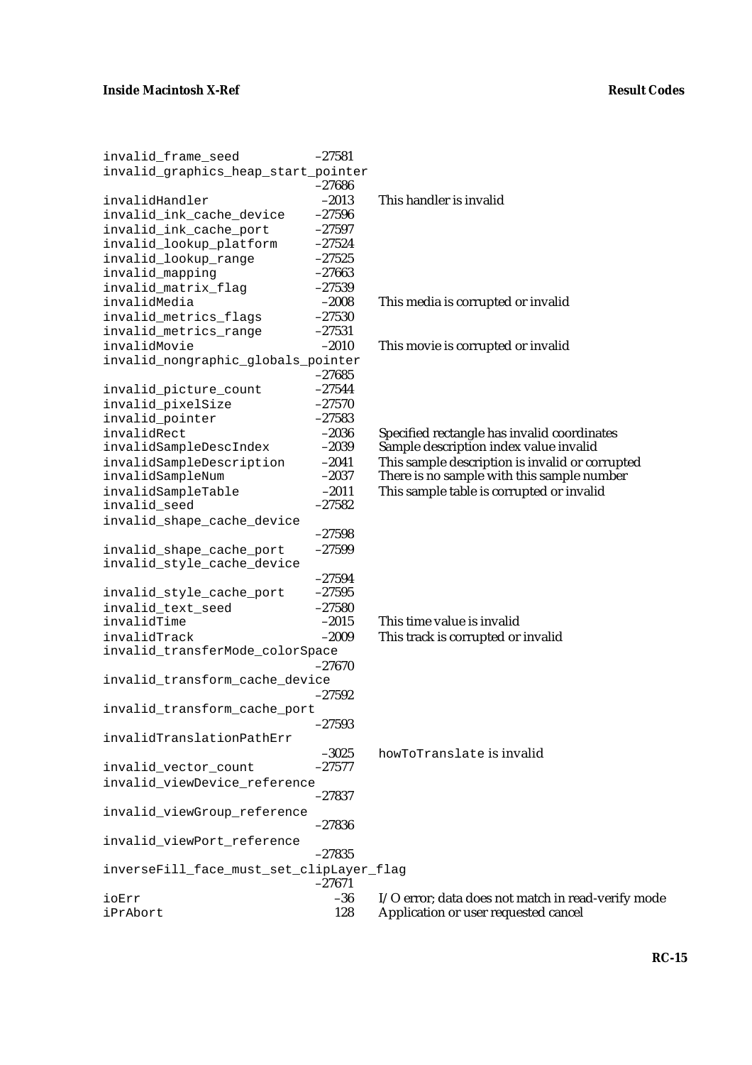| invalid_frame_seed                       | $-27581$ |                                                    |
|------------------------------------------|----------|----------------------------------------------------|
| invalid_graphics_heap_start_pointer      |          |                                                    |
|                                          | $-27686$ |                                                    |
| invalidHandler                           | $-2013$  | This handler is invalid                            |
| invalid_ink_cache_device                 | $-27596$ |                                                    |
| invalid_ink_cache_port                   | $-27597$ |                                                    |
| invalid_lookup_platform                  | $-27524$ |                                                    |
| invalid_lookup_range                     | $-27525$ |                                                    |
| invalid_mapping                          | $-27663$ |                                                    |
| invalid_matrix_flag                      | $-27539$ |                                                    |
| invalidMedia                             | $-2008$  | This media is corrupted or invalid                 |
| invalid_metrics_flags                    | $-27530$ |                                                    |
| invalid_metrics_range                    | $-27531$ |                                                    |
| invalidMovie                             | $-2010$  | This movie is corrupted or invalid                 |
| invalid_nongraphic_globals_pointer       |          |                                                    |
|                                          | $-27685$ |                                                    |
| invalid_picture_count                    | $-27544$ |                                                    |
| invalid_pixelSize                        | $-27570$ |                                                    |
| invalid_pointer                          | $-27583$ |                                                    |
| invalidRect                              | $-2036$  | Specified rectangle has invalid coordinates        |
| invalidSampleDescIndex                   | $-2039$  | Sample description index value invalid             |
| invalidSampleDescription                 | $-2041$  | This sample description is invalid or corrupted    |
| invalidSampleNum                         | $-2037$  | There is no sample with this sample number         |
| invalidSampleTable                       | $-2011$  | This sample table is corrupted or invalid          |
| invalid_seed                             | $-27582$ |                                                    |
| invalid_shape_cache_device               |          |                                                    |
|                                          | $-27598$ |                                                    |
| invalid_shape_cache_port                 | $-27599$ |                                                    |
| invalid_style_cache_device               |          |                                                    |
|                                          | $-27594$ |                                                    |
| invalid_style_cache_port                 | $-27595$ |                                                    |
| invalid_text_seed                        | $-27580$ |                                                    |
| invalidTime                              | $-2015$  | This time value is invalid                         |
| invalidTrack                             | $-2009$  |                                                    |
|                                          |          | This track is corrupted or invalid                 |
| invalid_transferMode_colorSpace          | $-27670$ |                                                    |
| invalid_transform_cache_device           |          |                                                    |
|                                          | $-27592$ |                                                    |
| invalid_transform_cache_port             |          |                                                    |
|                                          |          |                                                    |
| invalidTranslationPathErr                | $-27593$ |                                                    |
|                                          | $-3025$  | howToTranslate is invalid                          |
|                                          | $-27577$ |                                                    |
| invalid_vector_count                     |          |                                                    |
| invalid_viewDevice_reference             | $-27837$ |                                                    |
|                                          |          |                                                    |
| invalid_viewGroup_reference              | $-27836$ |                                                    |
|                                          |          |                                                    |
| invalid_viewPort_reference               |          |                                                    |
|                                          | $-27835$ |                                                    |
| inverseFill_face_must_set_clipLayer_flag | $-27671$ |                                                    |
| ioErr                                    | $-36$    | I/O error; data does not match in read-verify mode |
| iPrAbort                                 | 128      | Application or user requested cancel               |
|                                          |          |                                                    |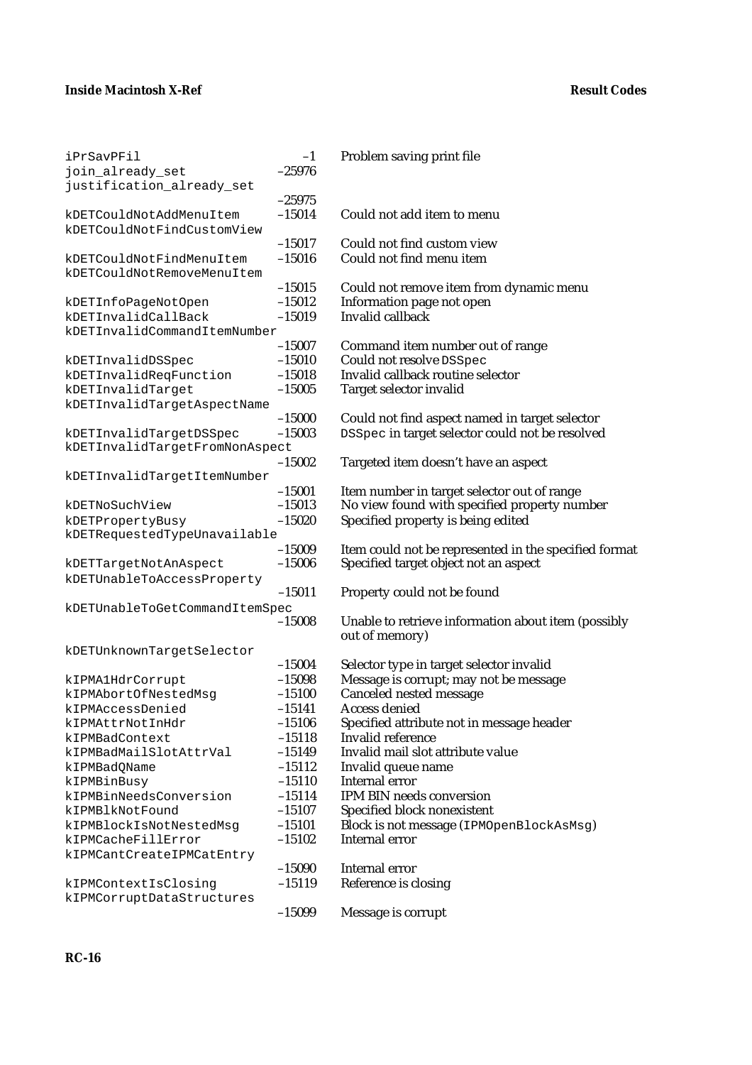| iPrSavPFil                     | $-1$     | Problem saving print file                             |
|--------------------------------|----------|-------------------------------------------------------|
| join_already_set               | $-25976$ |                                                       |
| justification_already_set      |          |                                                       |
|                                | $-25975$ |                                                       |
| kDETCouldNotAddMenuItem        | $-15014$ | Could not add item to menu                            |
| kDETCouldNotFindCustomView     |          |                                                       |
|                                | $-15017$ | Could not find custom view                            |
| kDETCouldNotFindMenuItem       | $-15016$ | Could not find menu item                              |
| kDETCouldNotRemoveMenuItem     |          |                                                       |
|                                | $-15015$ | Could not remove item from dynamic menu               |
| kDETInfoPageNotOpen            | $-15012$ | Information page not open                             |
| kDETInvalidCallBack            | $-15019$ | <b>Invalid callback</b>                               |
| kDETInvalidCommandItemNumber   |          |                                                       |
|                                |          |                                                       |
|                                | $-15007$ | Command item number out of range                      |
| kDETInvalidDSSpec              | $-15010$ | Could not resolve DSSpec                              |
| kDETInvalidReqFunction         | $-15018$ | Invalid callback routine selector                     |
| kDETInvalidTarget              | $-15005$ | Target selector invalid                               |
| kDETInvalidTargetAspectName    |          |                                                       |
|                                | $-15000$ | Could not find aspect named in target selector        |
| kDETInvalidTargetDSSpec        | $-15003$ | DSSpec in target selector could not be resolved       |
| kDETInvalidTargetFromNonAspect |          |                                                       |
|                                | $-15002$ | Targeted item doesn't have an aspect                  |
| kDETInvalidTargetItemNumber    |          |                                                       |
|                                | $-15001$ | Item number in target selector out of range           |
| kDETNoSuchView                 | $-15013$ | No view found with specified property number          |
| kDETPropertyBusy               | $-15020$ | Specified property is being edited                    |
| kDETRequestedTypeUnavailable   |          |                                                       |
|                                | $-15009$ | Item could not be represented in the specified format |
| kDETTargetNotAnAspect          | $-15006$ | Specified target object not an aspect                 |
| kDETUnableToAccessProperty     |          |                                                       |
|                                | $-15011$ | Property could not be found                           |
|                                |          |                                                       |
| kDETUnableToGetCommandItemSpec | $-15008$ |                                                       |
|                                |          | Unable to retrieve information about item (possibly   |
|                                |          | out of memory)                                        |
| kDETUnknownTargetSelector      |          |                                                       |
|                                | $-15004$ | Selector type in target selector invalid              |
| kIPMA1HdrCorrupt               | $-15098$ | Message is corrupt; may not be message                |
| kIPMAbortOfNestedMsg           | $-15100$ | <b>Canceled nested message</b>                        |
| kIPMAccessDenied               | $-15141$ | <b>Access denied</b>                                  |
| kIPMAttrNotInHdr               | $-15106$ | Specified attribute not in message header             |
| kIPMBadContext                 | $-15118$ | Invalid reference                                     |
| kIPMBadMailSlotAttrVal         | $-15149$ | Invalid mail slot attribute value                     |
| kIPMBadQName                   | $-15112$ | Invalid queue name                                    |
| kIPMBinBusy                    | $-15110$ | Internal error                                        |
| kIPMBinNeedsConversion         | $-15114$ | <b>IPM BIN needs conversion</b>                       |
| kIPMBlkNotFound                | $-15107$ | Specified block nonexistent                           |
| kIPMBlockIsNotNestedMsq        | $-15101$ | Block is not message (IPMOpenBlockAsMsg)              |
| kIPMCacheFillError             | $-15102$ | <b>Internal error</b>                                 |
| kIPMCantCreateIPMCatEntry      |          |                                                       |
|                                | $-15090$ | Internal error                                        |
| kIPMContextIsClosing           | $-15119$ | Reference is closing                                  |
| kIPMCorruptDataStructures      |          |                                                       |
|                                |          |                                                       |
|                                | $-15099$ | Message is corrupt                                    |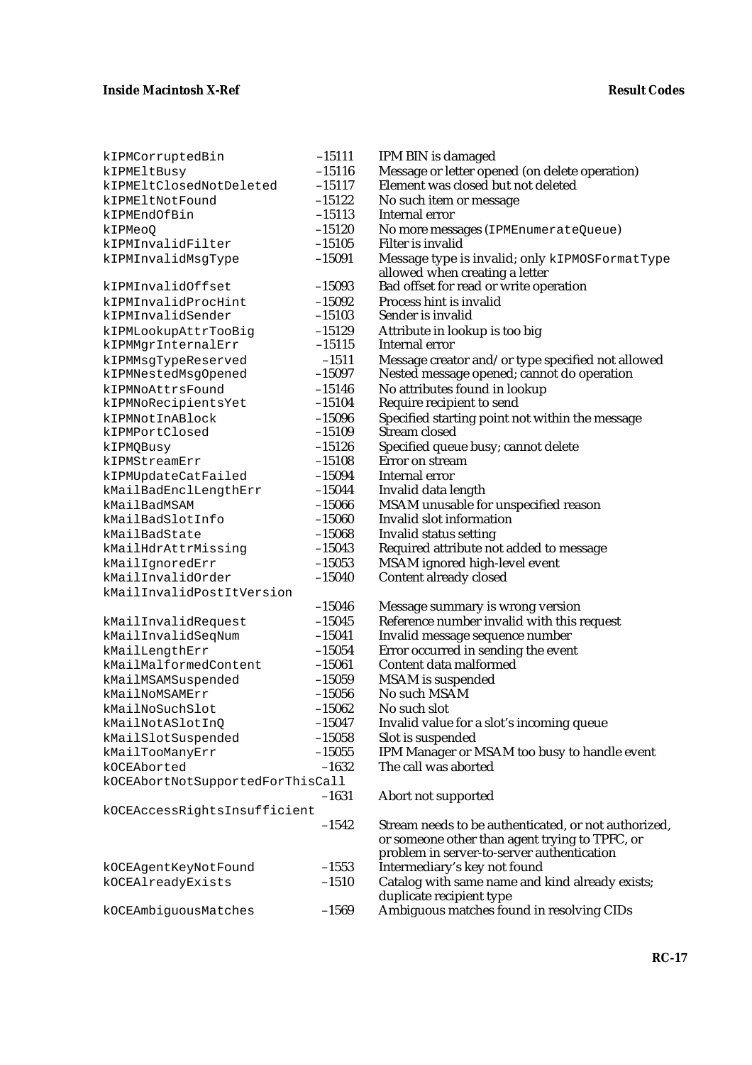| kIPMCorruptedBin                 | $-15111$ | IPM BIN is damaged                                                               |
|----------------------------------|----------|----------------------------------------------------------------------------------|
| kIPMEltBusy                      | $-15116$ | Message or letter opened (on delete operation)                                   |
| kIPMEltClosedNotDeleted          | $-15117$ | Element was closed but not deleted                                               |
| kIPMEltNotFound                  | $-15122$ | No such item or message                                                          |
| kIPMEndOfBin                     | $-15113$ | Internal error                                                                   |
| kIPMeoO                          | $-15120$ | No more messages (IPMEnumerateQueue)                                             |
| kIPMInvalidFilter                | $-15105$ | Filter is invalid                                                                |
| kIPMInvalidMsgType               | $-15091$ | Message type is invalid; only kIPMOSFormatType<br>allowed when creating a letter |
| kIPMInvalidOffset                | $-15093$ | Bad offset for read or write operation                                           |
| kIPMInvalidProcHint              | $-15092$ | Process hint is invalid                                                          |
| kIPMInvalidSender                | $-15103$ | Sender is invalid                                                                |
| kIPMLookupAttrTooBig             | $-15129$ | Attribute in lookup is too big                                                   |
| kIPMMgrInternalErr               | $-15115$ | Internal error                                                                   |
| kIPMMsgTypeReserved              | $-1511$  | Message creator and/or type specified not allowed                                |
| kIPMNestedMsgOpened              | $-15097$ | Nested message opened; cannot do operation                                       |
| kIPMNoAttrsFound                 | $-15146$ | No attributes found in lookup                                                    |
| kIPMNoRecipientsYet              | $-15104$ | Require recipient to send                                                        |
| kIPMNotInABlock                  | $-15096$ | Specified starting point not within the message                                  |
| kIPMPortClosed                   | $-15109$ | Stream closed                                                                    |
| kIPMQBusy                        | $-15126$ | Specified queue busy; cannot delete                                              |
| kIPMStreamErr                    | $-15108$ | Error on stream                                                                  |
| kIPMUpdateCatFailed              | $-15094$ | Internal error                                                                   |
| kMailBadEnclLengthErr            | $-15044$ | Invalid data length                                                              |
| kMailBadMSAM                     | $-15066$ | MSAM unusable for unspecified reason                                             |
| kMailBadSlotInfo                 | $-15060$ | Invalid slot information                                                         |
| kMailBadState                    | $-15068$ | <b>Invalid status setting</b>                                                    |
| kMailHdrAttrMissing              | $-15043$ | Required attribute not added to message                                          |
| kMailIgnoredErr                  | $-15053$ | MSAM ignored high-level event                                                    |
| kMailInvalidOrder                | $-15040$ | Content already closed                                                           |
| kMailInvalidPostItVersion        |          |                                                                                  |
|                                  | $-15046$ | Message summary is wrong version                                                 |
| kMailInvalidRequest              | $-15045$ | Reference number invalid with this request                                       |
| kMailInvalidSeqNum               | $-15041$ | Invalid message sequence number                                                  |
| kMailLengthErr                   | $-15054$ | Error occurred in sending the event                                              |
| kMailMalformedContent            | $-15061$ | Content data malformed                                                           |
| kMailMSAMSuspended               | $-15059$ | <b>MSAM</b> is suspended                                                         |
| kMailNoMSAMErr                   | $-15056$ | No such MSAM                                                                     |
| kMailNoSuchSlot                  | $-15062$ | No such slot                                                                     |
| kMailNotASlotInQ                 | $-15047$ | Invalid value for a slot's incoming queue                                        |
| kMailSlotSuspended               | $-15058$ | Slot is suspended                                                                |
| kMailTooManyErr                  | $-15055$ | IPM Manager or MSAM too busy to handle event                                     |
| kOCEAborted                      | $-1632$  | The call was aborted                                                             |
| kOCEAbortNotSupportedForThisCall |          |                                                                                  |
|                                  | $-1631$  | Abort not supported                                                              |
| kOCEAccessRightsInsufficient     |          |                                                                                  |
|                                  | $-1542$  | Stream needs to be authenticated, or not authorized,                             |
|                                  |          | or someone other than agent trying to TPFC, or                                   |
|                                  |          | problem in server-to-server authentication                                       |
| kOCEAgentKeyNotFound             | $-1553$  | Intermediary's key not found                                                     |
| kOCEAlreadyExists                | $-1510$  | Catalog with same name and kind already exists;                                  |
|                                  |          | duplicate recipient type                                                         |
| kOCEAmbiguousMatches             | $-1569$  | Ambiguous matches found in resolving CIDs                                        |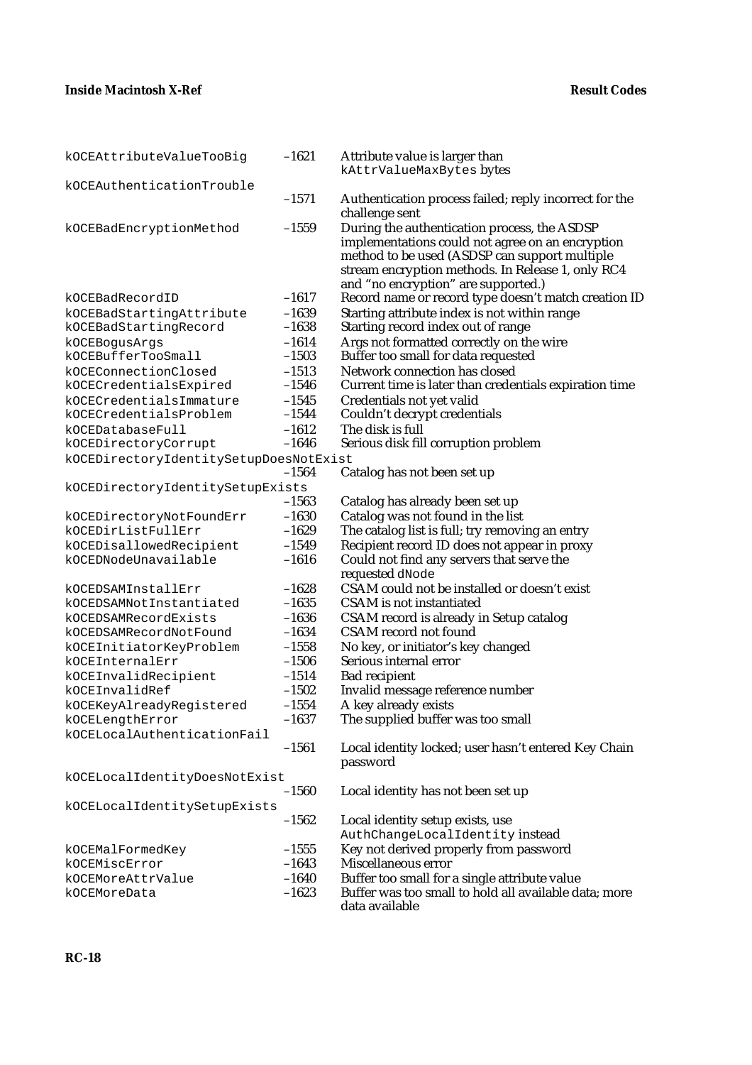| kOCEAttributeValueTooBig                          | $-1621$            | Attribute value is larger than<br>kAttrValueMaxBytes bytes                                                                                                                                             |
|---------------------------------------------------|--------------------|--------------------------------------------------------------------------------------------------------------------------------------------------------------------------------------------------------|
| kOCEAuthenticationTrouble                         |                    |                                                                                                                                                                                                        |
|                                                   | $-1571$            | Authentication process failed; reply incorrect for the<br>challenge sent                                                                                                                               |
| kOCEBadEncryptionMethod                           | $-1559$            | During the authentication process, the ASDSP<br>implementations could not agree on an encryption<br>method to be used (ASDSP can support multiple<br>stream encryption methods. In Release 1, only RC4 |
| kOCEBadRecordID                                   | $-1617$            | and "no encryption" are supported.)                                                                                                                                                                    |
|                                                   |                    | Record name or record type doesn't match creation ID                                                                                                                                                   |
| kOCEBadStartingAttribute<br>kOCEBadStartingRecord | $-1639$<br>$-1638$ | Starting attribute index is not within range<br>Starting record index out of range                                                                                                                     |
| kOCEBogusArgs                                     | $-1614$            | Args not formatted correctly on the wire                                                                                                                                                               |
| kOCEBufferTooSmall                                | $-1503$            | Buffer too small for data requested                                                                                                                                                                    |
| kOCEConnectionClosed                              | $-1513$            | Network connection has closed                                                                                                                                                                          |
| kOCECredentialsExpired                            | $-1546$            | Current time is later than credentials expiration time                                                                                                                                                 |
| kOCECredentialsImmature                           | $-1545$            | Credentials not yet valid                                                                                                                                                                              |
| kOCECredentialsProblem                            | $-1544$            | Couldn't decrypt credentials                                                                                                                                                                           |
| kOCEDatabaseFull                                  | $-1612$            | The disk is full                                                                                                                                                                                       |
| kOCEDirectoryCorrupt                              | $-1646$            | Serious disk fill corruption problem                                                                                                                                                                   |
| kOCEDirectoryIdentitySetupDoesNotExist            |                    |                                                                                                                                                                                                        |
|                                                   | $-1564$            | Catalog has not been set up                                                                                                                                                                            |
| kOCEDirectoryIdentitySetupExists                  |                    |                                                                                                                                                                                                        |
|                                                   | $-1563$            | Catalog has already been set up                                                                                                                                                                        |
| kOCEDirectoryNotFoundErr                          | $-1630$            | Catalog was not found in the list                                                                                                                                                                      |
| kOCEDirListFullErr                                | $-1629$            | The catalog list is full; try removing an entry                                                                                                                                                        |
| kOCEDisallowedRecipient                           | $-1549$            | Recipient record ID does not appear in proxy                                                                                                                                                           |
| kOCEDNodeUnavailable                              | $-1616$            | Could not find any servers that serve the<br>requested dNode                                                                                                                                           |
| kOCEDSAMInstallErr                                | $-1628$            | CSAM could not be installed or doesn't exist                                                                                                                                                           |
| kOCEDSAMNotInstantiated                           | $-1635$            | <b>CSAM</b> is not instantiated                                                                                                                                                                        |
| kOCEDSAMRecordExists                              | $-1636$            | CSAM record is already in Setup catalog                                                                                                                                                                |
| kOCEDSAMRecordNotFound                            | $-1634$            | <b>CSAM</b> record not found                                                                                                                                                                           |
| kOCEInitiatorKeyProblem                           | $-1558$            | No key, or initiator's key changed                                                                                                                                                                     |
| kOCEInternalErr                                   | $-1506$            | Serious internal error                                                                                                                                                                                 |
| kOCEInvalidRecipient                              | $-1514$            | <b>Bad recipient</b>                                                                                                                                                                                   |
| kOCEInvalidRef                                    | $-1502$            | Invalid message reference number                                                                                                                                                                       |
| kOCEKeyAlreadyRegistered                          | $-1554$            | A key already exists                                                                                                                                                                                   |
| kOCELengthError                                   | $-1637$            | The supplied buffer was too small                                                                                                                                                                      |
| kOCELocalAuthenticationFail                       | $-1561$            | Local identity locked; user hasn't entered Key Chain                                                                                                                                                   |
|                                                   |                    | password                                                                                                                                                                                               |
| kOCELocalIdentityDoesNotExist                     |                    |                                                                                                                                                                                                        |
|                                                   | $-1560$            | Local identity has not been set up                                                                                                                                                                     |
| kOCELocalIdentitySetupExists                      |                    |                                                                                                                                                                                                        |
|                                                   | $-1562$            | Local identity setup exists, use                                                                                                                                                                       |
|                                                   |                    | AuthChangeLocalIdentity instead                                                                                                                                                                        |
| kOCEMalFormedKey                                  | $-1555$            | Key not derived properly from password                                                                                                                                                                 |
| kOCEMiscError                                     | $-1643$            | Miscellaneous error                                                                                                                                                                                    |
| kOCEMoreAttrValue                                 | $-1640$            | Buffer too small for a single attribute value                                                                                                                                                          |
| kOCEMoreData                                      | $-1623$            | Buffer was too small to hold all available data; more<br>data available                                                                                                                                |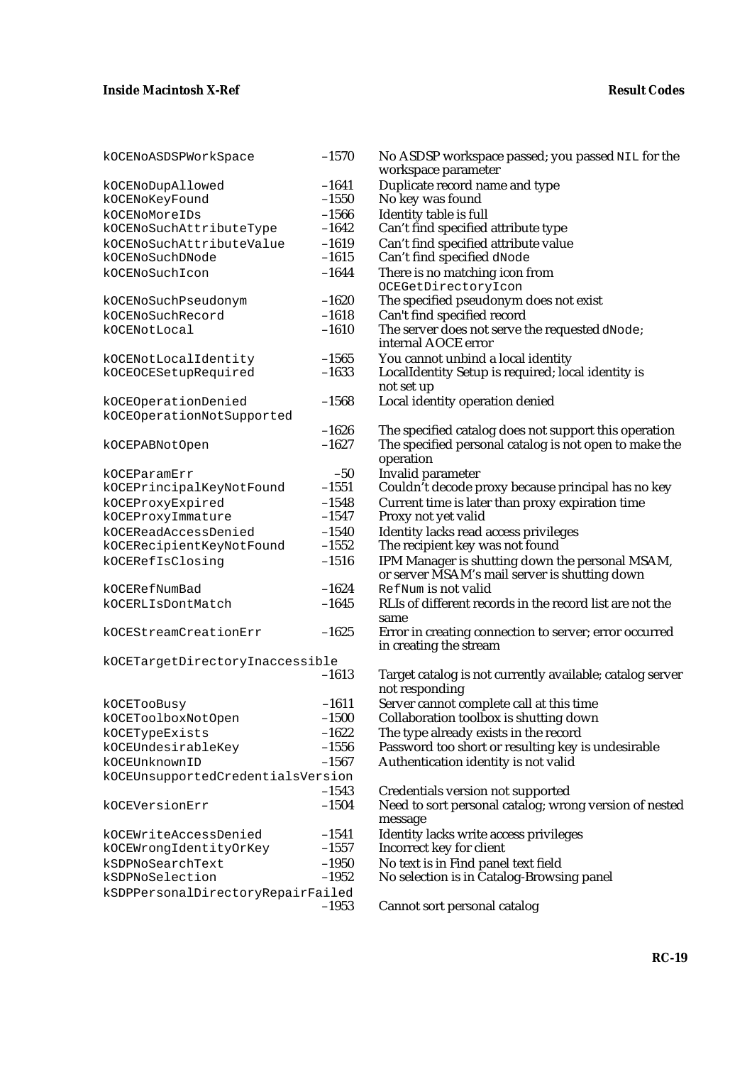| kOCENoASDSPWorkSpace              | $-1570$ | No ASDSP workspace passed; you passed NIL for the<br>workspace parameter |
|-----------------------------------|---------|--------------------------------------------------------------------------|
| kOCENoDupAllowed                  | $-1641$ | Duplicate record name and type                                           |
| kOCENoKeyFound                    | $-1550$ | No key was found                                                         |
| kOCENoMoreIDs                     | $-1566$ | Identity table is full                                                   |
| kOCENoSuchAttributeType           | $-1642$ | Can't find specified attribute type                                      |
| kOCENoSuchAttributeValue          | $-1619$ | Can't find specified attribute value                                     |
| kOCENoSuchDNode                   | $-1615$ | Can't find specified dNode                                               |
| kOCENoSuchIcon                    | $-1644$ | There is no matching icon from                                           |
|                                   |         | OCEGetDirectoryIcon                                                      |
|                                   | $-1620$ | The specified pseudonym does not exist                                   |
| kOCENoSuchPseudonym               | $-1618$ |                                                                          |
| kOCENoSuchRecord                  | $-1610$ | Can't find specified record                                              |
| kOCENotLocal                      |         | The server does not serve the requested dNode;<br>internal AOCE error    |
|                                   |         |                                                                          |
| kOCENotLocalIdentity              | $-1565$ | You cannot unbind a local identity                                       |
| kOCEOCESetupRequired              | $-1633$ | LocalIdentity Setup is required; local identity is                       |
|                                   |         | not set up                                                               |
| kOCEOperationDenied               | $-1568$ | Local identity operation denied                                          |
| kOCEOperationNotSupported         |         |                                                                          |
|                                   | $-1626$ | The specified catalog does not support this operation                    |
| kOCEPABNotOpen                    | $-1627$ | The specified personal catalog is not open to make the                   |
|                                   |         | operation                                                                |
| kOCEParamErr                      | $-50$   | Invalid parameter                                                        |
| kOCEPrincipalKeyNotFound          | $-1551$ | Couldn't decode proxy because principal has no key                       |
| kOCEProxyExpired                  | $-1548$ | Current time is later than proxy expiration time                         |
| kOCEProxyImmature                 | $-1547$ | Proxy not yet valid                                                      |
| kOCEReadAccessDenied              | $-1540$ | Identity lacks read access privileges                                    |
| kOCERecipientKeyNotFound          | $-1552$ | The recipient key was not found                                          |
| kOCERefIsClosing                  | $-1516$ | IPM Manager is shutting down the personal MSAM,                          |
|                                   |         | or server MSAM's mail server is shutting down                            |
| kOCERefNumBad                     | $-1624$ | RefNum is not valid                                                      |
| kOCERLIsDontMatch                 | $-1645$ | RLIs of different records in the record list are not the                 |
|                                   |         | same                                                                     |
| kOCEStreamCreationErr             | $-1625$ | Error in creating connection to server; error occurred                   |
|                                   |         | in creating the stream                                                   |
| kOCETargetDirectoryInaccessible   |         |                                                                          |
|                                   | $-1613$ | Target catalog is not currently available; catalog server                |
|                                   |         | not responding                                                           |
| kOCETooBusy                       | $-1611$ | Server cannot complete call at this time                                 |
| kOCEToolboxNotOpen                | $-1500$ | Collaboration toolbox is shutting down                                   |
| kOCETypeExists                    | $-1622$ | The type already exists in the record                                    |
| kOCEUndesirableKey                | $-1556$ | Password too short or resulting key is undesirable                       |
| kOCEUnknownID                     | $-1567$ | Authentication identity is not valid                                     |
| kOCEUnsupportedCredentialsVersion |         |                                                                          |
|                                   | $-1543$ | Credentials version not supported                                        |
| kOCEVersionErr                    | $-1504$ | Need to sort personal catalog; wrong version of nested                   |
|                                   |         | message                                                                  |
| kOCEWriteAccessDenied             | $-1541$ | Identity lacks write access privileges                                   |
| kOCEWrongIdentityOrKey            | $-1557$ | Incorrect key for client                                                 |
| kSDPNoSearchText                  | $-1950$ | No text is in Find panel text field                                      |
| kSDPNoSelection                   | $-1952$ | No selection is in Catalog-Browsing panel                                |
|                                   |         |                                                                          |
| kSDPPersonalDirectoryRepairFailed | $-1953$ | Cannot sort personal catalog                                             |
|                                   |         |                                                                          |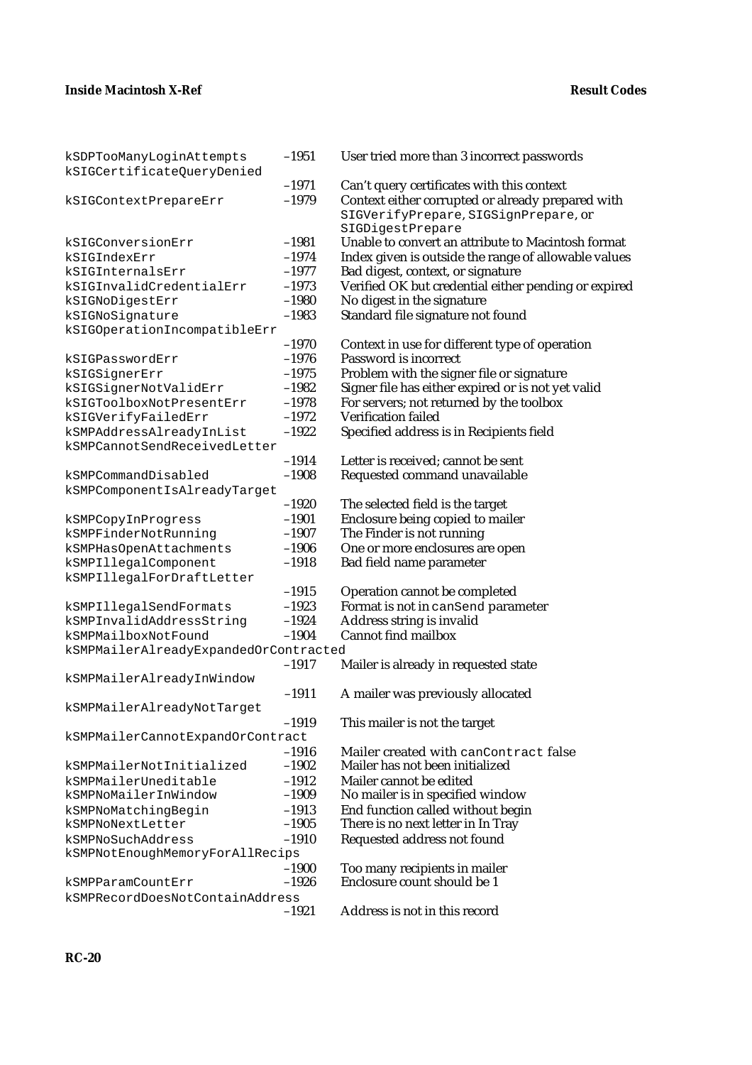| kSDPTooManyLoginAttempts              | $-1951$ | User tried more than 3 incorrect passwords           |
|---------------------------------------|---------|------------------------------------------------------|
| kSIGCertificateQueryDenied            |         |                                                      |
|                                       | $-1971$ | Can't query certificates with this context           |
| kSIGContextPrepareErr                 | $-1979$ | Context either corrupted or already prepared with    |
|                                       |         | SIGVerifyPrepare, SIGSignPrepare, or                 |
|                                       |         | SIGDigestPrepare                                     |
| kSIGConversionErr                     | $-1981$ | Unable to convert an attribute to Macintosh format   |
| kSIGIndexErr                          | $-1974$ | Index given is outside the range of allowable values |
| kSIGInternalsErr                      | $-1977$ | Bad digest, context, or signature                    |
| kSIGInvalidCredentialErr              | $-1973$ | Verified OK but credential either pending or expired |
| kSIGNoDigestErr                       | $-1980$ | No digest in the signature                           |
| kSIGNoSignature                       | $-1983$ | Standard file signature not found                    |
| kSIGOperationIncompatibleErr          |         |                                                      |
|                                       | $-1970$ | Context in use for different type of operation       |
| kSIGPasswordErr                       | $-1976$ | Password is incorrect                                |
| kSIGSignerErr                         | $-1975$ | Problem with the signer file or signature            |
| kSIGSignerNotValidErr                 | $-1982$ | Signer file has either expired or is not yet valid   |
| kSIGToolboxNotPresentErr              | $-1978$ | For servers; not returned by the toolbox             |
| kSIGVerifyFailedErr                   | $-1972$ | <b>Verification failed</b>                           |
| kSMPAddressAlreadyInList              | $-1922$ | Specified address is in Recipients field             |
| kSMPCannotSendReceivedLetter          |         |                                                      |
|                                       | $-1914$ | Letter is received; cannot be sent                   |
| kSMPCommandDisabled                   | $-1908$ | Requested command unavailable                        |
| kSMPComponentIsAlreadyTarget          |         |                                                      |
|                                       | $-1920$ | The selected field is the target                     |
| kSMPCopyInProgress                    | $-1901$ | Enclosure being copied to mailer                     |
| kSMPFinderNotRunning                  | $-1907$ | The Finder is not running                            |
| kSMPHasOpenAttachments                | $-1906$ | One or more enclosures are open                      |
| kSMPIllegalComponent                  | $-1918$ | Bad field name parameter                             |
| kSMPIllegalForDraftLetter             |         |                                                      |
|                                       | $-1915$ | Operation cannot be completed                        |
| kSMPIllegalSendFormats                | $-1923$ | Format is not in canSend parameter                   |
| kSMPInvalidAddressString              | $-1924$ | Address string is invalid                            |
| kSMPMailboxNotFound                   | $-1904$ | <b>Cannot find mailbox</b>                           |
| kSMPMailerAlreadyExpandedOrContracted |         |                                                      |
|                                       | $-1917$ | Mailer is already in requested state                 |
| kSMPMailerAlreadyInWindow             |         |                                                      |
|                                       | $-1911$ | A mailer was previously allocated                    |
| kSMPMailerAlreadyNotTarget            |         |                                                      |
|                                       | $-1919$ | This mailer is not the target                        |
| kSMPMailerCannotExpandOrContract      |         |                                                      |
|                                       | $-1916$ | Mailer created with canContract false                |
| kSMPMailerNotInitialized              | $-1902$ | Mailer has not been initialized                      |
| kSMPMailerUneditable                  | $-1912$ | Mailer cannot be edited                              |
| kSMPNoMailerInWindow                  | $-1909$ | No mailer is in specified window                     |
| kSMPNoMatchingBegin                   | $-1913$ | End function called without begin                    |
| kSMPNoNextLetter                      | $-1905$ | There is no next letter in In Tray                   |
| kSMPNoSuchAddress                     | $-1910$ | Requested address not found                          |
| kSMPNotEnoughMemoryForAllRecips       |         |                                                      |
|                                       | $-1900$ | Too many recipients in mailer                        |
| kSMPParamCountErr                     | $-1926$ | Enclosure count should be 1                          |
| kSMPRecordDoesNotContainAddress       |         |                                                      |
|                                       | $-1921$ | Address is not in this record                        |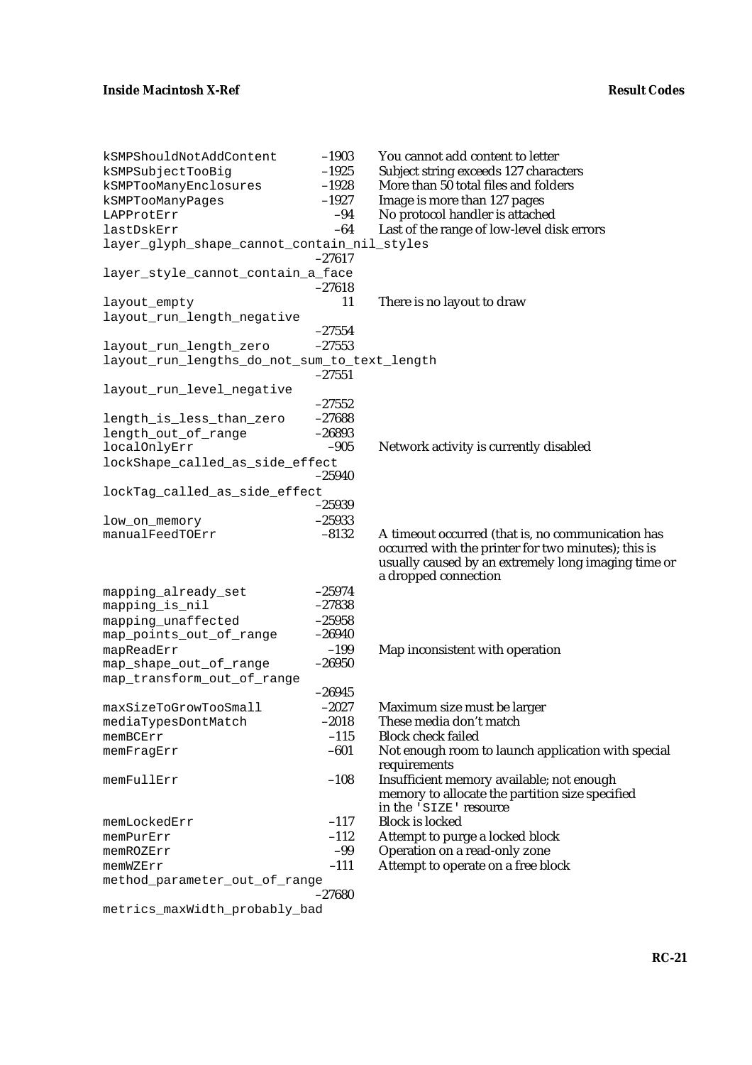| kSMPShouldNotAddContent                      | $-1903$  | You cannot add content to letter                    |
|----------------------------------------------|----------|-----------------------------------------------------|
| kSMPSubjectTooBig                            | $-1925$  | Subject string exceeds 127 characters               |
| kSMPTooManyEnclosures                        | $-1928$  | More than 50 total files and folders                |
| kSMPTooManyPages                             | $-1927$  | Image is more than 127 pages                        |
| LAPProtErr                                   | $-94$    | No protocol handler is attached                     |
| lastDskErr                                   | $-64$    | Last of the range of low-level disk errors          |
| layer_glyph_shape_cannot_contain_nil_styles  |          |                                                     |
|                                              | $-27617$ |                                                     |
| layer_style_cannot_contain_a_face            |          |                                                     |
|                                              | $-27618$ |                                                     |
| layout_empty                                 | 11       | There is no layout to draw                          |
| layout_run_length_negative                   |          |                                                     |
|                                              | $-27554$ |                                                     |
| layout_run_length_zero                       | $-27553$ |                                                     |
| layout_run_lengths_do_not_sum_to_text_length |          |                                                     |
|                                              | $-27551$ |                                                     |
| layout_run_level_negative                    |          |                                                     |
|                                              | $-27552$ |                                                     |
| length_is_less_than_zero                     | $-27688$ |                                                     |
| length_out_of_range                          | $-26893$ |                                                     |
| localOnlyErr                                 | $-905$   | Network activity is currently disabled              |
| lockShape_called_as_side_effect              |          |                                                     |
|                                              | $-25940$ |                                                     |
| lockTag_called_as_side_effect                |          |                                                     |
|                                              | $-25939$ |                                                     |
| low_on_memory                                | $-25933$ |                                                     |
| manualFeedTOErr                              | $-8132$  | A timeout occurred (that is, no communication has   |
|                                              |          | occurred with the printer for two minutes); this is |
|                                              |          | usually caused by an extremely long imaging time or |
|                                              |          | a dropped connection                                |
| mapping_already_set                          | $-25974$ |                                                     |
| mapping_is_nil                               | $-27838$ |                                                     |
| mapping_unaffected                           | $-25958$ |                                                     |
| map_points_out_of_range                      | $-26940$ |                                                     |
| mapReadErr                                   | $-199$   | Map inconsistent with operation                     |
| map_shape_out_of_range                       | $-26950$ |                                                     |
| map_transform_out_of_range                   |          |                                                     |
|                                              | $-26945$ |                                                     |
| maxSizeToGrowTooSmall                        | $-2027$  | Maximum size must be larger                         |
| mediaTypesDontMatch                          | $-2018$  | These media don't match                             |
| memBCErr                                     | $-115$   | <b>Block check failed</b>                           |
| memFragErr                                   | $-601$   | Not enough room to launch application with special  |
|                                              |          | requirements                                        |
| memFullErr                                   | $-108$   | Insufficient memory available; not enough           |
|                                              |          | memory to allocate the partition size specified     |
|                                              |          | in the 'SIZE' resource                              |
| memLockedErr                                 | $-117$   | <b>Block is locked</b>                              |
| memPurErr                                    | $-112$   | Attempt to purge a locked block                     |
| memROZErr                                    | $-99$    | Operation on a read-only zone                       |
| memWZErr                                     | $-111$   | Attempt to operate on a free block                  |
| method_parameter_out_of_range                |          |                                                     |
|                                              | $-27680$ |                                                     |
|                                              |          |                                                     |

metrics\_maxWidth\_probably\_bad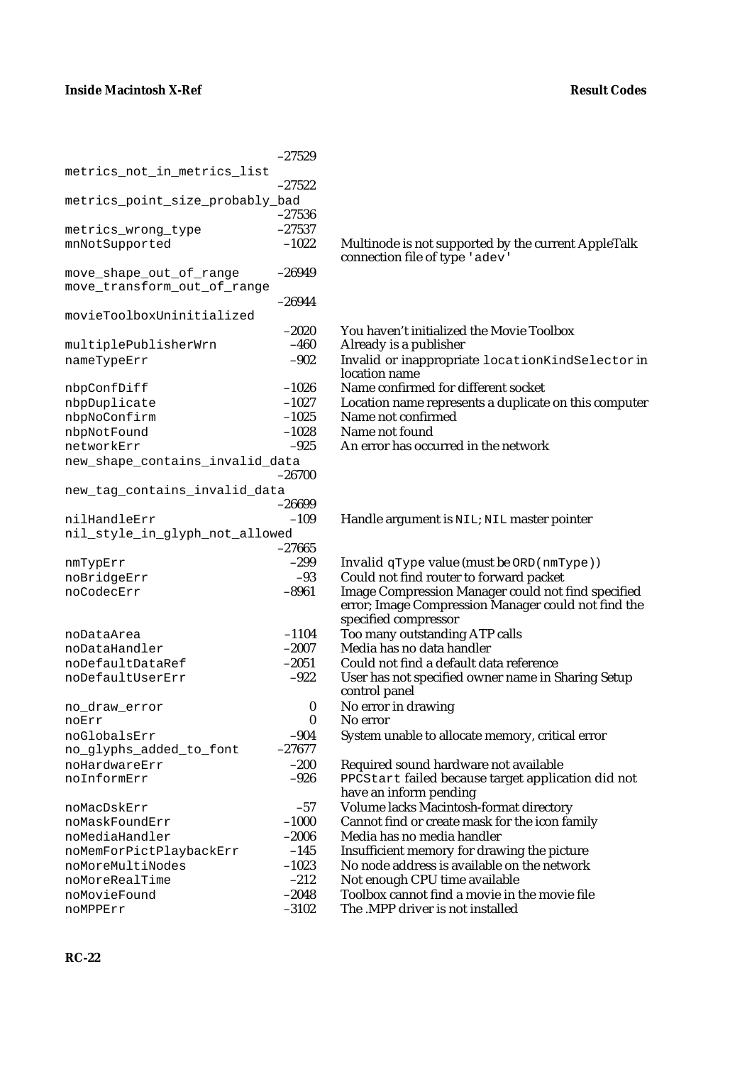|                                 | $-27529$           |                                                                     |
|---------------------------------|--------------------|---------------------------------------------------------------------|
| metrics_not_in_metrics_list     |                    |                                                                     |
|                                 | $-27522$           |                                                                     |
| metrics_point_size_probably_bad |                    |                                                                     |
|                                 | $-27536$           |                                                                     |
| metrics_wrong_type              | $-27537$           |                                                                     |
| mnNotSupported                  | $-1022$            | Multinode is not supported by the<br>connection file of type 'adev' |
| move_shape_out_of_range         | $-26949$           |                                                                     |
| move_transform_out_of_range     |                    |                                                                     |
|                                 | $-26944$           |                                                                     |
| movieToolboxUninitialized       |                    |                                                                     |
|                                 | $-2020$            | You haven't initialized the Movi                                    |
| multiplePublisherWrn            | $-460$             | Already is a publisher                                              |
| nameTypeErr                     | $-902$             | Invalid or inappropriate locat                                      |
|                                 |                    | location name                                                       |
| nbpConfDiff                     | $-1026$            | Name confirmed for different so                                     |
| nbpDuplicate                    | $-1027$            | Location name represents a dup                                      |
| nbpNoConfirm                    | $-1025$            | Name not confirmed                                                  |
| nbpNotFound                     | $-1028$            | Name not found                                                      |
| networkErr                      | $-925$             | An error has occurred in the net                                    |
| new_shape_contains_invalid_data |                    |                                                                     |
|                                 | $-26700$           |                                                                     |
| new_tag_contains_invalid_data   |                    |                                                                     |
|                                 | $-26699$           |                                                                     |
| nilHandleErr                    | $-109$             | Handle argument is NIL; NIL m                                       |
| nil_style_in_glyph_not_allowed  |                    |                                                                     |
|                                 | $-27665$<br>$-299$ | Invalid $q$ Type value (must be $\circ$                             |
| nmTypErr<br>noBridgeErr         | $-93$              | Could not find router to forward                                    |
| noCodecErr                      | $-8961$            | <b>Image Compression Manager co</b>                                 |
|                                 |                    | error; Image Compression Mana                                       |
|                                 |                    | specified compressor                                                |
| noDataArea                      | $-1104$            | Too many outstanding ATP calls                                      |
| noDataHandler                   | $-2007$            | Media has no data handler                                           |
| noDefaultDataRef                | $-2051$            | Could not find a default data ref                                   |
| noDefaultUserErr                | $-922$             | User has not specified owner na                                     |
|                                 |                    | control panel                                                       |
| no_draw_error                   | 0                  | No error in drawing                                                 |
| noErr                           | $\bf{0}$           | No error                                                            |
| noGlobalsErr                    | $-904$             | System unable to allocate memo                                      |
| no_glyphs_added_to_font         | $-27677$           |                                                                     |
| noHardwareErr                   | $-200$             | Required sound hardware not a                                       |
| noInformErr                     | $-926$             | PPCStart failed because targe                                       |
|                                 |                    | have an inform pending                                              |
| noMacDskErr                     | $-57$              | Volume lacks Macintosh-format                                       |
| noMaskFoundErr                  | $-1000$            | Cannot find or create mask for t                                    |
| noMediaHandler                  | $-2006$            | Media has no media handler                                          |
| noMemForPictPlaybackErr         | $-145$             | Insufficient memory for drawing                                     |
| noMoreMultiNodes                | $-1023$            | No node address is available on                                     |
| noMoreRealTime                  | $-212$             | Not enough CPU time available                                       |
| noMovieFound                    | $-2048$            | Toolbox cannot find a movie in                                      |
| noMPPErr                        | $-3102$            | The MPP driver is not installed                                     |

Multinode is not supported by the current AppleTalk connection file of type 'adev'

- –2020 You haven't initialized the Movie Toolbox
- Already is a publisher
- Invalid or inappropriate locationKindSelector in location name
- Name confirmed for different socket
- Location name represents a duplicate on this computer
- Name not confirmed
- Name not found
	- An error has occurred in the network

### Handle argument is NIL; NIL master pointer

- Invalid qType value (must be  $ORD(nmType)$ ) Could not find router to forward packet Image Compression Manager could not find specified error; Image Compression Manager could not find the specified compressor Too many outstanding ATP calls Media has no data handler Could not find a default data reference
- 
- User has not specified owner name in Sharing Setup control panel
- No error in drawing
- No error
- System unable to allocate memory, critical error
- Required sound hardware not available
- PPCStart failed because target application did not have an inform pending
- Volume lacks Macintosh-format directory
- Cannot find or create mask for the icon family
- Media has no media handler
- Insufficient memory for drawing the picture
- No node address is available on the network
	- Not enough CPU time available
	- Toolbox cannot find a movie in the movie file
-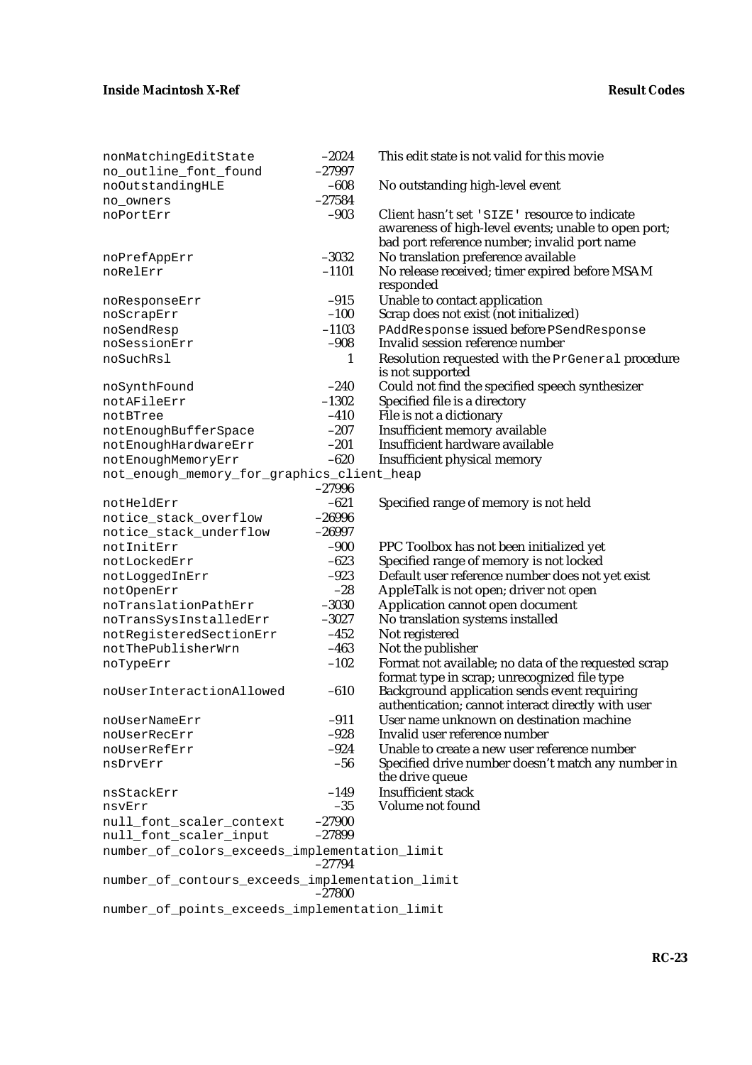| nonMatchingEditState                            | $-2024$      | This edit state is not valid for this movie                                                                                                           |
|-------------------------------------------------|--------------|-------------------------------------------------------------------------------------------------------------------------------------------------------|
| no_outline_font_found                           | $-27997$     |                                                                                                                                                       |
| noOutstandingHLE                                | $-608$       | No outstanding high-level event                                                                                                                       |
| no owners                                       | $-27584$     |                                                                                                                                                       |
| noPortErr                                       | $-903$       | Client hasn't set 'SIZE' resource to indicate<br>awareness of high-level events; unable to open port;<br>bad port reference number; invalid port name |
| noPrefAppErr                                    | $-3032$      | No translation preference available                                                                                                                   |
| noRelErr                                        | $-1101$      | No release received; timer expired before MSAM<br>responded                                                                                           |
| noResponseErr                                   | $-915$       | Unable to contact application                                                                                                                         |
| noScrapErr                                      | $-100$       | Scrap does not exist (not initialized)                                                                                                                |
| noSendResp                                      | $-1103$      | PAddResponse issued before PSendResponse                                                                                                              |
| noSessionErr                                    | $-908$       | Invalid session reference number                                                                                                                      |
| noSuchRsl                                       | $\mathbf{1}$ | Resolution requested with the PrGeneral procedure<br>is not supported                                                                                 |
| noSynthFound                                    | $-240$       | Could not find the specified speech synthesizer                                                                                                       |
| notAFileErr                                     | $-1302$      | Specified file is a directory                                                                                                                         |
| notBTree                                        | $-410$       | File is not a dictionary                                                                                                                              |
| notEnoughBufferSpace                            | $-207$       | Insufficient memory available                                                                                                                         |
| notEnoughHardwareErr                            | $-201$       | Insufficient hardware available                                                                                                                       |
| notEnoughMemoryErr                              | $-620$       | Insufficient physical memory                                                                                                                          |
| not_enough_memory_for_graphics_client_heap      |              |                                                                                                                                                       |
|                                                 | $-27996$     |                                                                                                                                                       |
| notHeldErr                                      | $-621$       | Specified range of memory is not held                                                                                                                 |
| notice_stack_overflow                           | $-26996$     |                                                                                                                                                       |
| notice_stack_underflow                          | $-26997$     |                                                                                                                                                       |
| notInitErr                                      | $-900$       | PPC Toolbox has not been initialized yet                                                                                                              |
| notLockedErr                                    | $-623$       | Specified range of memory is not locked                                                                                                               |
| notLoggedInErr                                  | $-923$       | Default user reference number does not yet exist                                                                                                      |
| notOpenErr                                      | $-28$        | AppleTalk is not open; driver not open                                                                                                                |
| noTranslationPathErr                            | $-3030$      | Application cannot open document                                                                                                                      |
| noTransSysInstalledErr                          | $-3027$      | No translation systems installed                                                                                                                      |
| notRegisteredSectionErr                         | $-452$       | Not registered                                                                                                                                        |
| notThePublisherWrn                              | $-463$       | Not the publisher                                                                                                                                     |
| noTypeErr                                       | $-102$       | Format not available; no data of the requested scrap                                                                                                  |
| noUserInteractionAllowed                        | $-610$       | format type in scrap; unrecognized file type<br>Background application sends event requiring<br>authentication; cannot interact directly with user    |
| noUserNameErr                                   | $-911$       | User name unknown on destination machine                                                                                                              |
| noUserRecErr                                    | $-928$       | Invalid user reference number                                                                                                                         |
| noUserRefErr                                    | $-924$       | Unable to create a new user reference number                                                                                                          |
| nsDrvErr                                        | $-56$        | Specified drive number doesn't match any number in                                                                                                    |
|                                                 |              | the drive queue                                                                                                                                       |
| nsStackErr                                      | $-149$       | <b>Insufficient stack</b>                                                                                                                             |
| nsvErr                                          | $-35$        | Volume not found                                                                                                                                      |
| null_font_scaler_context                        | $-27900$     |                                                                                                                                                       |
| null_font_scaler_input                          | $-27899$     |                                                                                                                                                       |
| number_of_colors_exceeds_implementation_limit   | $-27794$     |                                                                                                                                                       |
| number_of_contours_exceeds_implementation_limit | $-27800$     |                                                                                                                                                       |
| number_of_points_exceeds_implementation_limit   |              |                                                                                                                                                       |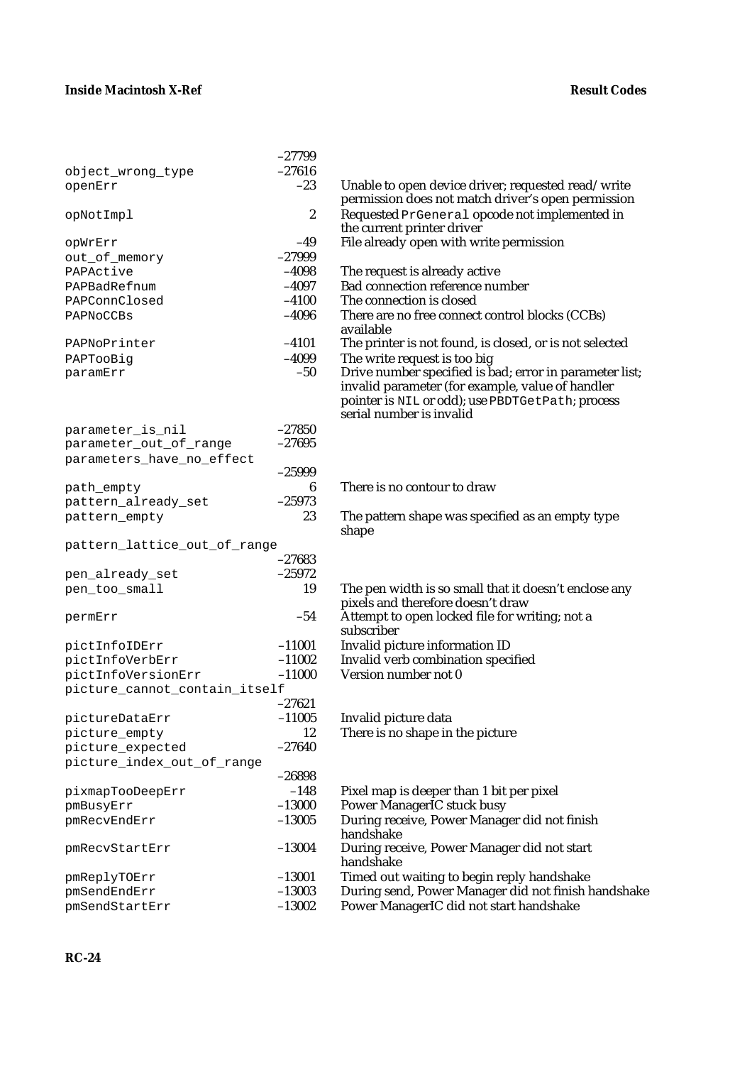|                               | $-27799$         |                                                                       |
|-------------------------------|------------------|-----------------------------------------------------------------------|
| object_wrong_type             | $-27616$         |                                                                       |
| openErr                       | $-23$            | Unable to open device driver; requested read/write                    |
|                               | $\boldsymbol{2}$ | permission does not match driver's open permission                    |
| opNotImpl                     |                  | Requested PrGeneral opcode not implemented in                         |
| OPWrErr                       | $-49$            | the current printer driver<br>File already open with write permission |
|                               | $-27999$         |                                                                       |
| out_of_memory<br>PAPActive    | $-4098$          |                                                                       |
|                               | $-4097$          | The request is already active                                         |
| PAPBadRefnum<br>PAPConnClosed | $-4100$          | <b>Bad connection reference number</b><br>The connection is closed    |
|                               | $-4096$          |                                                                       |
| PAPNoCCBs                     |                  | There are no free connect control blocks (CCBs)<br>available          |
| PAPNoPrinter                  | $-4101$          | The printer is not found, is closed, or is not selected               |
| PAPTooBig                     | $-4099$          | The write request is too big                                          |
| paramErr                      | $-50$            | Drive number specified is bad; error in parameter list;               |
|                               |                  | invalid parameter (for example, value of handler                      |
|                               |                  | pointer is NIL or odd); use PBDTGetPath; process                      |
|                               |                  | serial number is invalid                                              |
| parameter_is_nil              | $-27850$         |                                                                       |
| parameter_out_of_range        | $-27695$         |                                                                       |
| parameters_have_no_effect     |                  |                                                                       |
|                               | $-25999$         |                                                                       |
| path_empty                    | 6                | There is no contour to draw                                           |
| pattern_already_set           | $-25973$         |                                                                       |
| pattern_empty                 | 23               | The pattern shape was specified as an empty type<br>shape             |
| pattern_lattice_out_of_range  |                  |                                                                       |
|                               | $-27683$         |                                                                       |
| pen_already_set               | $-25972$         |                                                                       |
| pen_too_small                 | 19               | The pen width is so small that it doesn't enclose any                 |
|                               |                  | pixels and therefore doesn't draw                                     |
| permErr                       | $-54$            | Attempt to open locked file for writing; not a                        |
|                               |                  | subscriber                                                            |
| pictInfoIDErr                 | $-11001$         | Invalid picture information ID                                        |
| pictInfoVerbErr               | $-11002$         | Invalid verb combination specified                                    |
| pictInfoVersionErr            | $-11000$         | Version number not 0                                                  |
| picture_cannot_contain_itself |                  |                                                                       |
|                               |                  |                                                                       |
|                               | $-27621$         | Invalid picture data                                                  |
| pictureDataErr                | $-11005$         |                                                                       |
| picture_empty                 | 12               | There is no shape in the picture                                      |
| picture_expected              | $-27640$         |                                                                       |
| picture_index_out_of_range    |                  |                                                                       |
|                               | $-26898$         |                                                                       |
| pixmapTooDeepErr              | $-148$           | Pixel map is deeper than 1 bit per pixel                              |
| pmBusyErr                     | $-13000$         | Power ManagerIC stuck busy                                            |
| pmRecvEndErr                  | $-13005$         | During receive, Power Manager did not finish                          |
|                               |                  | handshake                                                             |
| pmRecvStartErr                | $-13004$         | During receive, Power Manager did not start                           |
|                               |                  | handshake                                                             |
| pmReplyTOErr                  | $-13001$         | Timed out waiting to begin reply handshake                            |
| pmSendEndErr                  | $-13003$         | During send, Power Manager did not finish handshake                   |
| pmSendStartErr                | $-13002$         | Power ManagerIC did not start handshake                               |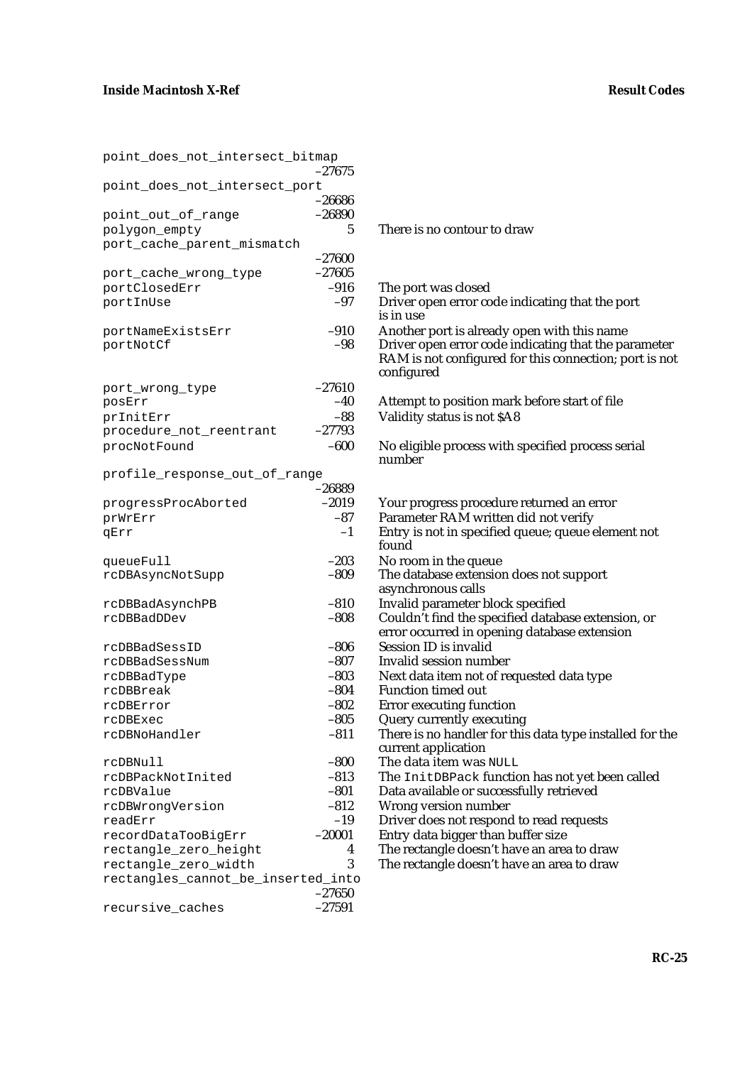| point_does_not_intersect_bitmap                            | -27675           |
|------------------------------------------------------------|------------------|
| point_does_not_intersect_port                              | -26686           |
| point_out_of_range                                         | $-26890$         |
| polygon_empty                                              | 5                |
| port_cache_parent_mismatch                                 |                  |
|                                                            | $-27600$         |
| port_cache_wrong_type                                      | $-27605$         |
| portClosedErr                                              | $-916$           |
| portInUse                                                  | $-97$            |
| portNameExistsErr                                          | $-910$           |
| portNotCf                                                  | -98              |
|                                                            |                  |
| port_wrong_type                                            | $-27610$         |
| posErr                                                     | $-40$            |
| prInitErr                                                  | $-88$            |
| procedure_not_reentrant                                    | $-27793$         |
| procNotFound                                               | $-600$           |
| profile_response_out_of_range                              |                  |
|                                                            | –26889           |
| progressProcAborted                                        | $-2019$<br>$-87$ |
| prWrErr<br>qErr                                            | $-1$             |
|                                                            |                  |
| queueFull                                                  | $-203$           |
| rcDBAsyncNotSupp                                           | $-809$           |
|                                                            |                  |
| rcDBBadAsynchPB                                            | $-810$           |
| rcDBBadDDev                                                | $-808$           |
| rcDBBadSessID                                              | $-806$           |
| rcDBBadSessNum                                             | $-807$           |
| rcDBBadType                                                | $-803$           |
| rcDBBreak                                                  | $-804$           |
| rcDBError                                                  | $-802$           |
| rcDBExec                                                   | $-805$           |
| rcDBNoHandler                                              | $-811$           |
| rcDBNull                                                   | $-800$           |
| rcDBPackNotInited                                          | $-813$           |
| rcDBValue                                                  | $-801$           |
| rcDBWrongVersion                                           | $-812$           |
| readErr                                                    | $-19$            |
| recordDataTooBigErr                                        | $-20001$         |
| rectangle_zero_height                                      | 4                |
| rectangle zero width<br>rectangles_cannot_be_inserted_into | 3                |
|                                                            | $-27650$         |
| recursive caches                                           | $-27591$         |

There is no contour to draw The port was closed Driver open error code indicating that the port is in use Another port is already open with this name Driver open error code indicating that the parameter RAM is not configured for this connection; port is not configured Attempt to position mark before start of file Validity status is not \$A8 No eligible process with specified process serial number Your progress procedure returned an error Parameter RAM written did not verify Entry is not in specified queue; queue element not found No room in the queue The database extension does not support asynchronous calls Invalid parameter block specified Couldn't find the specified database extension, or error occurred in opening database extension Session ID is invalid Invalid session number Next data item not of requested data type Function timed out Error executing function Query currently executing There is no handler for this data type installed for the current application The data item was NULL The InitDBPack function has not yet been called Data available or successfully retrieved Wrong version number Driver does not respond to read requests Entry data bigger than buffer size The rectangle doesn't have an area to draw The rectangle doesn't have an area to draw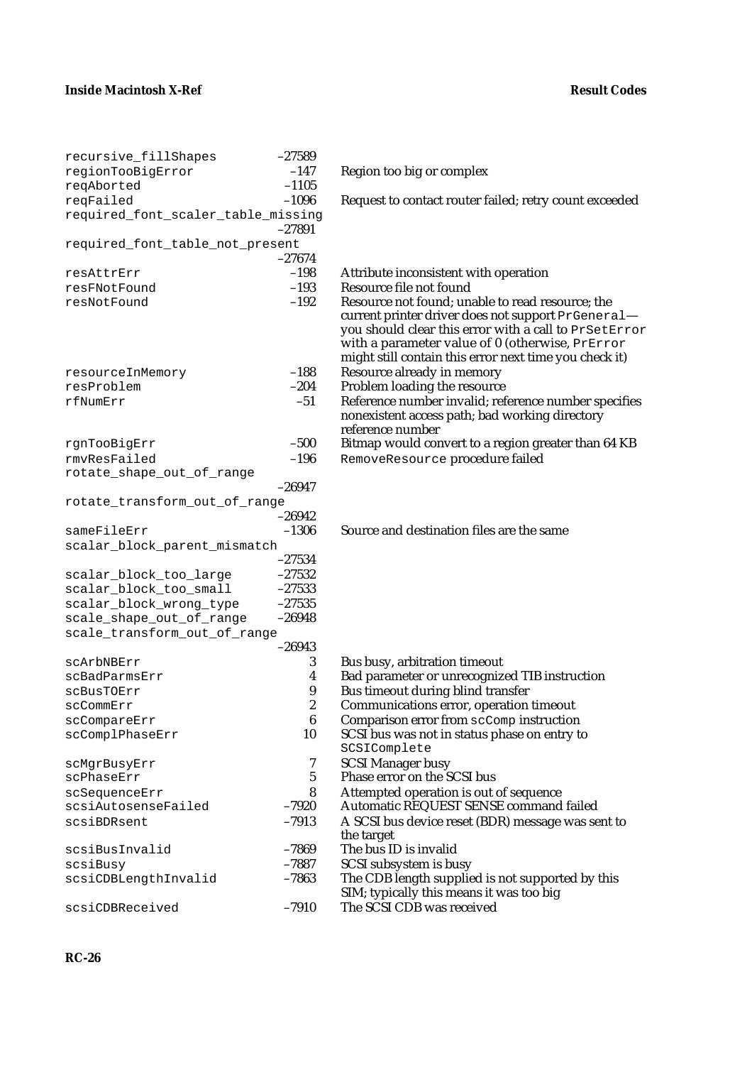| recursive_fillShapes               | $-27589$         |                                                        |
|------------------------------------|------------------|--------------------------------------------------------|
| regionTooBigError                  | $-147$           | Region too big or complex                              |
| reqAborted                         | $-1105$          |                                                        |
| reqFailed                          | $-1096$          | Request to contact router failed; retry count exceeded |
| required_font_scaler_table_missing |                  |                                                        |
|                                    | $-27891$         |                                                        |
| required_font_table_not_present    |                  |                                                        |
|                                    | $-27674$         |                                                        |
| resAttrErr                         | $-198$           | Attribute inconsistent with operation                  |
| resFNotFound                       | $-193$           | Resource file not found                                |
| resNotFound                        | $-192$           | Resource not found; unable to read resource; the       |
|                                    |                  | current printer driver does not support PrGeneral-     |
|                                    |                  | you should clear this error with a call to PrSetError  |
|                                    |                  | with a parameter value of 0 (otherwise, PrError        |
|                                    |                  | might still contain this error next time you check it) |
|                                    | $-188$           | Resource already in memory                             |
| resourceInMemory<br>resProblem     | $-204$           | Problem loading the resource                           |
|                                    |                  |                                                        |
| rfNumErr                           | $-51$            | Reference number invalid; reference number specifies   |
|                                    |                  | nonexistent access path; bad working directory         |
|                                    | $-500$           | reference number                                       |
| rgnTooBigErr                       |                  | Bitmap would convert to a region greater than 64 KB    |
| rmvResFailed                       | $-196$           | RemoveResource procedure failed                        |
| rotate_shape_out_of_range          |                  |                                                        |
|                                    | $-26947$         |                                                        |
| rotate_transform_out_of_range      |                  |                                                        |
|                                    | $-26942$         |                                                        |
| sameFileErr                        | $-1306$          | Source and destination files are the same              |
| scalar_block_parent_mismatch       |                  |                                                        |
|                                    | $-27534$         |                                                        |
| scalar_block_too_large             | $-27532$         |                                                        |
| scalar_block_too_small             | $-27533$         |                                                        |
| scalar_block_wrong_type            | $-27535$         |                                                        |
| scale_shape_out_of_range           | $-26948$         |                                                        |
| scale_transform_out_of_range       |                  |                                                        |
|                                    | $-26943$         |                                                        |
| scArbNBErr                         | 3                | Bus busy, arbitration timeout                          |
| scBadParmsErr                      | 4                | Bad parameter or unrecognized TIB instruction          |
| scBusTOErr                         | 9                | Bus timeout during blind transfer                      |
| scCommErr                          | $\boldsymbol{2}$ | Communications error, operation timeout                |
| scCompareErr                       | $\bf 6$          | Comparison error from scComp instruction               |
| scComplPhaseErr                    | 10               | SCSI bus was not in status phase on entry to           |
|                                    |                  | SCSIComplete                                           |
| scMgrBusyErr                       | 7                | <b>SCSI Manager busy</b>                               |
| scPhaseErr                         | $5\phantom{.0}$  | Phase error on the SCSI bus                            |
| scSequenceErr                      | 8                | Attempted operation is out of sequence                 |
| scsiAutosenseFailed                | $-7920$          | Automatic REQUEST SENSE command failed                 |
| scsiBDRsent                        | $-7913$          | A SCSI bus device reset (BDR) message was sent to      |
|                                    |                  | the target                                             |
| scsiBusInvalid                     | $-7869$          | The bus ID is invalid                                  |
| scsiBusy                           | $-7887$          | SCSI subsystem is busy                                 |
| scsiCDBLengthInvalid               | $-7863$          | The CDB length supplied is not supported by this       |
|                                    |                  | SIM; typically this means it was too big               |
| scsiCDBReceived                    | $-7910$          | The SCSI CDB was received                              |
|                                    |                  |                                                        |

| Region too big or complex                                                                                                                                                                                                                                                                               |
|---------------------------------------------------------------------------------------------------------------------------------------------------------------------------------------------------------------------------------------------------------------------------------------------------------|
| Request to contact router failed; retry count exceeded                                                                                                                                                                                                                                                  |
| Attribute inconsistent with operation                                                                                                                                                                                                                                                                   |
| Resource file not found<br>Resource not found; unable to read resource; the<br>current printer driver does not support PrGeneral-<br>you should clear this error with a call to PrSetError<br>with a parameter value of 0 (otherwise, PrError<br>might still contain this error next time you check it) |
| Resource already in memory<br>Problem loading the resource<br>Reference number invalid; reference number specifies<br>nonexistent access path; bad working directory                                                                                                                                    |
| reference number<br>Bitmap would convert to a region greater than 64 KB<br>RemoveResource procedure failed                                                                                                                                                                                              |
|                                                                                                                                                                                                                                                                                                         |
| Source and destination files are the same                                                                                                                                                                                                                                                               |
|                                                                                                                                                                                                                                                                                                         |
|                                                                                                                                                                                                                                                                                                         |
| Bus busy, arbitration timeout                                                                                                                                                                                                                                                                           |
| Bad parameter or unrecognized TIB instruction<br>Bus timeout during blind transfer<br>Communications error, operation timeout                                                                                                                                                                           |
| Comparison error from scComp instruction<br>SCSI bus was not in status phase on entry to                                                                                                                                                                                                                |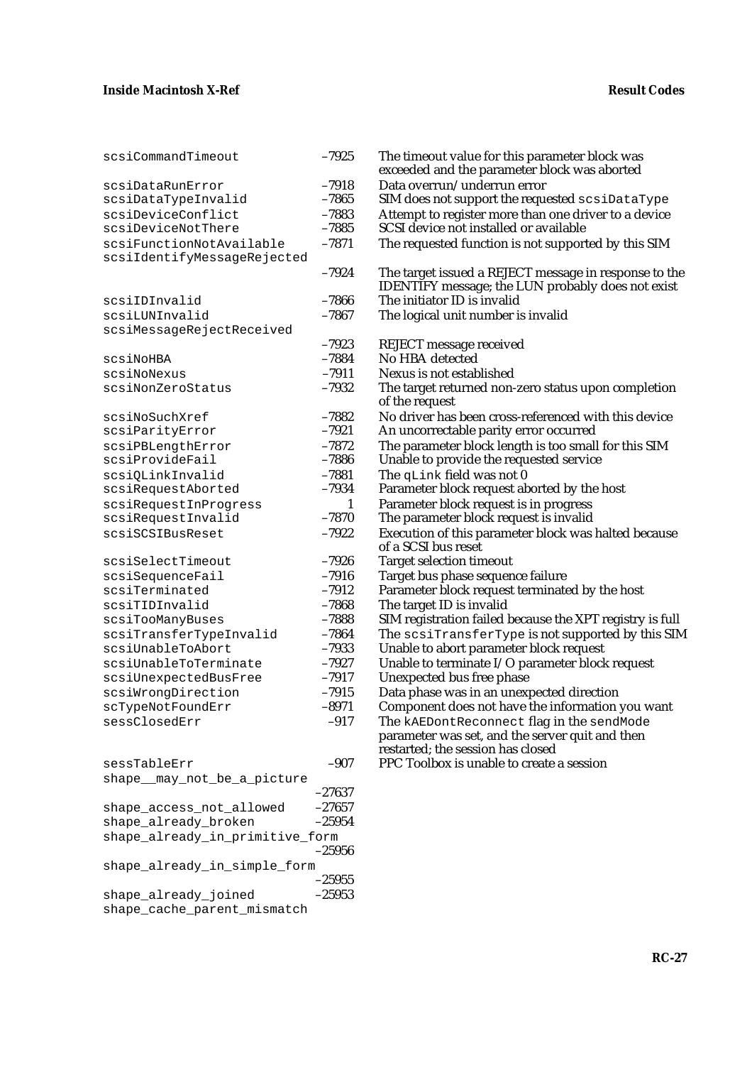shape\_cache\_parent\_mismatch

| scsiCommandTimeout                                      | $-7925$              | The timeout value for this parameter block was<br>exceeded and the parameter block was aborted             |
|---------------------------------------------------------|----------------------|------------------------------------------------------------------------------------------------------------|
| scsiDataRunError                                        | $-7918$              | Data overrun/underrun error                                                                                |
| scsiDataTypeInvalid                                     | $-7865$              | SIM does not support the requested scsiDataType                                                            |
| scsiDeviceConflict                                      | $-7883$              | Attempt to register more than one driver to a device                                                       |
| scsiDeviceNotThere                                      | $-7885$              | SCSI device not installed or available                                                                     |
| scsiFunctionNotAvailable<br>scsiIdentifyMessageRejected | $-7871$              | The requested function is not supported by this SIM                                                        |
|                                                         | $-7924$              | The target issued a REJECT message in response to the<br>IDENTIFY message; the LUN probably does not exist |
| scsiIDInvalid                                           | $-7866$              | The initiator ID is invalid                                                                                |
| scsiLUNInvalid                                          | $-7867$              | The logical unit number is invalid                                                                         |
| scsiMessageRejectReceived                               |                      |                                                                                                            |
|                                                         | $-7923$              | <b>REJECT</b> message received                                                                             |
| scsiNoHBA                                               | $-7884$              | No HBA detected                                                                                            |
| scsiNoNexus                                             | $-7911$              | Nexus is not established                                                                                   |
| scsiNonZeroStatus                                       | $-7932$              | The target returned non-zero status upon completion<br>of the request                                      |
| scsiNoSuchXref                                          | $-7882$              | No driver has been cross-referenced with this device                                                       |
| scsiParityError                                         | $-7921$              | An uncorrectable parity error occurred                                                                     |
| scsiPBLengthError                                       | $-7872$              | The parameter block length is too small for this SIM                                                       |
| scsiProvideFail                                         | $-7886$              | Unable to provide the requested service                                                                    |
| scsiQLinkInvalid                                        | $-7881$              | The qLink field was not 0                                                                                  |
| scsiRequestAborted                                      | $-7934$              | Parameter block request aborted by the host                                                                |
| scsiRequestInProgress                                   | $\mathbf{1}$         | Parameter block request is in progress                                                                     |
| scsiRequestInvalid                                      | $-7870$              | The parameter block request is invalid                                                                     |
| scsiSCSIBusReset                                        | $-7922$              | Execution of this parameter block was halted because<br>of a SCSI bus reset                                |
| scsiSelectTimeout                                       | $-7926$              | <b>Target selection timeout</b>                                                                            |
| scsiSequenceFail                                        | $-7916$              | Target bus phase sequence failure                                                                          |
| scsiTerminated                                          | $-7912$              | Parameter block request terminated by the host                                                             |
| scsiTIDInvalid                                          | $-7868$              | The target ID is invalid                                                                                   |
| scsiTooManyBuses                                        | $-7888$              | SIM registration failed because the XPT registry is full                                                   |
| scsiTransferTypeInvalid                                 | $-7864$              | The scsiTransferType is not supported by this SIM                                                          |
| scsiUnableToAbort                                       | $-7933$              | Unable to abort parameter block request                                                                    |
| scsiUnableToTerminate                                   | $-7927$              | Unable to terminate I/O parameter block request                                                            |
| scsiUnexpectedBusFree                                   | $-7917$              | Unexpected bus free phase                                                                                  |
| scsiWrongDirection                                      | $-7915$              | Data phase was in an unexpected direction                                                                  |
| scTypeNotFoundErr                                       | $-8971$              | Component does not have the information you want                                                           |
| sessClosedErr                                           | $-917$               | The kAEDontReconnect flag in the sendMode<br>parameter was set, and the server quit and then               |
| sessTableErr                                            | $-907$               | restarted; the session has closed<br>PPC Toolbox is unable to create a session                             |
|                                                         |                      |                                                                                                            |
| shape__may_not_be_a_picture                             |                      |                                                                                                            |
|                                                         | $-27637$<br>$-27657$ |                                                                                                            |
| shape_access_not_allowed                                |                      |                                                                                                            |
| shape_already_broken                                    | $-25954$             |                                                                                                            |
| shape_already_in_primitive_form                         | $-25956$             |                                                                                                            |
| shape_already_in_simple_form                            |                      |                                                                                                            |
|                                                         | $-25955$             |                                                                                                            |
| shape_already_joined                                    | $-25953$             |                                                                                                            |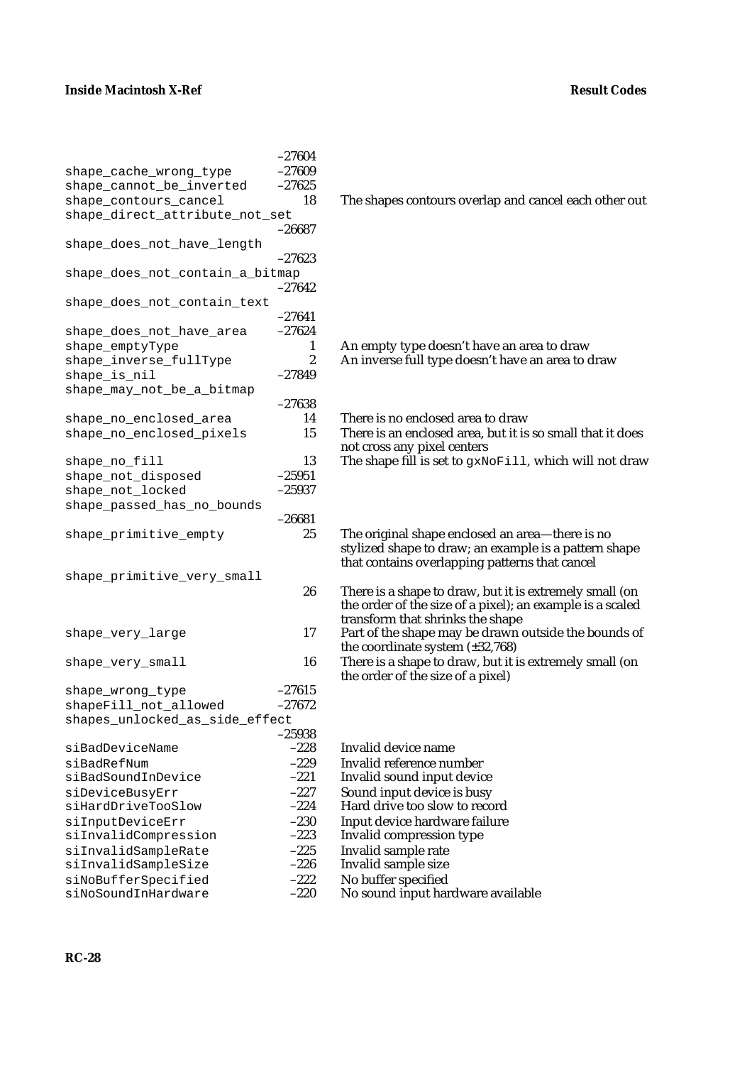|                                 | $-27604$     |                                                                                          |
|---------------------------------|--------------|------------------------------------------------------------------------------------------|
| shape_cache_wrong_type          | $-27609$     |                                                                                          |
| shape_cannot_be_inverted        | $-27625$     |                                                                                          |
| shape_contours_cancel           | 18           | The shapes contours overlap and cancel each other out                                    |
| shape_direct_attribute_not_set  |              |                                                                                          |
|                                 | $-26687$     |                                                                                          |
| shape_does_not_have_length      |              |                                                                                          |
|                                 | $-27623$     |                                                                                          |
| shape_does_not_contain_a_bitmap |              |                                                                                          |
|                                 | $-27642$     |                                                                                          |
| shape_does_not_contain_text     |              |                                                                                          |
|                                 | $-27641$     |                                                                                          |
| shape_does_not_have_area        | $-27624$     |                                                                                          |
| shape_emptyType                 | $\mathbf{1}$ | An empty type doesn't have an area to draw                                               |
| shape_inverse_fullType          | 2            | An inverse full type doesn't have an area to draw                                        |
| shape_is_nil                    | $-27849$     |                                                                                          |
| shape_may_not_be_a_bitmap       |              |                                                                                          |
|                                 | $-27638$     |                                                                                          |
| shape_no_enclosed_area          | 14           | There is no enclosed area to draw                                                        |
| shape_no_enclosed_pixels        | 15           | There is an enclosed area, but it is so small that it does                               |
|                                 |              | not cross any pixel centers                                                              |
| shape_no_fill                   | 13           | The shape fill is set to gxNoFill, which will not draw                                   |
| shape_not_disposed              | $-25951$     |                                                                                          |
| shape_not_locked                | $-25937$     |                                                                                          |
| shape_passed_has_no_bounds      |              |                                                                                          |
|                                 | $-26681$     |                                                                                          |
| shape_primitive_empty           | 25           | The original shape enclosed an area-there is no                                          |
|                                 |              | stylized shape to draw; an example is a pattern shape                                    |
|                                 |              | that contains overlapping patterns that cancel                                           |
| shape_primitive_very_small      |              |                                                                                          |
|                                 | 26           | There is a shape to draw, but it is extremely small (on                                  |
|                                 |              | the order of the size of a pixel); an example is a scaled                                |
|                                 | 17           | transform that shrinks the shape<br>Part of the shape may be drawn outside the bounds of |
| shape_very_large                |              | the coordinate system $(\pm 32, 768)$                                                    |
| shape_very_small                | 16           | There is a shape to draw, but it is extremely small (on                                  |
|                                 |              | the order of the size of a pixel)                                                        |
| shape_wrong_type                | $-27615$     |                                                                                          |
| shapeFill_not_allowed           | $-27672$     |                                                                                          |
| shapes_unlocked_as_side_effect  |              |                                                                                          |
|                                 | $-25938$     |                                                                                          |
| siBadDeviceName                 | $-228$       | Invalid device name                                                                      |
| siBadRefNum                     | $-229$       | Invalid reference number                                                                 |
| siBadSoundInDevice              | $-221$       | Invalid sound input device                                                               |
| siDeviceBusyErr                 | $-227$       | Sound input device is busy                                                               |
| siHardDriveTooSlow              | $-224$       | Hard drive too slow to record                                                            |
| siInputDeviceErr                | $-230$       | Input device hardware failure                                                            |
| siInvalidCompression            | $-223$       | Invalid compression type                                                                 |
| siInvalidSampleRate             | $-225$       | Invalid sample rate                                                                      |
| siInvalidSampleSize             | $-226$       | Invalid sample size                                                                      |
| siNoBufferSpecified             | $-222$       | No buffer specified                                                                      |
| siNoSoundInHardware             | $-220$       | No sound input hardware available                                                        |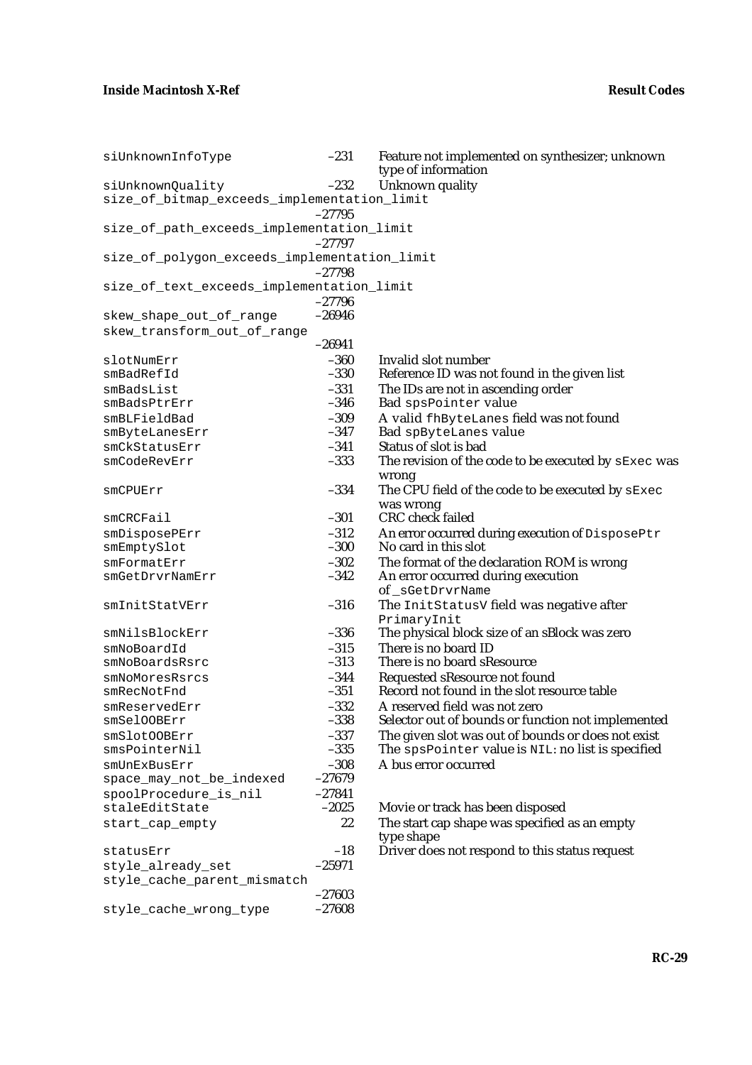| siUnknownInfoType                            | $-231$           | Feature not implemented on synthesizer; unknown<br>type of information           |
|----------------------------------------------|------------------|----------------------------------------------------------------------------------|
| siUnknownQuality                             | $-232$           | Unknown quality                                                                  |
| size_of_bitmap_exceeds_implementation_limit  |                  |                                                                                  |
|                                              | $-27795$         |                                                                                  |
| size_of_path_exceeds_implementation_limit    |                  |                                                                                  |
|                                              | $-27797$         |                                                                                  |
| size_of_polygon_exceeds_implementation_limit | $-27798$         |                                                                                  |
| size_of_text_exceeds_implementation_limit    |                  |                                                                                  |
|                                              | $-27796$         |                                                                                  |
| skew_shape_out_of_range                      | $-26946$         |                                                                                  |
| skew_transform_out_of_range                  |                  |                                                                                  |
|                                              | $-26941$         |                                                                                  |
| slotNumErr                                   | $-360$           | Invalid slot number                                                              |
| smBadRefId                                   | $-330$           | Reference ID was not found in the given list                                     |
| smBadsList                                   | $-331$           | The IDs are not in ascending order                                               |
| smBadsPtrErr                                 | $-346$           | Bad spsPointer value                                                             |
| smBLFieldBad                                 | $-309$           | A valid fhByteLanes field was not found                                          |
| smByteLanesErr                               | $-347$           | Bad spByteLanes value                                                            |
| smCkStatusErr                                | $-341$           | Status of slot is bad                                                            |
| smCodeRevErr                                 | $-333$           | The revision of the code to be executed by sExec was                             |
|                                              |                  | wrong                                                                            |
| smCPUErr                                     | $-334$           | The CPU field of the code to be executed by SExec                                |
|                                              | $-301$           | was wrong<br><b>CRC</b> check failed                                             |
| smCFCFail                                    |                  |                                                                                  |
| smDisposePErr                                | $-312$<br>$-300$ | An error occurred during execution of DisposePtr<br>No card in this slot         |
| smEmptySlot                                  | $-302$           |                                                                                  |
| smFormatErr<br>smGetDrvrNamErr               | $-342$           | The format of the declaration ROM is wrong<br>An error occurred during execution |
|                                              |                  | of_sGetDrvrName                                                                  |
| smInitStatVErr                               | $-316$           | The InitStatusV field was negative after                                         |
|                                              |                  | PrimaryInit                                                                      |
| smNilsBlockErr                               | $-336$           | The physical block size of an sBlock was zero                                    |
| smNoBoardId                                  | $-315$           | There is no board ID                                                             |
| smNoBoardsRsrc                               | $-313$           | There is no board sResource                                                      |
| smNoMoresRsrcs                               | $-344$           | Requested sResource not found                                                    |
| smRecNotFnd                                  | $-351$           | Record not found in the slot resource table                                      |
| smReservedErr                                | $-332$           | A reserved field was not zero                                                    |
| smSelOOBErr                                  | $-338$           | Selector out of bounds or function not implemented                               |
| smSlotOOBErr                                 | $-337$           | The given slot was out of bounds or does not exist                               |
| smsPointerNil                                | $-335$           | The spsPointer value is NIL: no list is specified                                |
| smUnExBusErr                                 | $-308$           | A bus error occurred                                                             |
| space_may_not_be_indexed                     | $-27679$         |                                                                                  |
| spoolProcedure_is_nil                        | $-27841$         |                                                                                  |
| staleEditState                               | $-2025$          | Movie or track has been disposed                                                 |
| start_cap_empty                              | 22               | The start cap shape was specified as an empty<br>type shape                      |
| statusErr                                    | $-18$            | Driver does not respond to this status request                                   |
| style_already_set                            | $-25971$         |                                                                                  |
| style_cache_parent_mismatch                  |                  |                                                                                  |
|                                              | $-27603$         |                                                                                  |
| style_cache_wrong_type                       | $-27608$         |                                                                                  |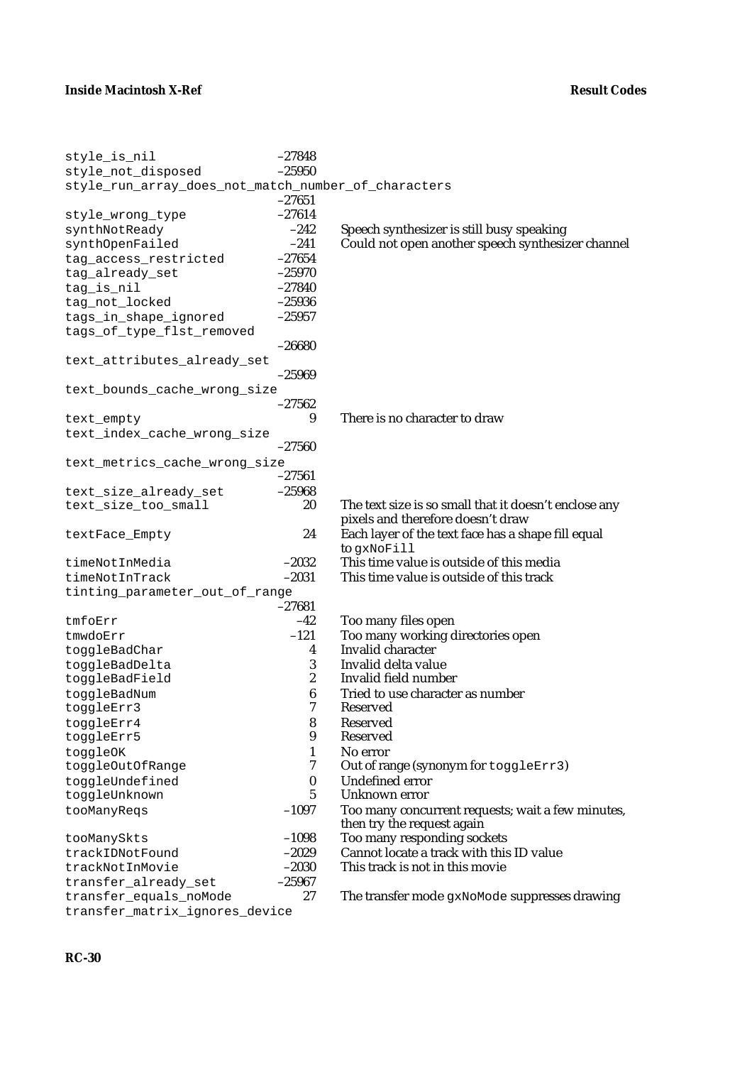| style_is_nil                                        | $-27848$         |                                                                                 |
|-----------------------------------------------------|------------------|---------------------------------------------------------------------------------|
| style_not_disposed                                  | $-25950$         |                                                                                 |
| style_run_array_does_not_match_number_of_characters |                  |                                                                                 |
|                                                     | $-27651$         |                                                                                 |
| style_wrong_type                                    | $-27614$         |                                                                                 |
| synthNotReady                                       | $-242$           | Speech synthesizer is still busy speaking                                       |
| synthOpenFailed                                     | $-241$           | Could not open another speech synthesizer channel                               |
| tag_access_restricted                               | $-27654$         |                                                                                 |
| tag_already_set                                     | $-25970$         |                                                                                 |
| tag_is_nil                                          | $-27840$         |                                                                                 |
| tag_not_locked                                      | $-25936$         |                                                                                 |
| tags_in_shape_ignored                               | $-25957$         |                                                                                 |
| tags_of_type_flst_removed                           |                  |                                                                                 |
|                                                     | $-26680$         |                                                                                 |
| text_attributes_already_set                         |                  |                                                                                 |
|                                                     | $-25969$         |                                                                                 |
| text_bounds_cache_wrong_size                        |                  |                                                                                 |
|                                                     | $-27562$         |                                                                                 |
| text_empty                                          | 9                | There is no character to draw                                                   |
| text_index_cache_wrong_size                         |                  |                                                                                 |
|                                                     | $-27560$         |                                                                                 |
| text_metrics_cache_wrong_size                       |                  |                                                                                 |
|                                                     | $-27561$         |                                                                                 |
| text_size_already_set                               | $-25968$         |                                                                                 |
| text_size_too_small                                 | 20               | The text size is so small that it doesn't enclose any                           |
|                                                     |                  | pixels and therefore doesn't draw                                               |
| textFace_Empty                                      | 24               | Each layer of the text face has a shape fill equal                              |
|                                                     |                  | to gxNoFill                                                                     |
| timeNotInMedia                                      | $-2032$          | This time value is outside of this media                                        |
| timeNotInTrack                                      | $-2031$          | This time value is outside of this track                                        |
| tinting_parameter_out_of_range                      |                  |                                                                                 |
|                                                     | $-27681$         |                                                                                 |
| tmfoErr                                             | $-42$            | Too many files open                                                             |
| tmwdoErr                                            | $-121$           | Too many working directories open                                               |
| toggleBadChar                                       | 4                | Invalid character                                                               |
| toggleBadDelta                                      | 3                | Invalid delta value                                                             |
| toggleBadField                                      | $\boldsymbol{2}$ | Invalid field number                                                            |
| toggleBadNum                                        | $\boldsymbol{6}$ | Tried to use character as number                                                |
| toggleErr3                                          | 7                | <b>Reserved</b>                                                                 |
| toggleErr4                                          | 8                | Reserved                                                                        |
| toggleErr5                                          | 9                | <b>Reserved</b>                                                                 |
| toggleOK                                            | 1                | No error                                                                        |
| toggleOutOfRange                                    | 7                | Out of range (synonym for toggleErr3)                                           |
| toggleUndefined                                     | $\boldsymbol{0}$ | <b>Undefined error</b>                                                          |
| toggleUnknown                                       | 5                | Unknown error                                                                   |
| tooManyReqs                                         | $-1097$          | Too many concurrent requests; wait a few minutes,<br>then try the request again |
| tooManySkts                                         | $-1098$          | Too many responding sockets                                                     |
| trackIDNotFound                                     | $-2029$          | Cannot locate a track with this ID value                                        |
| trackNotInMovie                                     | $-2030$          | This track is not in this movie                                                 |
| transfer_already_set                                | $-25967$         |                                                                                 |
| transfer_equals_noMode                              | 27               | The transfer mode gxNoMode suppresses drawing                                   |
| transfer_matrix_ignores_device                      |                  |                                                                                 |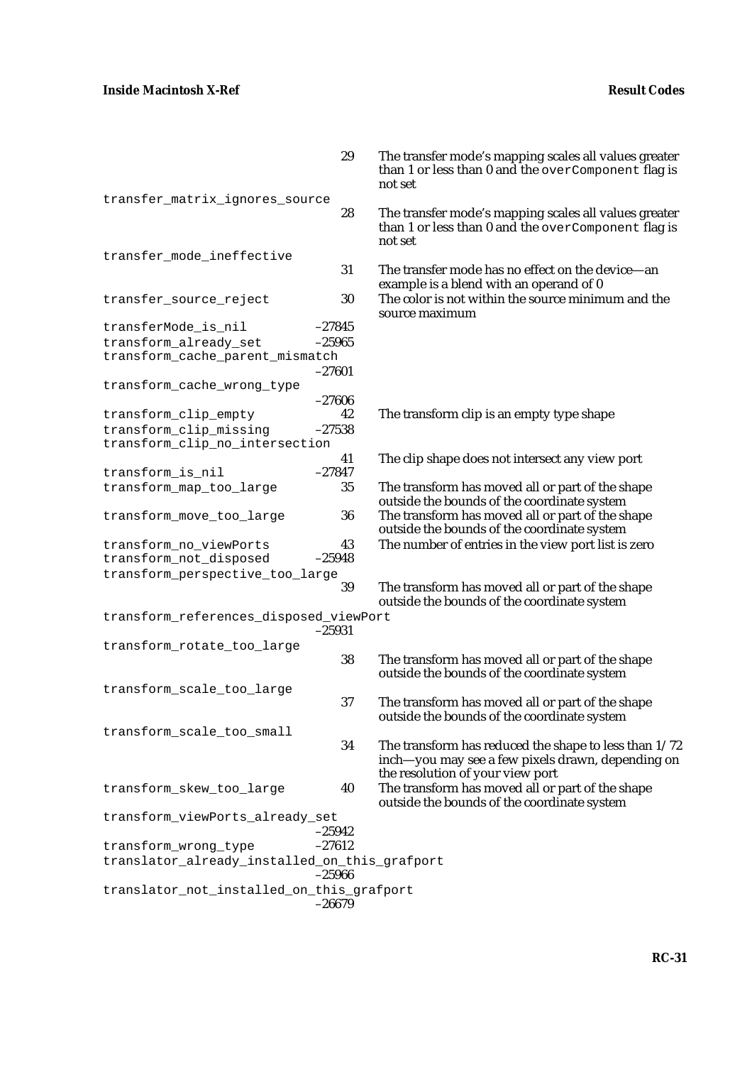|                                                          | 29             | The transfer mode's mapping scales all values greater<br>than 1 or less than 0 and the overComponent flag is<br>not set |
|----------------------------------------------------------|----------------|-------------------------------------------------------------------------------------------------------------------------|
| transfer_matrix_ignores_source                           |                |                                                                                                                         |
|                                                          | 28             | The transfer mode's mapping scales all values greater<br>than 1 or less than 0 and the overComponent flag is<br>not set |
| transfer_mode_ineffective                                |                |                                                                                                                         |
|                                                          | 31             | The transfer mode has no effect on the device-an<br>example is a blend with an operand of 0                             |
| transfer_source_reject                                   | 30             | The color is not within the source minimum and the<br>source maximum                                                    |
| transferMode_is_nil                                      | $-27845$       |                                                                                                                         |
| transform_already_set                                    | $-25965$       |                                                                                                                         |
| transform_cache_parent_mismatch                          | $-27601$       |                                                                                                                         |
| transform_cache_wrong_type                               | $-27606$       |                                                                                                                         |
| transform_clip_empty                                     | 42             | The transform clip is an empty type shape                                                                               |
| transform_clip_missing<br>transform_clip_no_intersection | $-27538$       |                                                                                                                         |
|                                                          | 41             | The clip shape does not intersect any view port                                                                         |
| transform_is_nil                                         | $-27847$       |                                                                                                                         |
| transform_map_too_large                                  | 35             | The transform has moved all or part of the shape<br>outside the bounds of the coordinate system                         |
| transform_move_too_large                                 | 36             | The transform has moved all or part of the shape<br>outside the bounds of the coordinate system                         |
| transform_no_viewPorts<br>transform_not_disposed         | 43<br>$-25948$ | The number of entries in the view port list is zero                                                                     |
| transform_perspective_too_large                          |                |                                                                                                                         |
|                                                          | 39             | The transform has moved all or part of the shape<br>outside the bounds of the coordinate system                         |
| transform_references_disposed_viewPort                   | $-25931$       |                                                                                                                         |
| transform_rotate_too_large                               |                |                                                                                                                         |
|                                                          | 38             | The transform has moved all or part of the shape<br>outside the bounds of the coordinate system                         |
| transform_scale_too_large                                |                |                                                                                                                         |
|                                                          | 37             | The transform has moved all or part of the shape<br>outside the bounds of the coordinate system                         |
| transform_scale_too_small                                |                |                                                                                                                         |
|                                                          | 34             | The transform has reduced the shape to less than $1/72$<br>inch—you may see a few pixels drawn, depending on            |
|                                                          |                | the resolution of your view port                                                                                        |
| transform_skew_too_large                                 | 40             | The transform has moved all or part of the shape<br>outside the bounds of the coordinate system                         |
| transform_viewPorts_already_set                          | $-25942$       |                                                                                                                         |
| transform_wrong_type                                     | $-27612$       |                                                                                                                         |
| translator_already_installed_on_this_grafport            |                |                                                                                                                         |
|                                                          | $-25966$       |                                                                                                                         |
| translator_not_installed_on_this_grafport                | $-26679$       |                                                                                                                         |
|                                                          |                |                                                                                                                         |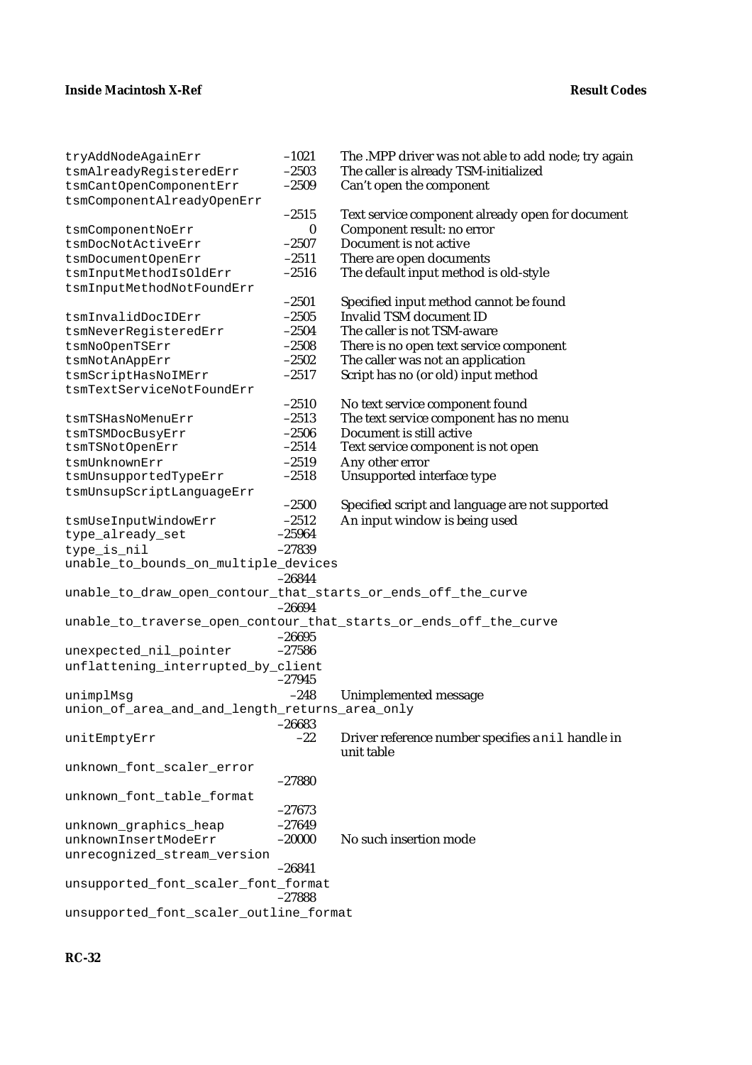| tryAddNodeAgainErr                                            | $-1021$            | The .MPP driver was not able to add node; try again               |
|---------------------------------------------------------------|--------------------|-------------------------------------------------------------------|
| tsmAlreadyReqisteredErr                                       | $-2503$            | The caller is already TSM-initialized                             |
| tsmCantOpenComponentErr                                       | $-2509$            | Can't open the component                                          |
| tsmComponentAlreadyOpenErr                                    |                    |                                                                   |
|                                                               | $-2515$            | Text service component already open for document                  |
| tsmComponentNoErr                                             | 0                  | Component result: no error                                        |
| tsmDocNotActiveErr                                            | $-2507$            | Document is not active                                            |
| tsmDocumentOpenErr                                            | $-2511$            | There are open documents                                          |
| tsmInputMethodIsOldErr                                        | $-2516$            | The default input method is old-style                             |
| tsmInputMethodNotFoundErr                                     |                    |                                                                   |
|                                                               | $-2501$            | Specified input method cannot be found                            |
| tsmInvalidDocIDErr                                            | $-2505$            | <b>Invalid TSM document ID</b>                                    |
| tsmNeverRegisteredErr                                         | $-2504$            | The caller is not TSM-aware                                       |
|                                                               |                    |                                                                   |
| tsmNoOpenTSErr                                                | $-2508$<br>$-2502$ | There is no open text service component                           |
| tsmNotAnAppErr                                                |                    | The caller was not an application                                 |
| tsmScriptHasNoIMErr                                           | $-2517$            | Script has no (or old) input method                               |
| tsmTextServiceNotFoundErr                                     |                    |                                                                   |
|                                                               | $-2510$            | No text service component found                                   |
| tsmTSHasNoMenuErr                                             | $-2513$            | The text service component has no menu                            |
| tsmTSMDocBusyErr                                              | $-2506$            | Document is still active                                          |
| tsmTSNotOpenErr                                               | $-2514$            | Text service component is not open                                |
| tsmUnknownErr                                                 | $-2519$            | Any other error                                                   |
| tsmUnsupportedTypeErr                                         | $-2518$            | Unsupported interface type                                        |
| tsmUnsupScriptLanguageErr                                     |                    |                                                                   |
|                                                               | $-2500$            | Specified script and language are not supported                   |
| tsmUseInputWindowErr                                          | $-2512$            | An input window is being used                                     |
| type_already_set                                              | $-25964$           |                                                                   |
| type_is_nil                                                   | $-27839$           |                                                                   |
| unable_to_bounds_on_multiple_devices                          |                    |                                                                   |
|                                                               | $-26844$           |                                                                   |
| unable_to_draw_open_contour_that_starts_or_ends_off_the_curve |                    |                                                                   |
|                                                               | $-26694$           |                                                                   |
|                                                               |                    | unable_to_traverse_open_contour_that_starts_or_ends_off_the_curve |
|                                                               | $-26695$           |                                                                   |
|                                                               |                    |                                                                   |
| unexpected_nil_pointer                                        | $-27586$           |                                                                   |
| unflattening_interrupted_by_client                            |                    |                                                                   |
|                                                               | $-27945$           |                                                                   |
| unimplMsg                                                     | $-248$             | Unimplemented message                                             |
| union_of_area_and_and_length_returns_area_only                |                    |                                                                   |
|                                                               | $-26683$           |                                                                   |
| unitEmptyErr                                                  | $-22$              | Driver reference number specifies a nil handle in                 |
|                                                               |                    | unit table                                                        |
| unknown_font_scaler_error                                     |                    |                                                                   |
|                                                               | $-27880$           |                                                                   |
| unknown_font_table_format                                     |                    |                                                                   |
|                                                               | $-27673$           |                                                                   |
| unknown_graphics_heap                                         | $-27649$           |                                                                   |
| unknownInsertModeErr                                          | $-20000$           | No such insertion mode                                            |
| unrecognized_stream_version                                   |                    |                                                                   |
|                                                               | $-26841$           |                                                                   |
| unsupported_font_scaler_font_format                           |                    |                                                                   |
|                                                               | $-27888$           |                                                                   |
| unsupported_font_scaler_outline_format                        |                    |                                                                   |
|                                                               |                    |                                                                   |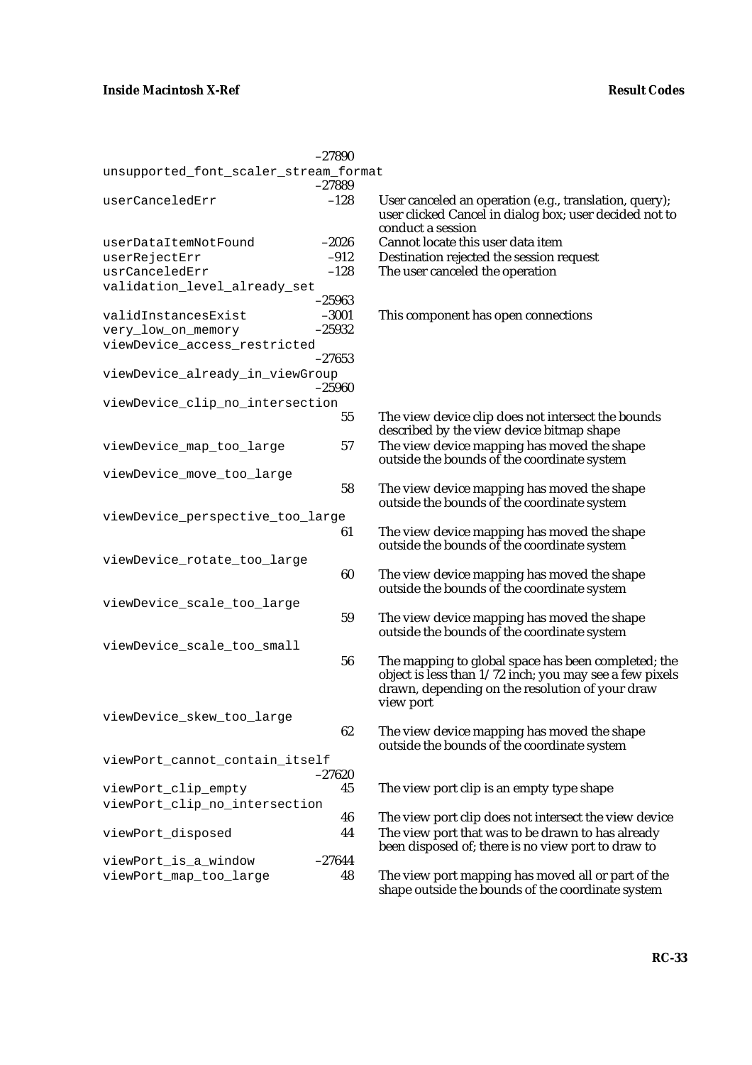|                                                    | $-27890$            |                                                                                                                                                                                |
|----------------------------------------------------|---------------------|--------------------------------------------------------------------------------------------------------------------------------------------------------------------------------|
| unsupported_font_scaler_stream_format              | $-27889$            |                                                                                                                                                                                |
| userCanceledErr                                    | $-128$              | User canceled an operation (e.g., translation, query);<br>user clicked Cancel in dialog box; user decided not to<br>conduct a session                                          |
| userDataItemNotFound                               | $-2026$             | Cannot locate this user data item                                                                                                                                              |
| userRejectErr                                      | $-912$              | Destination rejected the session request                                                                                                                                       |
| usrCanceledErr                                     | $-128$              | The user canceled the operation                                                                                                                                                |
| validation_level_already_set                       |                     |                                                                                                                                                                                |
|                                                    | $-25963$            |                                                                                                                                                                                |
| validInstancesExist                                | $-3001$<br>$-25932$ | This component has open connections                                                                                                                                            |
| very_low_on_memory<br>viewDevice_access_restricted |                     |                                                                                                                                                                                |
|                                                    | $-27653$            |                                                                                                                                                                                |
| viewDevice_already_in_viewGroup                    | $-25960$            |                                                                                                                                                                                |
| viewDevice_clip_no_intersection                    |                     |                                                                                                                                                                                |
|                                                    | 55                  | The view device clip does not intersect the bounds<br>described by the view device bitmap shape                                                                                |
| viewDevice_map_too_large                           | 57                  | The view device mapping has moved the shape<br>outside the bounds of the coordinate system                                                                                     |
| viewDevice_move_too_large                          |                     |                                                                                                                                                                                |
|                                                    | 58                  | The view device mapping has moved the shape<br>outside the bounds of the coordinate system                                                                                     |
| viewDevice_perspective_too_large                   |                     |                                                                                                                                                                                |
|                                                    | 61                  | The view device mapping has moved the shape<br>outside the bounds of the coordinate system                                                                                     |
| viewDevice_rotate_too_large                        |                     |                                                                                                                                                                                |
|                                                    | 60                  | The view device mapping has moved the shape<br>outside the bounds of the coordinate system                                                                                     |
| viewDevice_scale_too_large                         |                     |                                                                                                                                                                                |
|                                                    | 59                  | The view device mapping has moved the shape<br>outside the bounds of the coordinate system                                                                                     |
| viewDevice_scale_too_small                         |                     |                                                                                                                                                                                |
|                                                    | 56                  | The mapping to global space has been completed; the<br>object is less than 1/72 inch; you may see a few pixels<br>drawn, depending on the resolution of your draw<br>view port |
| viewDevice_skew_too_large                          |                     |                                                                                                                                                                                |
|                                                    | 62                  | The view device mapping has moved the shape<br>outside the bounds of the coordinate system                                                                                     |
| viewPort_cannot_contain_itself                     |                     |                                                                                                                                                                                |
|                                                    | $-27620$            |                                                                                                                                                                                |
| viewPort_clip_empty                                | 45                  | The view port clip is an empty type shape                                                                                                                                      |
| viewPort_clip_no_intersection                      |                     |                                                                                                                                                                                |
|                                                    | 46<br>44            | The view port clip does not intersect the view device<br>The view port that was to be drawn to has already                                                                     |
| viewPort_disposed                                  |                     | been disposed of; there is no view port to draw to                                                                                                                             |
| viewPort_is_a_window                               | $-27644$            |                                                                                                                                                                                |
| viewPort_map_too_large                             | 48                  | The view port mapping has moved all or part of the<br>shape outside the bounds of the coordinate system                                                                        |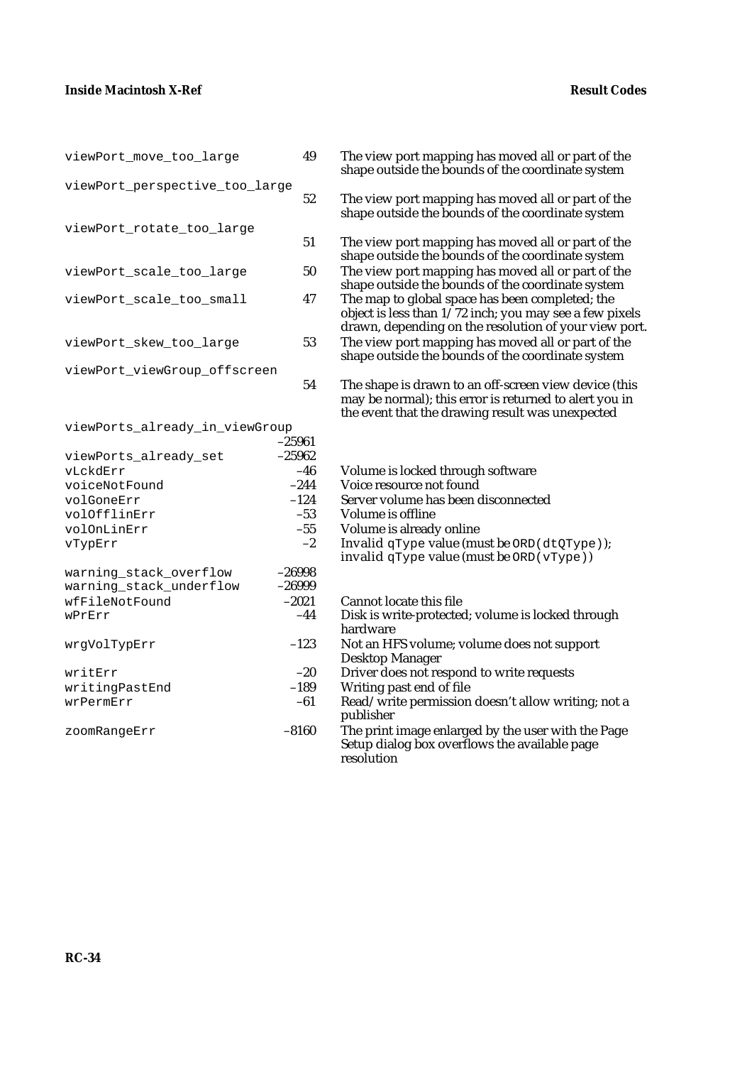| viewPort_move_too_large                                                                                                                      | 49                                                                          |
|----------------------------------------------------------------------------------------------------------------------------------------------|-----------------------------------------------------------------------------|
| viewPort_perspective_too_large                                                                                                               | 52                                                                          |
| viewPort_rotate_too_large                                                                                                                    | 51                                                                          |
| viewPort_scale_too_large                                                                                                                     | 50                                                                          |
| viewPort_scale_too_small                                                                                                                     | 47                                                                          |
| viewPort_skew_too_large                                                                                                                      | 53                                                                          |
| viewPort_viewGroup_offscreen                                                                                                                 | 54                                                                          |
| viewPorts_already_in_viewGroup<br>viewPorts_already_set<br>vLckdErr<br>voiceNotFound<br>volGoneErr<br>volOfflinErr<br>volOnLinErr<br>vTypErr | $-25961$<br>$-25962$<br>$-46$<br>$-244$<br>$-124$<br>$-53$<br>$-55$<br>$-2$ |
| warning_stack_overflow<br>warning stack underflow<br>wfFileNotFound<br>wPrErr                                                                | -26998<br>$-26999$<br>$-2021$<br>$-44$                                      |
| wrgVolTypErr                                                                                                                                 | $-123$                                                                      |
| writErr<br>writingPastEnd<br>wrPermErr                                                                                                       | $-20$<br>$-189$<br>$-61$                                                    |
| zoomRangeErr                                                                                                                                 | $-8160$                                                                     |
|                                                                                                                                              |                                                                             |

- 49 The view port mapping has moved all or part of the shape outside the bounds of the coordinate system
	- The view port mapping has moved all or part of the shape outside the bounds of the coordinate system
	- The view port mapping has moved all or part of the shape outside the bounds of the coordinate system
	- The view port mapping has moved all or part of the shape outside the bounds of the coordinate system
	- The map to global space has been completed; the object is less than  $1/72$  inch; you may see a few pixels drawn, depending on the resolution of your view port. The view port mapping has moved all or part of the shape outside the bounds of the coordinate system
	- The shape is drawn to an off-screen view device (this may be normal); this error is returned to alert you in the event that the drawing result was unexpected
	- Volume is locked through software
	- Voice resource not found
- Server volume has been disconnected
- Volume is offline
- Volume is already online
	- Invalid qType value (must be  $ORD$  (dtQType));
	- invalid qType value (must be ORD(vType))
	- Cannot locate this file
	- Disk is write-protected; volume is locked through hardware
- Not an HFS volume; volume does not support Desktop Manager
- Driver does not respond to write requests
- Writing past end of file
	- Read/write permission doesn't allow writing; not a publisher
- The print image enlarged by the user with the Page Setup dialog box overflows the available page resolution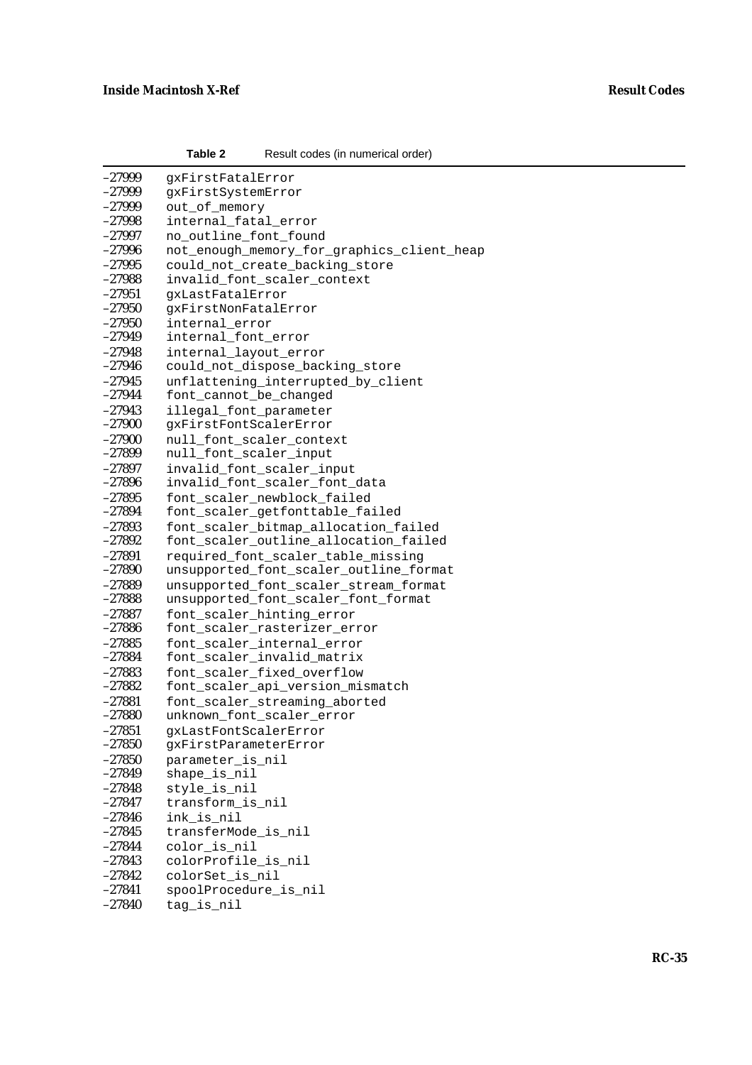| $-27999$ | qxFirstFatalError                                          |
|----------|------------------------------------------------------------|
| -27999   | gxFirstSystemError                                         |
| $-27999$ | out of memory                                              |
| $-27998$ | internal_fatal_error                                       |
| $-27997$ | no_outline_font_found                                      |
| $-27996$ | not_enough_memory_for_graphics_client_heap                 |
| $-27995$ | could_not_create_backing_store                             |
| $-27988$ | invalid_font_scaler_context                                |
| $-27951$ | qxLastFatalError                                           |
| $-27950$ | gxFirstNonFatalError                                       |
| $-27950$ | internal error                                             |
| $-27949$ | internal_font_error                                        |
| $-27948$ | internal_layout_error                                      |
| $-27946$ | could_not_dispose_backing_store                            |
| $-27945$ | unflattening_interrupted_by_client                         |
| $-27944$ | font_cannot_be_changed                                     |
| $-27943$ | illegal_font_parameter                                     |
| $-27900$ | gxFirstFontScalerError                                     |
| $-27900$ | null_font_scaler_context                                   |
| $-27899$ | null_font_scaler_input                                     |
| $-27897$ |                                                            |
| $-27896$ | invalid_font_scaler_input<br>invalid_font_scaler_font_data |
| $-27895$ |                                                            |
| $-27894$ | font_scaler_newblock_failed                                |
|          | font_scaler_getfonttable_failed                            |
| $-27893$ | font_scaler_bitmap_allocation_failed                       |
| $-27892$ | font_scaler_outline_allocation_failed                      |
| $-27891$ | required_font_scaler_table_missing                         |
| $-27890$ | unsupported_font_scaler_outline_format                     |
| $-27889$ | unsupported_font_scaler_stream_format                      |
| $-27888$ | unsupported_font_scaler_font_format                        |
| $-27887$ | font_scaler_hinting_error                                  |
| $-27886$ | font_scaler_rasterizer_error                               |
| $-27885$ | font_scaler_internal_error                                 |
| $-27884$ | font_scaler_invalid_matrix                                 |
| $-27883$ | font_scaler_fixed_overflow                                 |
| $-27882$ | font_scaler_api_version_mismatch                           |
| $-27881$ | font_scaler_streaming_aborted                              |
| $-27880$ | unknown_font_scaler_error                                  |
| $-27851$ | gxLastFontScalerError                                      |
| $-27850$ | gxFirstParameterError                                      |
| $-27850$ | parameter_is_nil                                           |
| $-27849$ | shape_is_nil                                               |
| $-27848$ | style_is_nil                                               |
| $-27847$ | transform_is_nil                                           |
| $-27846$ | ink_is_nil                                                 |
| $-27845$ | transferMode_is_nil                                        |
| $-27844$ | color_is_nil                                               |
| $-27843$ | colorProfile_is_nil                                        |
| $-27842$ | colorSet_is_nil                                            |
| $-27841$ | spoolProcedure_is_nil                                      |
| $-27840$ | tag_is_nil                                                 |

**Table 2** Result codes (in numerical order)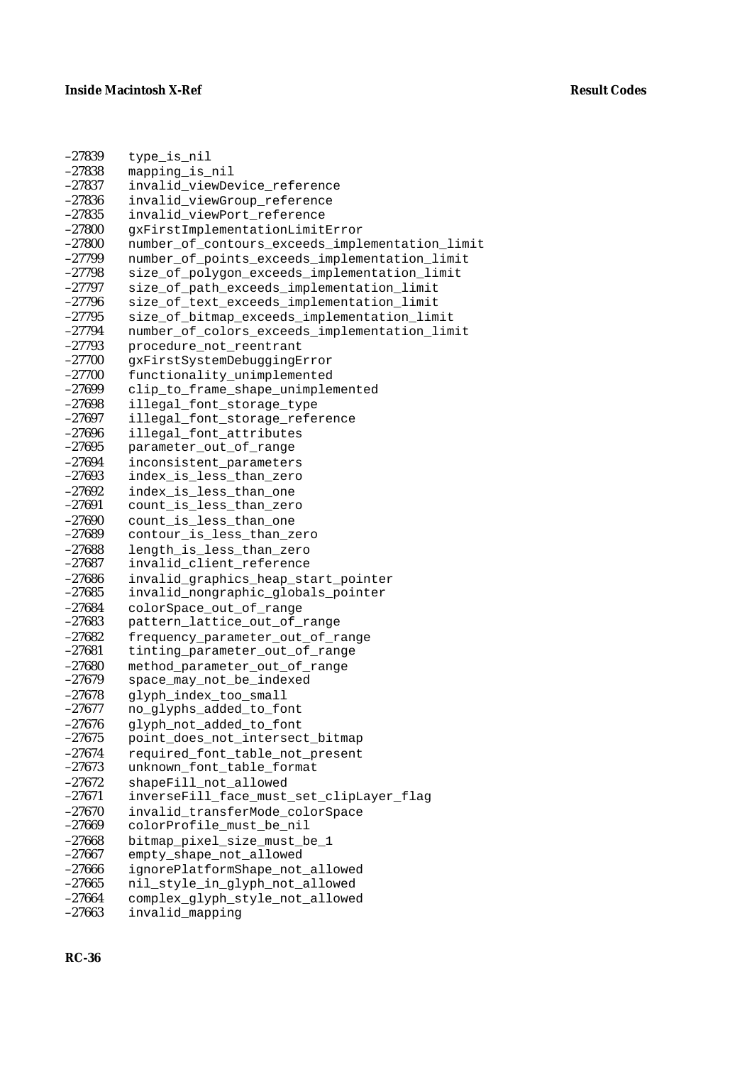| $-27839$             | type_is_nil                                             |  |  |  |
|----------------------|---------------------------------------------------------|--|--|--|
| $-27838$             | mapping_is_nil                                          |  |  |  |
| $-27837$             | invalid_viewDevice_reference                            |  |  |  |
| $-27836$             | invalid_viewGroup_reference                             |  |  |  |
| $-27835$             | invalid_viewPort_reference                              |  |  |  |
| $-27800$             | gxFirstImplementationLimitError                         |  |  |  |
| $-27800$             | number_of_contours_exceeds_implementation_limit         |  |  |  |
| $-27799$             | number_of_points_exceeds_implementation_limit           |  |  |  |
| $-27798$             | size_of_polygon_exceeds_implementation_limit            |  |  |  |
| $-27797$             | size_of_path_exceeds_implementation_limit               |  |  |  |
| $-27796$             | size_of_text_exceeds_implementation_limit               |  |  |  |
| $-27795$             | size_of_bitmap_exceeds_implementation_limit             |  |  |  |
| $-27794$             | number_of_colors_exceeds_implementation_limit           |  |  |  |
| $-27793$             | procedure_not_reentrant                                 |  |  |  |
| $-27700$             | gxFirstSystemDebuggingError                             |  |  |  |
| $-27700$             | functionality_unimplemented                             |  |  |  |
| $-27699$             | clip_to_frame_shape_unimplemented                       |  |  |  |
| $-27698$             | illegal_font_storage_type                               |  |  |  |
| $-27697$             | illegal_font_storage_reference                          |  |  |  |
| $-27696$             | illegal_font_attributes                                 |  |  |  |
| $-27695$             | parameter_out_of_range                                  |  |  |  |
| $-27694$             | inconsistent_parameters                                 |  |  |  |
| $-27693$             | index_is_less_than_zero                                 |  |  |  |
| $-27692$             | index_is_less_than_one                                  |  |  |  |
| $-27691$             | count_is_less_than_zero                                 |  |  |  |
| $-27690$             | count_is_less_than_one                                  |  |  |  |
| $-27689$             | contour_is_less_than_zero                               |  |  |  |
| $-27688$             | length_is_less_than_zero                                |  |  |  |
| $-27687$             | invalid_client_reference                                |  |  |  |
| $-27686$<br>$-27685$ | invalid_graphics_heap_start_pointer                     |  |  |  |
| $-27684$             | invalid_nongraphic_globals_pointer                      |  |  |  |
| $-27683$             | colorSpace_out_of_range<br>pattern_lattice_out_of_range |  |  |  |
| $-27682$             | frequency_parameter_out_of_range                        |  |  |  |
| $-27681$             | tinting_parameter_out_of_range                          |  |  |  |
| $-27680$             | method_parameter_out_of_range                           |  |  |  |
| $-27679$             | space_may_not_be_indexed                                |  |  |  |
| $-27678$             | glyph_index_too_small                                   |  |  |  |
| $-27677$             | no_glyphs_added_to_font                                 |  |  |  |
| $-27676$             | glyph_not_added_to_font                                 |  |  |  |
| $-27675$             | point_does_not_intersect_bitmap                         |  |  |  |
| $-27674$             | required_font_table_not_present                         |  |  |  |
| $-27673$             | unknown_font_table_format                               |  |  |  |
| $-27672$             | shapeFill_not_allowed                                   |  |  |  |
| $-27671$             | inverseFill_face_must_set_clipLayer_flag                |  |  |  |
| $-27670$             | invalid_transferMode_colorSpace                         |  |  |  |
| $-27669$             | colorProfile_must_be_nil                                |  |  |  |
| $-27668$             | bitmap_pixel_size_must_be_1                             |  |  |  |
| $-27667$             | empty_shape_not_allowed                                 |  |  |  |
| $-27666$             | ignorePlatformShape_not_allowed                         |  |  |  |
| $-27665$             | nil_style_in_glyph_not_allowed                          |  |  |  |
| $-27664$             | complex_glyph_style_not_allowed                         |  |  |  |
| $-27663$             | invalid_mapping                                         |  |  |  |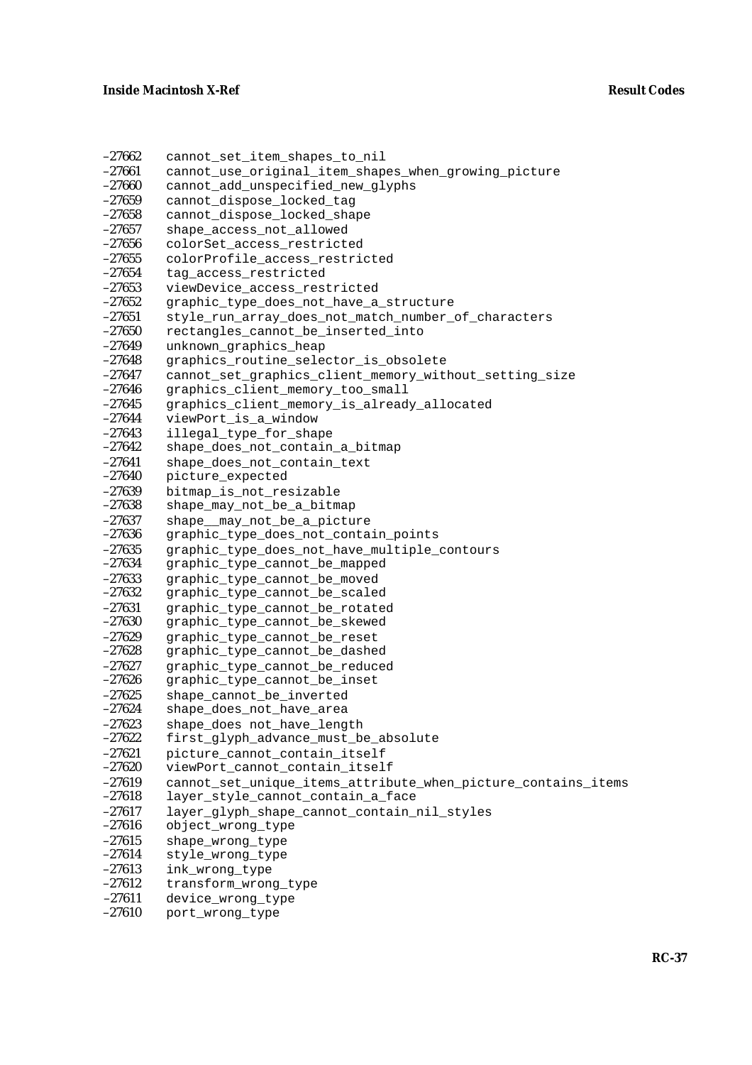| $-27662$             | cannot_set_item_shapes_to_nil                                 |
|----------------------|---------------------------------------------------------------|
| $-27661$             | cannot_use_original_item_shapes_when_growing_picture          |
| $-27660$             | cannot_add_unspecified_new_glyphs                             |
| $-27659$             | cannot_dispose_locked_tag                                     |
| $-27658$             | cannot_dispose_locked_shape                                   |
| $-27657$             | shape_access_not_allowed                                      |
| $-27656$             | colorSet_access_restricted                                    |
| $-27655$             | colorProfile_access_restricted                                |
| $-27654$             | tag_access_restricted                                         |
| $-27653$             | viewDevice_access_restricted                                  |
| $-27652$             | graphic_type_does_not_have_a_structure                        |
| $-27651$             | style_run_array_does_not_match_number_of_characters           |
| $-27650$             | rectangles_cannot_be_inserted_into                            |
| $-27649$             | unknown_graphics_heap                                         |
| $-27648$             | graphics_routine_selector_is_obsolete                         |
| $-27647$             | cannot_set_graphics_client_memory_without_setting_size        |
| $-27646$             | graphics_client_memory_too_small                              |
| $-27645$             | graphics_client_memory_is_already_allocated                   |
| $-27644$             | viewPort_is_a_window                                          |
| $-27643$             | illegal_type_for_shape                                        |
| $-27642$             | shape_does_not_contain_a_bitmap                               |
| $-27641$             | shape_does_not_contain_text                                   |
| $-27640$             | picture_expected                                              |
| $-27639$             | bitmap_is_not_resizable                                       |
| $-27638$             | shape_may_not_be_a_bitmap                                     |
| $-27637$             | shape__may_not_be_a_picture                                   |
| $-27636$             | graphic_type_does_not_contain_points                          |
| $-27635$<br>$-27634$ | graphic_type_does_not_have_multiple_contours                  |
| $-27633$             | graphic_type_cannot_be_mapped                                 |
| $-27632$             | graphic_type_cannot_be_moved<br>graphic_type_cannot_be_scaled |
| $-27631$             | graphic_type_cannot_be_rotated                                |
| $-27630$             | graphic_type_cannot_be_skewed                                 |
| $-27629$             | graphic_type_cannot_be_reset                                  |
| $-27628$             | graphic_type_cannot_be_dashed                                 |
| $-27627$             | graphic_type_cannot_be_reduced                                |
| $-27626$             | graphic_type_cannot_be_inset                                  |
| $-27625$             | shape_cannot_be_inverted                                      |
| $-27624$             | shape_does_not_have_area                                      |
| $-27623$             | shape_does not_have_length                                    |
| $-27622$             | first_glyph_advance_must_be_absolute                          |
| $-27621$             | picture_cannot_contain_itself                                 |
| $-27620$             | viewPort_cannot_contain_itself                                |
| $-27619$             | cannot_set_unique_items_attribute_when_picture_contains_items |
| $-27618$             | layer_style_cannot_contain_a_face                             |
| $-27617$             | layer_glyph_shape_cannot_contain_nil_styles                   |
| $-27616$             | object_wrong_type                                             |
| $-27615$             | shape_wrong_type                                              |
| $-27614$             | style_wrong_type                                              |
| $-27613$             | ink_wrong_type                                                |
| $-27612$             | transform_wrong_type                                          |
| $-27611$             | device_wrong_type                                             |
| $-27610$             | port_wrong_type                                               |
|                      |                                                               |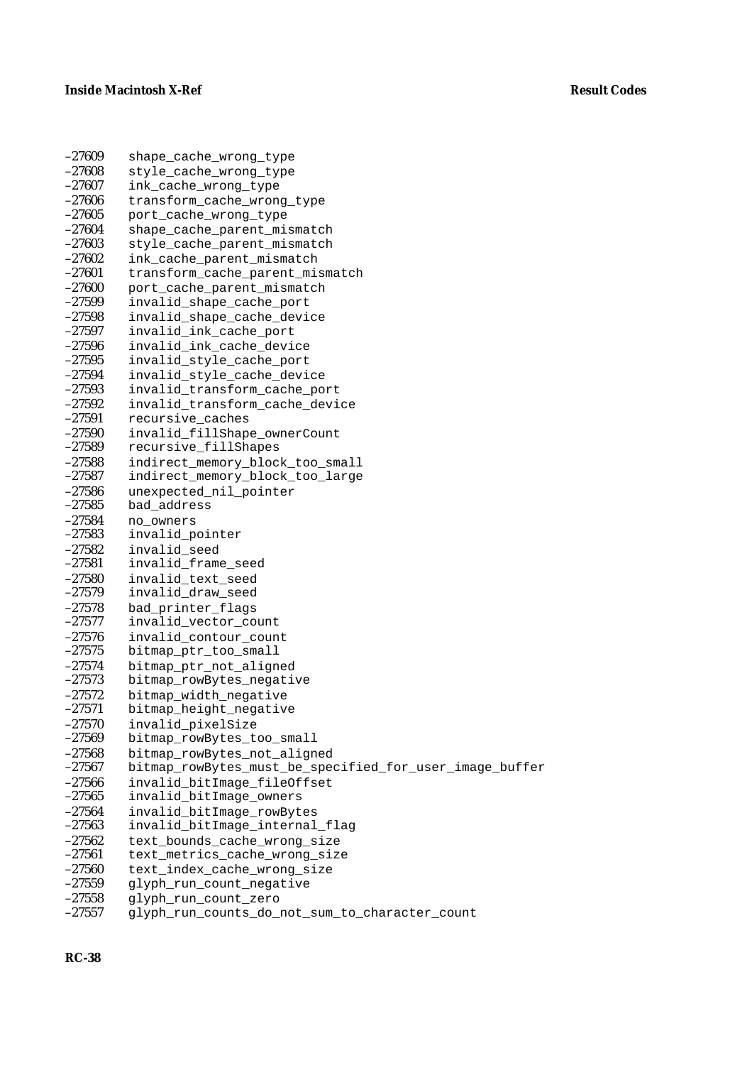| $-27609$             | shape_cache_wrong_type                                  |  |  |  |
|----------------------|---------------------------------------------------------|--|--|--|
| $-27608$             | style_cache_wrong_type                                  |  |  |  |
| $-27607$             | ink_cache_wrong_type                                    |  |  |  |
| $-27606$             | transform_cache_wrong_type                              |  |  |  |
| $-27605$             | port_cache_wrong_type                                   |  |  |  |
| $-27604$             | shape_cache_parent_mismatch                             |  |  |  |
| $-27603$             | style_cache_parent_mismatch                             |  |  |  |
| $-27602$             | ink_cache_parent_mismatch                               |  |  |  |
| $-27601$             | transform_cache_parent_mismatch                         |  |  |  |
| $-27600$             | port_cache_parent_mismatch                              |  |  |  |
| $-27599$             | invalid_shape_cache_port                                |  |  |  |
| $-27598$             | invalid shape cache device                              |  |  |  |
| $-27597$             | invalid_ink_cache_port                                  |  |  |  |
| $-27596$             | invalid_ink_cache_device                                |  |  |  |
| $-27595$             | invalid_style_cache_port                                |  |  |  |
| $-27594$             | invalid_style_cache_device                              |  |  |  |
| $-27593$             | invalid_transform_cache_port                            |  |  |  |
| $-27592$             | invalid_transform_cache_device                          |  |  |  |
| $-27591$             | recursive_caches                                        |  |  |  |
| $-27590$             | invalid_fillShape_ownerCount                            |  |  |  |
| $-27589$             | recursive_fillShapes                                    |  |  |  |
| $-27588$             | indirect_memory_block_too_small                         |  |  |  |
| $-27587$             | indirect_memory_block_too_large                         |  |  |  |
| $-27586$             | unexpected_nil_pointer                                  |  |  |  |
| $-27585$             | bad_address                                             |  |  |  |
| $-27584$             | no owners                                               |  |  |  |
| $-27583$             | invalid_pointer                                         |  |  |  |
| $-27582$             | invalid_seed                                            |  |  |  |
| $-27581$             | invalid_frame_seed                                      |  |  |  |
| $-27580$             | invalid_text_seed                                       |  |  |  |
| $-27579$             | invalid_draw_seed                                       |  |  |  |
| $-27578$             | bad_printer_flags                                       |  |  |  |
| $-27577$             | invalid_vector_count                                    |  |  |  |
| $-27576$             | invalid_contour_count                                   |  |  |  |
| $-27575$             | bitmap_ptr_too_small                                    |  |  |  |
| $-27574$             | bitmap_ptr_not_aligned                                  |  |  |  |
| $-27573$             | bitmap_rowBytes_negative                                |  |  |  |
| $-27572$             | bitmap width negative                                   |  |  |  |
| $-27571$             | bitmap_height_negative                                  |  |  |  |
| $-27570$             | invalid_pixelSize                                       |  |  |  |
| $-27569$             | bitmap_rowBytes_too_small                               |  |  |  |
| $-27568$             | bitmap_rowBytes_not_aligned                             |  |  |  |
| $-27567$             | bitmap_rowBytes_must_be_specified_for_user_image_buffer |  |  |  |
| $-27566$             | invalid bitImage fileOffset                             |  |  |  |
| $-27565$             | invalid_bitImage_owners                                 |  |  |  |
| $-27564$             | invalid_bitImage_rowBytes                               |  |  |  |
| $-27563$             | invalid_bitImage_internal_flag                          |  |  |  |
| $-27562$             | text_bounds_cache_wrong_size                            |  |  |  |
| $-27561$             | text_metrics_cache_wrong_size                           |  |  |  |
| $-27560$             | text_index_cache_wrong_size                             |  |  |  |
| $-27559$<br>$-27558$ | glyph_run_count_negative                                |  |  |  |
| $-27557$             | glyph_run_count_zero                                    |  |  |  |
|                      | glyph_run_counts_do_not_sum_to_character_count          |  |  |  |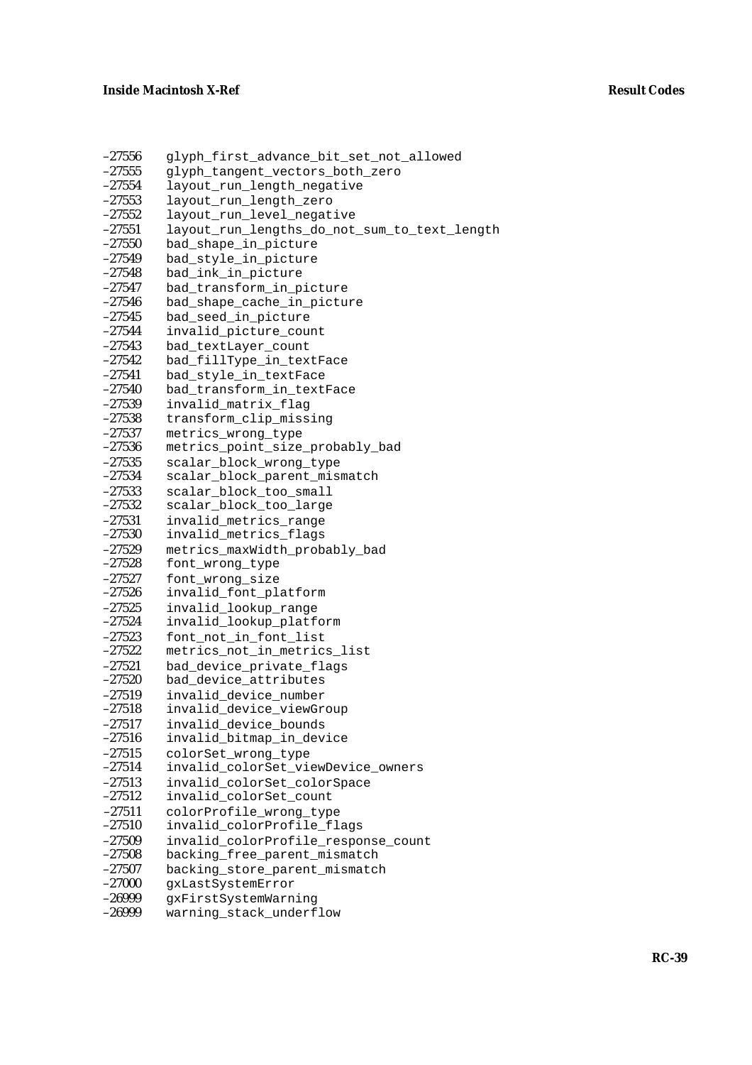| $-27556$ | glyph_first_advance_bit_set_not_allowed      |  |  |  |
|----------|----------------------------------------------|--|--|--|
| $-27555$ | glyph_tangent_vectors_both_zero              |  |  |  |
| $-27554$ | layout_run_length_negative                   |  |  |  |
| $-27553$ | layout_run_length_zero                       |  |  |  |
| $-27552$ | layout_run_level_negative                    |  |  |  |
| $-27551$ | layout_run_lengths_do_not_sum_to_text_length |  |  |  |
| $-27550$ | bad_shape_in_picture                         |  |  |  |
| $-27549$ | bad_style_in_picture                         |  |  |  |
| $-27548$ | bad_ink_in_picture                           |  |  |  |
| $-27547$ | bad_transform_in_picture                     |  |  |  |
| $-27546$ | bad_shape_cache_in_picture                   |  |  |  |
| $-27545$ | bad_seed_in_picture                          |  |  |  |
| $-27544$ | invalid_picture_count                        |  |  |  |
| $-27543$ | bad_textLayer_count                          |  |  |  |
| $-27542$ | bad_fillType_in_textFace                     |  |  |  |
| $-27541$ | bad_style_in_textFace                        |  |  |  |
| $-27540$ | bad_transform_in_textFace                    |  |  |  |
| $-27539$ | invalid_matrix_flag                          |  |  |  |
| $-27538$ | transform_clip_missing                       |  |  |  |
| $-27537$ | metrics_wrong_type                           |  |  |  |
| $-27536$ | metrics_point_size_probably_bad              |  |  |  |
| $-27535$ | scalar_block_wrong_type                      |  |  |  |
| $-27534$ | scalar_block_parent_mismatch                 |  |  |  |
| $-27533$ | scalar_block_too_small                       |  |  |  |
| $-27532$ | scalar_block_too_large                       |  |  |  |
| $-27531$ | invalid_metrics_range                        |  |  |  |
| $-27530$ | invalid_metrics_flags                        |  |  |  |
| $-27529$ | metrics_maxWidth_probably_bad                |  |  |  |
| $-27528$ | font_wrong_type                              |  |  |  |
| $-27527$ | font_wrong_size                              |  |  |  |
| $-27526$ | invalid_font_platform                        |  |  |  |
| $-27525$ | invalid_lookup_range                         |  |  |  |
| $-27524$ | invalid_lookup_platform                      |  |  |  |
| $-27523$ | font_not_in_font_list                        |  |  |  |
| $-27522$ | metrics_not_in_metrics_list                  |  |  |  |
| $-27521$ | bad_device_private_flags                     |  |  |  |
| $-27520$ | bad_device_attributes                        |  |  |  |
| $-27519$ | invalid_device_number                        |  |  |  |
| $-27518$ | invalid_device_viewGroup                     |  |  |  |
| $-27517$ | invalid_device_bounds                        |  |  |  |
| $-27516$ | invalid_bitmap_in_device                     |  |  |  |
| $-27515$ | colorSet_wrong_type                          |  |  |  |
| $-27514$ | invalid_colorSet_viewDevice_owners           |  |  |  |
| $-27513$ | invalid_colorSet_colorSpace                  |  |  |  |
| $-27512$ | invalid colorSet count                       |  |  |  |
| $-27511$ | colorProfile_wrong_type                      |  |  |  |
| $-27510$ | invalid_colorProfile_flags                   |  |  |  |
| $-27509$ | invalid_colorProfile_response_count          |  |  |  |
| $-27508$ | backing_free_parent_mismatch                 |  |  |  |
| $-27507$ | backing_store_parent_mismatch                |  |  |  |
| $-27000$ | gxLastSystemError                            |  |  |  |
| $-26999$ | gxFirstSystemWarning                         |  |  |  |
| $-26999$ | warning_stack_underflow                      |  |  |  |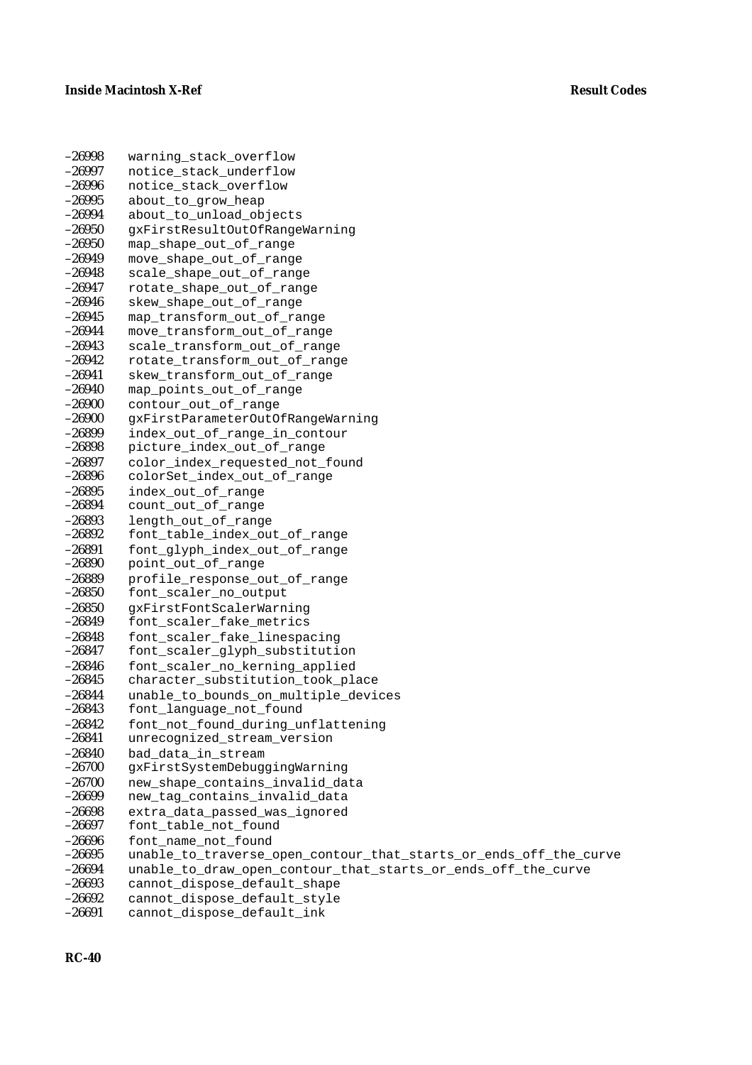| $-26998$             | warning_stack_overflow                                                                        |  |  |
|----------------------|-----------------------------------------------------------------------------------------------|--|--|
| $-26997$             | notice stack underflow                                                                        |  |  |
| $-26996$             | notice_stack_overflow                                                                         |  |  |
| $-26995$             | about_to_grow_heap                                                                            |  |  |
| $-26994$             | about_to_unload_objects                                                                       |  |  |
| $-26950$             | gxFirstResultOutOfRangeWarning                                                                |  |  |
| $-26950$             | map_shape_out_of_range                                                                        |  |  |
| $-26949$             | move_shape_out_of_range                                                                       |  |  |
| $-26948$             | scale_shape_out_of_range                                                                      |  |  |
| $-26947$             | rotate_shape_out_of_range                                                                     |  |  |
| $-26946$             | skew_shape_out_of_range                                                                       |  |  |
| $-26945$             | map_transform_out_of_range                                                                    |  |  |
| $-26944$             | move_transform_out_of_range                                                                   |  |  |
| $-26943$             | scale_transform_out_of_range                                                                  |  |  |
| $-26942$             | rotate_transform_out_of_range                                                                 |  |  |
| $-26941$             | skew_transform_out_of_range                                                                   |  |  |
| $-26940$             | map_points_out_of_range                                                                       |  |  |
| $-26900$             | contour_out_of_range                                                                          |  |  |
| $-26900$             | gxFirstParameterOutOfRangeWarning                                                             |  |  |
| $-26899$             | index_out_of_range_in_contour                                                                 |  |  |
| $-26898$             | picture_index_out_of_range                                                                    |  |  |
| $-26897$             | color index requested not found                                                               |  |  |
| $-26896$             | colorSet_index_out_of_range                                                                   |  |  |
| $-26895$<br>$-26894$ | index_out_of_range<br>count_out_of_range                                                      |  |  |
| $-26893$             | length_out_of_range                                                                           |  |  |
| $-26892$             | font_table_index_out_of_range                                                                 |  |  |
| $-26891$             | font_glyph_index_out_of_range                                                                 |  |  |
| $-26890$             | point_out_of_range                                                                            |  |  |
| $-26889$             | profile_response_out_of_range                                                                 |  |  |
| $-26850$             | font_scaler_no_output                                                                         |  |  |
| $-26850$             | gxFirstFontScalerWarning                                                                      |  |  |
| $-26849$             | font_scaler_fake_metrics                                                                      |  |  |
| $-26848$             | font_scaler_fake_linespacing                                                                  |  |  |
| $-26847$             | font_scaler_glyph_substitution                                                                |  |  |
| $-26846$             | font_scaler_no_kerning_applied                                                                |  |  |
| $-26845$             | character_substitution_took_place                                                             |  |  |
| $-26844$             | unable_to_bounds_on_multiple_devices                                                          |  |  |
| $-26843$             | font_language_not_found                                                                       |  |  |
| $-26842$             | font_not_found_during_unflattening                                                            |  |  |
| $-26841$             | unrecognized_stream_version                                                                   |  |  |
| $-26840$             | bad_data_in_stream                                                                            |  |  |
| $-26700$             | gxFirstSystemDebuggingWarning                                                                 |  |  |
| $-26700$             | new_shape_contains_invalid_data                                                               |  |  |
| $-26699$             | new_tag_contains_invalid_data                                                                 |  |  |
| $-26698$             | extra_data_passed_was_ignored                                                                 |  |  |
| $-26697$             | font_table_not_found                                                                          |  |  |
| $-26696$             | font_name_not_found                                                                           |  |  |
| $-26695$<br>$-26694$ | unable_to_traverse_open_contour_that_starts_or_ends_off_the_curve                             |  |  |
| $-26693$             | unable_to_draw_open_contour_that_starts_or_ends_off_the_curve<br>cannot_dispose_default_shape |  |  |
| $-26692$             | cannot_dispose_default_style                                                                  |  |  |
| $-26691$             | cannot_dispose_default_ink                                                                    |  |  |
|                      |                                                                                               |  |  |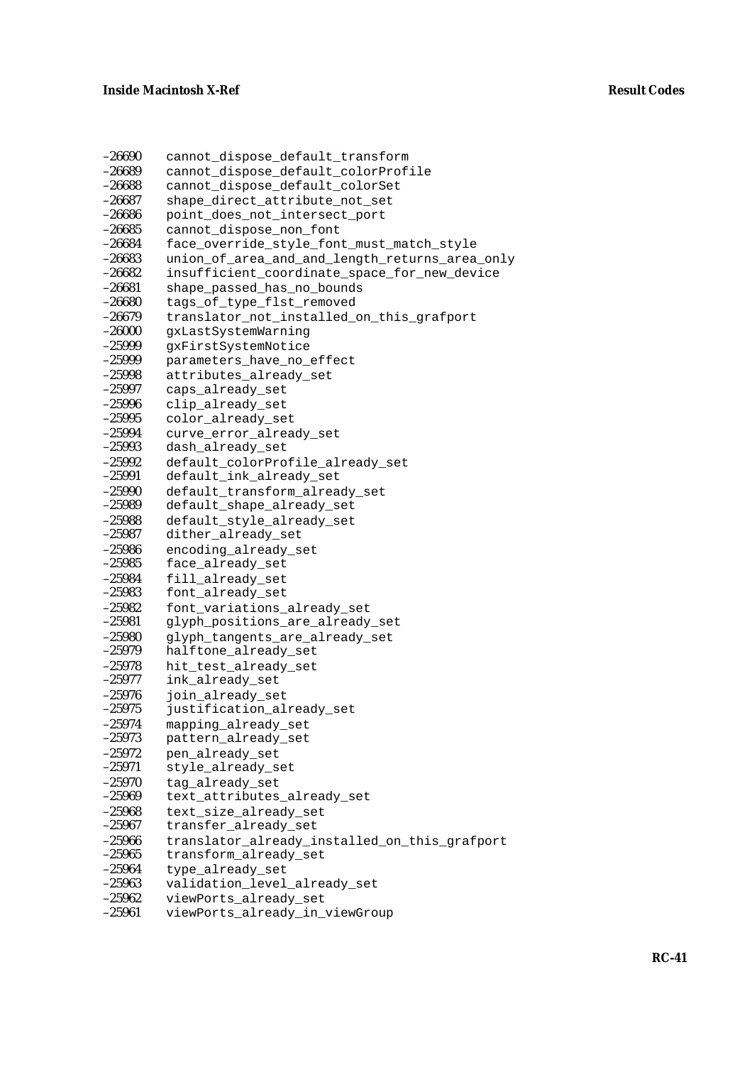| $-26690$ | cannot_dispose_default_transform               |  |  |  |
|----------|------------------------------------------------|--|--|--|
| $-26689$ | cannot_dispose_default_colorProfile            |  |  |  |
| $-26688$ | cannot_dispose_default_colorSet                |  |  |  |
| $-26687$ | shape_direct_attribute_not_set                 |  |  |  |
| $-26686$ | point_does_not_intersect_port                  |  |  |  |
| $-26685$ | cannot_dispose_non_font                        |  |  |  |
| $-26684$ | face_override_style_font_must_match_style      |  |  |  |
| $-26683$ | union_of_area_and_and_length_returns_area_only |  |  |  |
| $-26682$ | insufficient_coordinate_space_for_new_device   |  |  |  |
| $-26681$ | shape_passed_has_no_bounds                     |  |  |  |
| $-26680$ | tags_of_type_flst_removed                      |  |  |  |
| $-26679$ | translator_not_installed_on_this_grafport      |  |  |  |
| $-26000$ | gxLastSystemWarning                            |  |  |  |
| $-25999$ | gxFirstSystemNotice                            |  |  |  |
| $-25999$ | parameters_have_no_effect                      |  |  |  |
| $-25998$ | attributes_already_set                         |  |  |  |
| $-25997$ | caps_already_set                               |  |  |  |
| $-25996$ | clip_already_set                               |  |  |  |
| $-25995$ | color_already_set                              |  |  |  |
| $-25994$ | curve_error_already_set                        |  |  |  |
| $-25993$ | dash_already_set                               |  |  |  |
| $-25992$ | default_colorProfile_already_set               |  |  |  |
| $-25991$ | default_ink_already_set                        |  |  |  |
| $-25990$ | default transform already set                  |  |  |  |
| $-25989$ | default_shape_already_set                      |  |  |  |
| $-25988$ | default_style_already_set                      |  |  |  |
| $-25987$ | dither_already_set                             |  |  |  |
| $-25986$ | encoding_already_set                           |  |  |  |
| $-25985$ | face_already_set                               |  |  |  |
| $-25984$ | fill_already_set                               |  |  |  |
| $-25983$ | font_already_set                               |  |  |  |
| $-25982$ | font_variations_already_set                    |  |  |  |
| $-25981$ | glyph_positions_are_already_set                |  |  |  |
| $-25980$ | glyph_tangents_are_already_set                 |  |  |  |
| $-25979$ | halftone_already_set                           |  |  |  |
| $-25978$ | hit_test_already_set                           |  |  |  |
| $-25977$ | ink_already_set                                |  |  |  |
| $-25976$ | join_already_set                               |  |  |  |
| $-25975$ | justification_already_set                      |  |  |  |
| $-25974$ | mapping_already_set                            |  |  |  |
| $-25973$ | pattern_already_set                            |  |  |  |
| $-25972$ | pen_already_set                                |  |  |  |
| $-25971$ | style_already_set                              |  |  |  |
| $-25970$ | tag_already_set                                |  |  |  |
| $-25969$ | text_attributes_already_set                    |  |  |  |
| $-25968$ | text_size_already_set                          |  |  |  |
| $-25967$ | transfer_already_set                           |  |  |  |
| $-25966$ | translator_already_installed_on_this_grafport  |  |  |  |
| $-25965$ | transform_already_set                          |  |  |  |
| $-25964$ | type_already_set                               |  |  |  |
| $-25963$ | validation_level_already_set                   |  |  |  |
| $-25962$ | viewPorts_already_set                          |  |  |  |
| $-25961$ | viewPorts_already_in_viewGroup                 |  |  |  |
|          |                                                |  |  |  |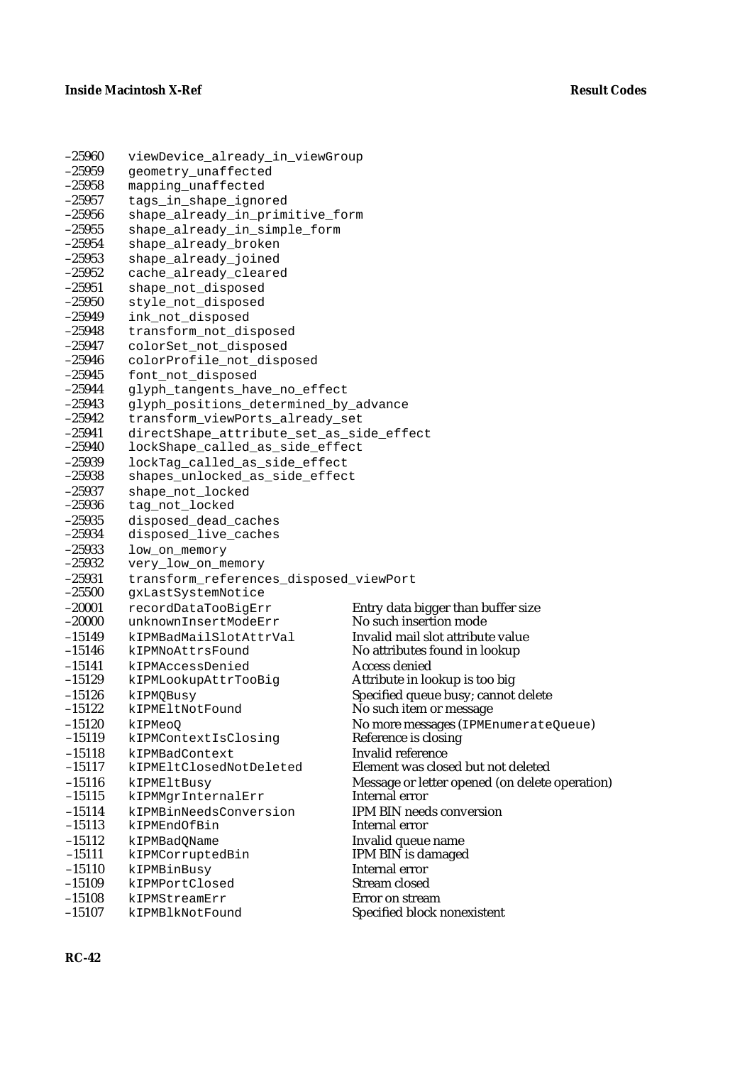| $-25960$             | viewDevice_already_in_viewGroup                              |                                                |  |
|----------------------|--------------------------------------------------------------|------------------------------------------------|--|
| $-25959$             | geometry_unaffected                                          |                                                |  |
| $-25958$             | mapping_unaffected                                           |                                                |  |
| $-25957$             | tags_in_shape_ignored                                        |                                                |  |
| $-25956$             | shape_already_in_primitive_form                              |                                                |  |
| $-25955$             | shape_already_in_simple_form                                 |                                                |  |
| $-25954$             | shape_already_broken                                         |                                                |  |
| $-25953$             | shape_already_joined                                         |                                                |  |
| $-25952$             | cache_already_cleared                                        |                                                |  |
| $-25951$             | shape_not_disposed                                           |                                                |  |
| $-25950$             | style_not_disposed                                           |                                                |  |
| $-25949$             | ink_not_disposed                                             |                                                |  |
| $-25948$             | transform_not_disposed                                       |                                                |  |
| $-25947$             | colorSet_not_disposed                                        |                                                |  |
| $-25946$             | colorProfile_not_disposed                                    |                                                |  |
| $-25945$             | font_not_disposed                                            |                                                |  |
| $-25944$             | glyph_tangents_have_no_effect                                |                                                |  |
| $-25943$             | glyph_positions_determined_by_advance                        |                                                |  |
| $-25942$             | transform_viewPorts_already_set                              |                                                |  |
| $-25941$             | directShape_attribute_set_as_side_effect                     |                                                |  |
| $-25940$             | lockShape_called_as_side_effect                              |                                                |  |
| $-25939$             | lockTag_called_as_side_effect                                |                                                |  |
| $-25938$             | shapes_unlocked_as_side_effect                               |                                                |  |
| $-25937$             | shape_not_locked                                             |                                                |  |
| $-25936$             | tag_not_locked                                               |                                                |  |
| $-25935$<br>$-25934$ | disposed_dead_caches                                         |                                                |  |
| $-25933$             | disposed_live_caches                                         |                                                |  |
| $-25932$             | low_on_memory                                                |                                                |  |
| $-25931$             | very_low_on_memory<br>transform_references_disposed_viewPort |                                                |  |
| $-25500$             | gxLastSystemNotice                                           |                                                |  |
| $-20001$             | recordDataTooBigErr                                          | Entry data bigger than buffer size             |  |
| $-20000$             | unknownInsertModeErr                                         | No such insertion mode                         |  |
| $-15149$             | kIPMBadMailSlotAttrVal                                       | Invalid mail slot attribute value              |  |
| $-15146$             | kIPMNoAttrsFound                                             | No attributes found in lookup                  |  |
| $-15141$             | kIPMAccessDenied                                             | <b>Access denied</b>                           |  |
| $-15129$             | kIPMLookupAttrTooBig                                         | Attribute in lookup is too big                 |  |
| $-15126$             | kIPMQBusy                                                    | Specified queue busy; cannot delete            |  |
| $-15122$             | kIPMEltNotFound                                              | No such item or message                        |  |
| $-15120$             | kIPMeoQ                                                      | No more messages (IPMEnumerateQueue)           |  |
| $-15119$             | kIPMContextIsClosing                                         | Reference is closing                           |  |
| $-15118$             | kIPMBadContext                                               | <b>Invalid reference</b>                       |  |
| $-15117$             | kIPMEltClosedNotDeleted                                      | Element was closed but not deleted             |  |
| $-15116$             | kIPMEltBusy                                                  | Message or letter opened (on delete operation) |  |
| $-15115$             | kIPMMgrInternalErr                                           | Internal error                                 |  |
| $-15114$             | kIPMBinNeedsConversion                                       | <b>IPM BIN needs conversion</b>                |  |
| $-15113$             | kIPMEndOfBin                                                 | Internal error                                 |  |
| $-15112$             | kIPMBadQName                                                 | Invalid queue name                             |  |
| $-15111$             | kIPMCorruptedBin                                             | IPM BIN is damaged                             |  |
| $-15110$             | kIPMBinBusy                                                  | Internal error                                 |  |
| $-15109$             | kIPMPortClosed                                               | <b>Stream closed</b>                           |  |
| $-15108$             | kIPMStreamErr                                                | Error on stream                                |  |
| $-15107$             | kIPMBlkNotFound                                              | Specified block nonexistent                    |  |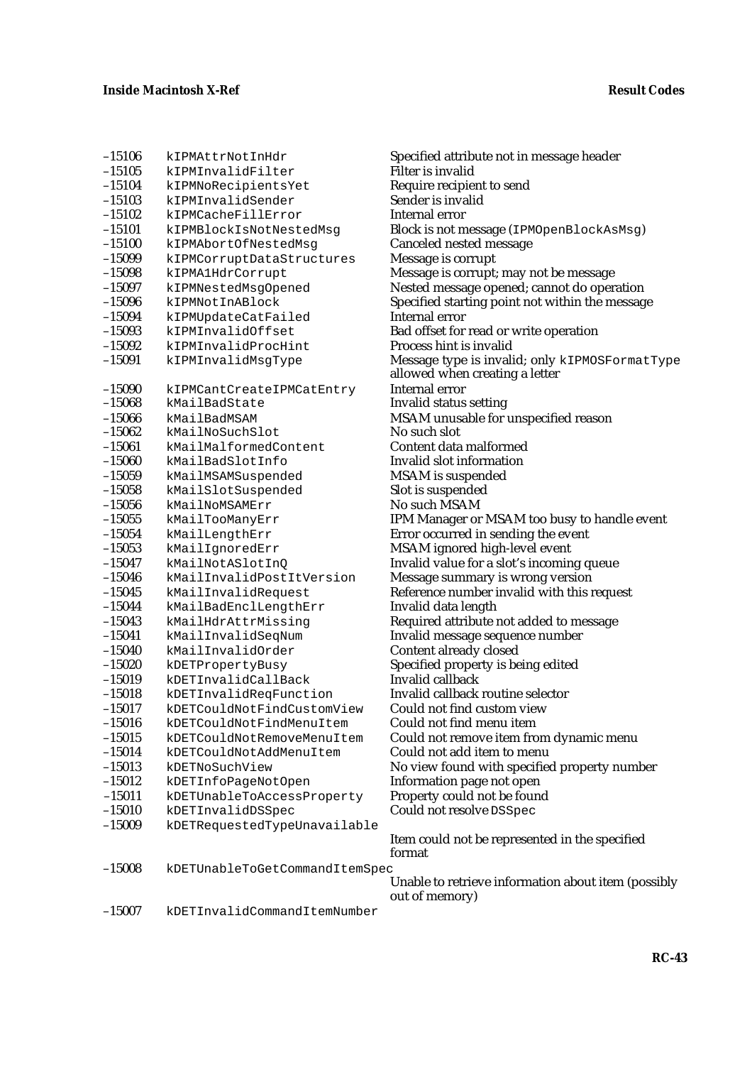| $-15106$             | kIPMAttrNotInHdr                      | Specified attribute not in message header                             |
|----------------------|---------------------------------------|-----------------------------------------------------------------------|
| $-15105$             | kIPMInvalidFilter                     | <b>Filter is invalid</b>                                              |
| $-15104$             | kIPMNoRecipientsYet                   | Require recipient to send                                             |
| $-15103$             | kIPMInvalidSender                     | Sender is invalid                                                     |
| $-15102$             | kIPMCacheFillError                    | Internal error                                                        |
| $-15101$             | kIPMBlockIsNotNestedMsg               | Block is not message (IPMOpenBlockAsMsg)                              |
| $-15100$             | kIPMAbortOfNestedMsg                  | Canceled nested message                                               |
| $-15099$             | kIPMCorruptDataStructures             | Message is corrupt                                                    |
| $-15098$             | kIPMA1HdrCorrupt                      | Message is corrupt; may not be message                                |
| $-15097$             | kIPMNestedMsgOpened                   | Nested message opened; cannot do operation                            |
| $-15096$             | kIPMNotInABlock                       | Specified starting point not within the message                       |
| $-15094$             | kIPMUpdateCatFailed                   | <b>Internal error</b>                                                 |
| $-15093$             | kIPMInvalidOffset                     | Bad offset for read or write operation                                |
| $-15092$             | kIPMInvalidProcHint                   | Process hint is invalid                                               |
| $-15091$             | kIPMInvalidMsgType                    | Message type is invalid; only kIPMOSFormatType                        |
|                      |                                       | allowed when creating a letter                                        |
| $-15090$             | kIPMCantCreateIPMCatEntry             | Internal error                                                        |
| $-15068$             | kMailBadState                         | <b>Invalid status setting</b>                                         |
| $-15066$             | kMailBadMSAM                          | MSAM unusable for unspecified reason                                  |
| $-15062$             | kMailNoSuchSlot                       | No such slot                                                          |
| $-15061$             | kMailMalformedContent                 | Content data malformed                                                |
| $-15060$             | kMailBadSlotInfo                      | Invalid slot information                                              |
| $-15059$             | kMailMSAMSuspended                    | <b>MSAM</b> is suspended                                              |
| $-15058$             | kMailSlotSuspended                    | Slot is suspended                                                     |
| $-15056$             | kMailNoMSAMErr                        | No such MSAM                                                          |
| $-15055$             | kMailTooManyErr                       | IPM Manager or MSAM too busy to handle event                          |
| $-15054$             | kMailLengthErr                        | Error occurred in sending the event                                   |
| $-15053$             | kMailIgnoredErr                       | MSAM ignored high-level event                                         |
| $-15047$             | kMailNotASlotInQ                      | Invalid value for a slot's incoming queue                             |
| $-15046$             | kMailInvalidPostItVersion             | Message summary is wrong version                                      |
| $-15045$             | kMailInvalidRequest                   | Reference number invalid with this request                            |
| $-15044$             | kMailBadEnclLengthErr                 | Invalid data length                                                   |
| $-15043$             | kMailHdrAttrMissing                   | Required attribute not added to message                               |
| $-15041$             | kMailInvalidSeqNum                    | Invalid message sequence number                                       |
| $-15040$             | kMailInvalidOrder                     | Content already closed                                                |
| $-15020$             | kDETPropertyBusy                      | Specified property is being edited                                    |
| $-15019$             | kDETInvalidCallBack                   | Invalid callback                                                      |
| $-15018$             | kDETInvalidReqFunction                | Invalid callback routine selector                                     |
| $-15017$             | kDETCouldNotFindCustomView            | Could not find custom view                                            |
| $-15016$             | kDETCouldNotFindMenuItem              | Could not find menu item                                              |
| $-15015$<br>$-15014$ | kDETCouldNotRemoveMenuItem            | Could not remove item from dynamic menu<br>Could not add item to menu |
| $-15013$             | kDETCouldNotAddMenuItem               |                                                                       |
| $-15012$             | kDETNoSuchView<br>kDETInfoPageNotOpen | No view found with specified property number                          |
| $-15011$             |                                       | Information page not open                                             |
| $-15010$             | kDETUnableToAccessProperty            | Property could not be found<br>Could not resolve DSSpec               |
|                      | kDETInvalidDSSpec                     |                                                                       |
| $-15009$             | kDETRequestedTypeUnavailable          | Item could not be represented in the specified                        |
|                      |                                       | format                                                                |
| $-15008$             | kDETUnableToGetCommandItemSpec        |                                                                       |
|                      |                                       | Unable to retrieve information about item (possibly                   |
|                      |                                       | out of memory)                                                        |
| $-15007$             | kDETInvalidCommandItemNumber          |                                                                       |
|                      |                                       |                                                                       |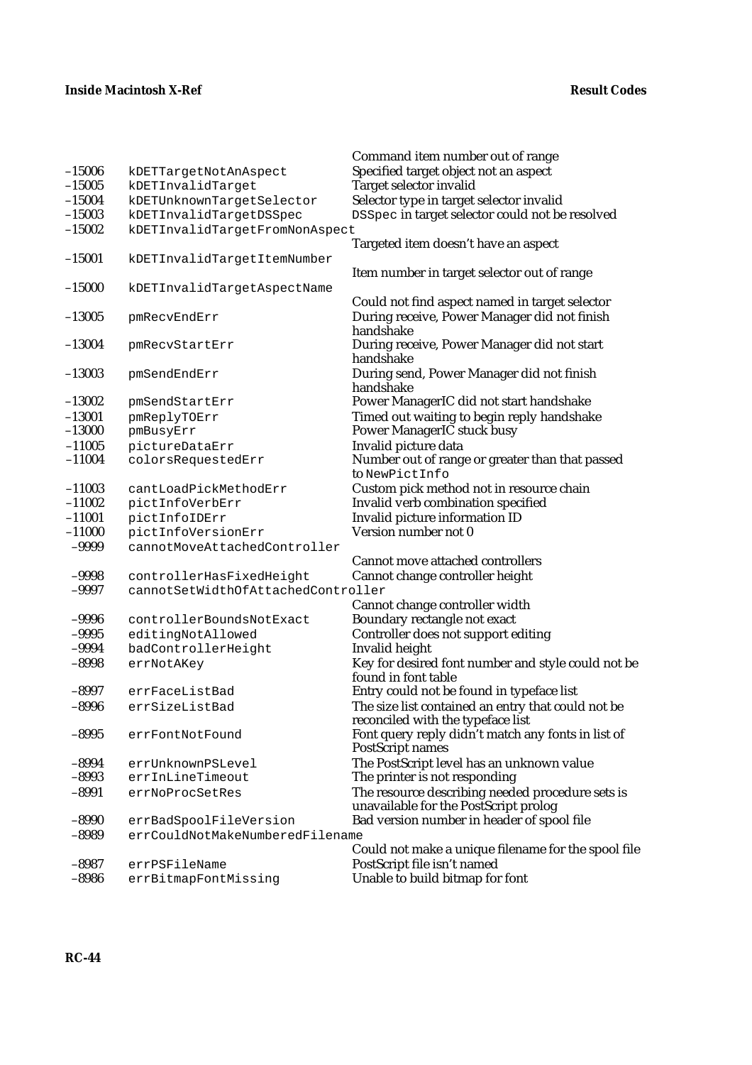|          |                                    | Command item number out of range                    |
|----------|------------------------------------|-----------------------------------------------------|
| $-15006$ | kDETTargetNotAnAspect              | Specified target object not an aspect               |
| $-15005$ | kDETInvalidTarget                  | Target selector invalid                             |
| $-15004$ | kDETUnknownTargetSelector          | Selector type in target selector invalid            |
| $-15003$ | kDETInvalidTargetDSSpec            | DSSpec in target selector could not be resolved     |
| $-15002$ | kDETInvalidTargetFromNonAspect     |                                                     |
|          |                                    | Targeted item doesn't have an aspect                |
| $-15001$ | kDETInvalidTargetItemNumber        |                                                     |
|          |                                    | Item number in target selector out of range         |
| $-15000$ | kDETInvalidTargetAspectName        |                                                     |
|          |                                    | Could not find aspect named in target selector      |
| $-13005$ | pmRecvEndErr                       | During receive, Power Manager did not finish        |
|          |                                    | handshake                                           |
| $-13004$ | pmRecvStartErr                     | During receive, Power Manager did not start         |
|          |                                    | handshake                                           |
| $-13003$ | pmSendEndErr                       | During send, Power Manager did not finish           |
|          |                                    | handshake                                           |
| $-13002$ | pmSendStartErr                     | Power ManagerIC did not start handshake             |
| $-13001$ | pmReplyTOErr                       | Timed out waiting to begin reply handshake          |
| $-13000$ | pmBusyErr                          | Power ManagerIC stuck busy                          |
| $-11005$ | pictureDataErr                     | Invalid picture data                                |
| $-11004$ | colorsRequestedErr                 | Number out of range or greater than that passed     |
|          |                                    | to NewPictInfo                                      |
| $-11003$ | cantLoadPickMethodErr              | Custom pick method not in resource chain            |
| $-11002$ | pictInfoVerbErr                    | Invalid verb combination specified                  |
| $-11001$ | pictInfoIDErr                      | Invalid picture information ID                      |
| $-11000$ | pictInfoVersionErr                 | Version number not 0                                |
| $-9999$  | cannotMoveAttachedController       |                                                     |
|          |                                    | Cannot move attached controllers                    |
| $-9998$  | controllerHasFixedHeight           | Cannot change controller height                     |
| $-9997$  | cannotSetWidthOfAttachedController |                                                     |
|          |                                    | Cannot change controller width                      |
| $-9996$  | controllerBoundsNotExact           | Boundary rectangle not exact                        |
| $-9995$  | editingNotAllowed                  | Controller does not support editing                 |
| $-9994$  | badControllerHeight                | Invalid height                                      |
| $-8998$  | errNotAKey                         | Key for desired font number and style could not be  |
|          |                                    | found in font table                                 |
| $-8997$  | errFaceListBad                     | Entry could not be found in typeface list           |
| $-8996$  | errSizeListBad                     | The size list contained an entry that could not be  |
|          |                                    | reconciled with the typeface list                   |
| $-8995$  | errFontNotFound                    | Font query reply didn't match any fonts in list of  |
|          |                                    | <b>PostScript names</b>                             |
| $-8994$  | errUnknownPSLevel                  | The PostScript level has an unknown value           |
| $-8993$  | errInLineTimeout                   | The printer is not responding                       |
| $-8991$  | errNoProcSetRes                    | The resource describing needed procedure sets is    |
|          |                                    | unavailable for the PostScript prolog               |
| $-8990$  | errBadSpoolFileVersion             | Bad version number in header of spool file          |
| $-8989$  | errCouldNotMakeNumberedFilename    |                                                     |
|          |                                    | Could not make a unique filename for the spool file |
| $-8987$  | errPSFileName                      | PostScript file isn't named                         |
| $-8986$  | errBitmapFontMissing               | Unable to build bitmap for font                     |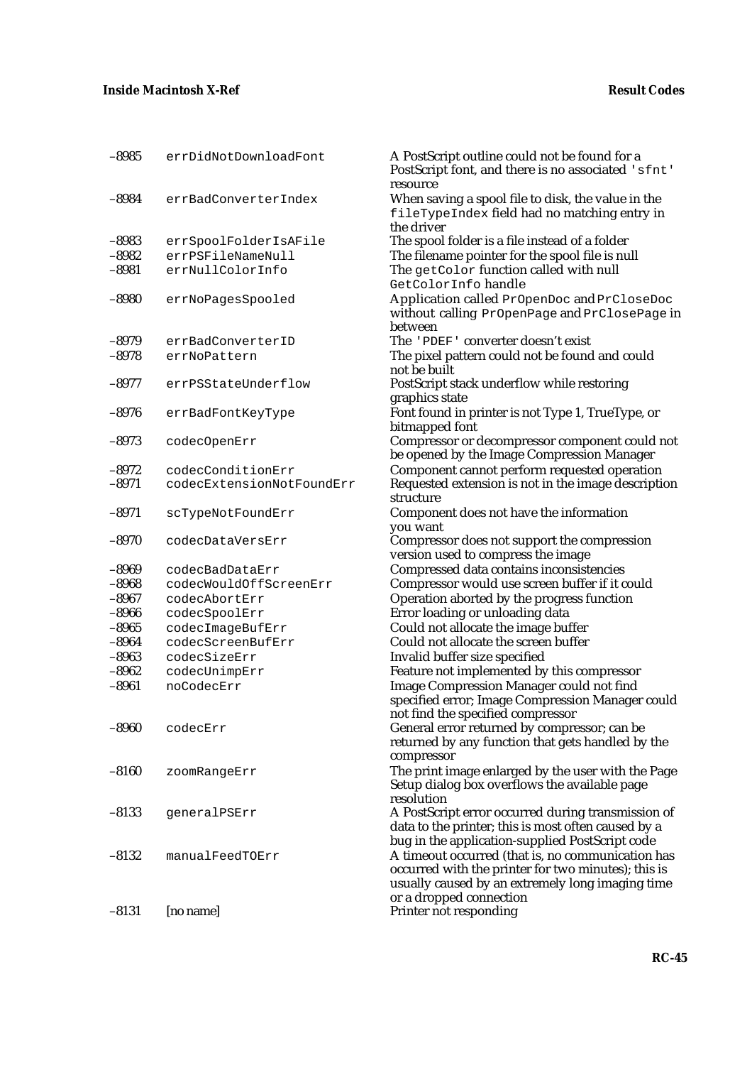| $-8985$ | errDidNotDownloadFont     | A PostScript outline could not be found for a<br>PostScript font, and there is no associated 'sfnt'<br>resource                                                                         |
|---------|---------------------------|-----------------------------------------------------------------------------------------------------------------------------------------------------------------------------------------|
| $-8984$ | errBadConverterIndex      | When saving a spool file to disk, the value in the<br>fileTypeIndex field had no matching entry in<br>the driver                                                                        |
| $-8983$ | errSpoolFolderIsAFile     | The spool folder is a file instead of a folder                                                                                                                                          |
| $-8982$ | errPSFileNameNull         | The filename pointer for the spool file is null                                                                                                                                         |
| $-8981$ | errNullColorInfo          | The getColor function called with null<br>GetColorInfo handle                                                                                                                           |
| $-8980$ | errNoPagesSpooled         | Application called PrOpenDoc and PrCloseDoc<br>without calling PrOpenPage and PrClosePage in<br>between                                                                                 |
| $-8979$ | errBadConverterID         | The 'PDEF' converter doesn't exist                                                                                                                                                      |
| $-8978$ | errNoPattern              | The pixel pattern could not be found and could<br>not be built                                                                                                                          |
| $-8977$ | errPSStateUnderflow       | PostScript stack underflow while restoring<br>graphics state                                                                                                                            |
| $-8976$ | errBadFontKeyType         | Font found in printer is not Type 1, TrueType, or<br>bitmapped font                                                                                                                     |
| $-8973$ | codecOpenErr              | Compressor or decompressor component could not<br>be opened by the Image Compression Manager                                                                                            |
| $-8972$ | codecConditionErr         | Component cannot perform requested operation                                                                                                                                            |
| $-8971$ | codecExtensionNotFoundErr | Requested extension is not in the image description<br>structure                                                                                                                        |
| $-8971$ | scTypeNotFoundErr         | Component does not have the information<br>you want                                                                                                                                     |
| $-8970$ | codecDataVersErr          | Compressor does not support the compression<br>version used to compress the image                                                                                                       |
| $-8969$ | codecBadDataErr           | Compressed data contains inconsistencies                                                                                                                                                |
| $-8968$ | codecWouldOffScreenErr    | Compressor would use screen buffer if it could                                                                                                                                          |
| $-8967$ | codecAbortErr             | Operation aborted by the progress function                                                                                                                                              |
| $-8966$ | codecSpoolErr             | Error loading or unloading data                                                                                                                                                         |
| $-8965$ | codecImageBufErr          | Could not allocate the image buffer                                                                                                                                                     |
| $-8964$ | codecScreenBufErr         | Could not allocate the screen buffer                                                                                                                                                    |
| $-8963$ | codecSizeErr              | Invalid buffer size specified                                                                                                                                                           |
| $-8962$ | codecUnimpErr             | Feature not implemented by this compressor                                                                                                                                              |
| $-8961$ | noCodecErr                | <b>Image Compression Manager could not find</b><br>specified error; Image Compression Manager could<br>not find the specified compressor                                                |
| $-8960$ | codecErr                  | General error returned by compressor; can be<br>returned by any function that gets handled by the<br>compressor                                                                         |
| $-8160$ | zoomRangeErr              | The print image enlarged by the user with the Page<br>Setup dialog box overflows the available page<br>resolution                                                                       |
| $-8133$ | generalPSErr              | A PostScript error occurred during transmission of<br>data to the printer; this is most often caused by a<br>bug in the application-supplied PostScript code                            |
| $-8132$ | manualFeedTOErr           | A timeout occurred (that is, no communication has<br>occurred with the printer for two minutes); this is<br>usually caused by an extremely long imaging time<br>or a dropped connection |
| $-8131$ | [no name]                 | Printer not responding                                                                                                                                                                  |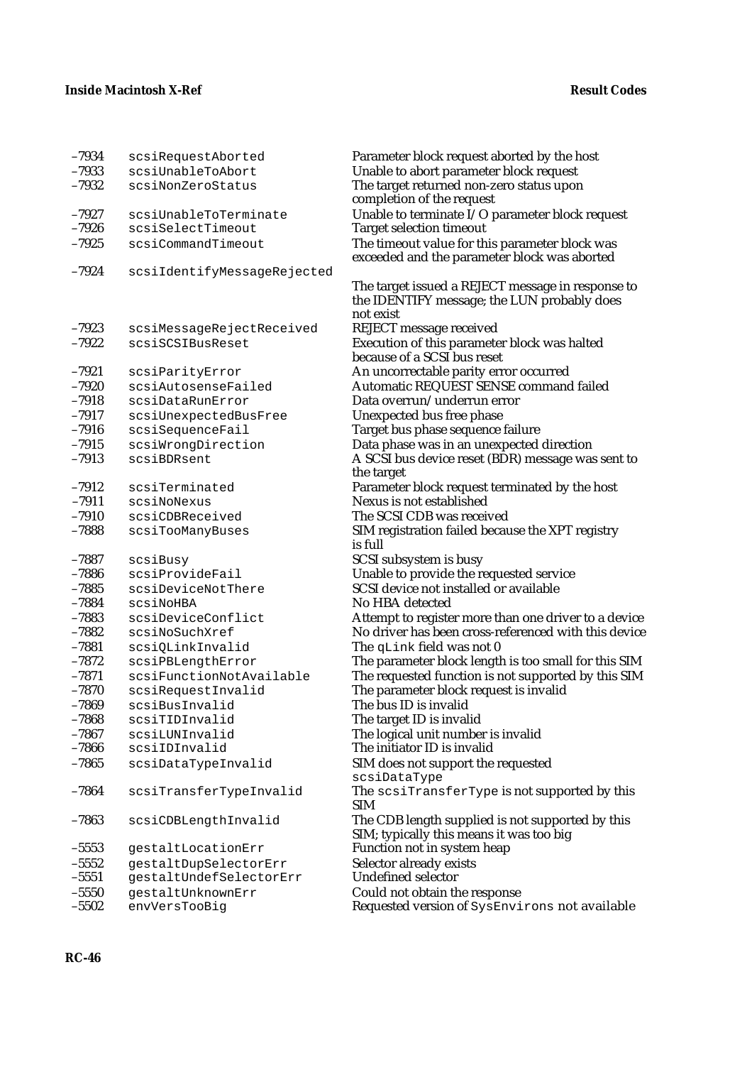| $-7934$            | scsiRequestAborted                  | Parameter block request aborted by the host                                                      |
|--------------------|-------------------------------------|--------------------------------------------------------------------------------------------------|
| $-7933$            | scsiUnableToAbort                   | Unable to abort parameter block request                                                          |
| $-7932$            | scsiNonZeroStatus                   | The target returned non-zero status upon                                                         |
|                    |                                     | completion of the request                                                                        |
| $-7927$            | scsiUnableToTerminate               | Unable to terminate I/O parameter block request                                                  |
| $-7926$            | scsiSelectTimeout                   | <b>Target selection timeout</b>                                                                  |
| $-7925$            | scsiCommandTimeout                  | The timeout value for this parameter block was                                                   |
|                    |                                     | exceeded and the parameter block was aborted                                                     |
| $-7924$            | scsiIdentifyMessageRejected         |                                                                                                  |
|                    |                                     | The target issued a REJECT message in response to<br>the IDENTIFY message; the LUN probably does |
|                    |                                     | not exist                                                                                        |
| $-7923$            | scsiMessageRejectReceived           | <b>REJECT</b> message received                                                                   |
| $-7922$            | scsiSCSIBusReset                    | Execution of this parameter block was halted                                                     |
|                    |                                     | because of a SCSI bus reset                                                                      |
| $-7921$            | scsiParityError                     | An uncorrectable parity error occurred                                                           |
| $-7920$            | scsiAutosenseFailed                 | Automatic REQUEST SENSE command failed                                                           |
| $-7918$            | scsiDataRunError                    | Data overrun/underrun error                                                                      |
| $-7917$            | scsiUnexpectedBusFree               | Unexpected bus free phase                                                                        |
| $-7916$            | scsiSequenceFail                    | Target bus phase sequence failure                                                                |
| $-7915$            | scsiWrongDirection                  | Data phase was in an unexpected direction                                                        |
| $-7913$            | scsiBDRsent                         | A SCSI bus device reset (BDR) message was sent to                                                |
|                    |                                     | the target                                                                                       |
| $-7912$            | scsiTerminated                      | Parameter block request terminated by the host<br>Nexus is not established                       |
| $-7911$<br>$-7910$ | scsiNoNexus                         |                                                                                                  |
| $-7888$            | scsiCDBReceived<br>scsiTooManyBuses | The SCSI CDB was received<br>SIM registration failed because the XPT registry                    |
|                    |                                     | is full                                                                                          |
| $-7887$            | scsiBusy                            | SCSI subsystem is busy                                                                           |
| $-7886$            | scsiProvideFail                     | Unable to provide the requested service                                                          |
| $-7885$            | scsiDeviceNotThere                  | SCSI device not installed or available                                                           |
| $-7884$            | scsiNoHBA                           | No HBA detected                                                                                  |
| $-7883$            | scsiDeviceConflict                  | Attempt to register more than one driver to a device                                             |
| $-7882$            | scsiNoSuchXref                      | No driver has been cross-referenced with this device                                             |
| $-7881$            | scsiQLinkInvalid                    | The qLink field was not 0                                                                        |
| $-7872$            | scsiPBLengthError                   | The parameter block length is too small for this SIM                                             |
| $-7871$            | scsiFunctionNotAvailable            | The requested function is not supported by this SIM                                              |
| $-7870$            | scsiRequestInvalid                  | The parameter block request is invalid                                                           |
| $-7869$            | scsiBusInvalid                      | The bus ID is invalid                                                                            |
| $-7868$            | scsiTIDInvalid                      | The target ID is invalid                                                                         |
| $-7867$            | scsiLUNInvalid                      | The logical unit number is invalid                                                               |
| $-7866$            | scsiIDInvalid                       | The initiator ID is invalid                                                                      |
| $-7865$            | scsiDataTypeInvalid                 | SIM does not support the requested<br>scsiDataType                                               |
| $-7864$            | scsiTransferTypeInvalid             | The scsiTransferType is not supported by this                                                    |
|                    |                                     | SIM                                                                                              |
| $-7863$            | scsiCDBLengthInvalid                | The CDB length supplied is not supported by this                                                 |
|                    |                                     | SIM; typically this means it was too big                                                         |
| $-5553$            | gestaltLocationErr                  | Function not in system heap                                                                      |
| $-5552$            | gestaltDupSelectorErr               | Selector already exists                                                                          |
| $-5551$            | gestaltUndefSelectorErr             | Undefined selector                                                                               |
| $-5550$            | gestaltUnknownErr                   | Could not obtain the response                                                                    |
| $-5502$            | envVersTooBig                       | Requested version of SysEnvirons not available                                                   |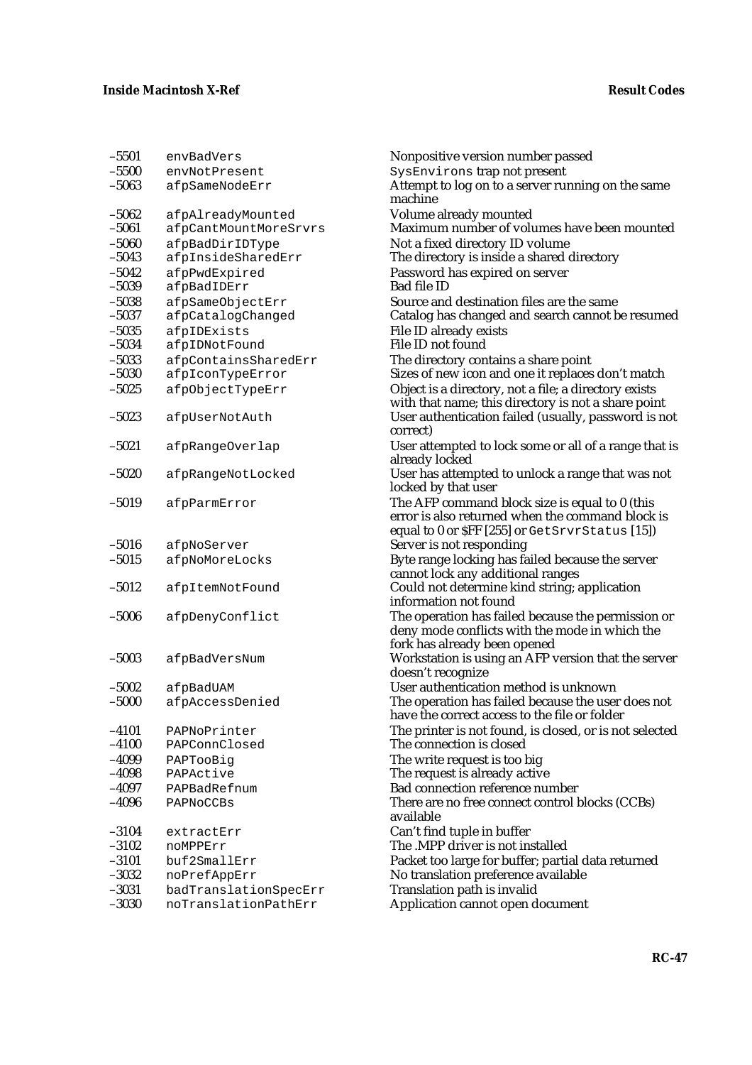| $-5501$ | envBadVers            | Nonpositive version number passed                                                                                                                    |
|---------|-----------------------|------------------------------------------------------------------------------------------------------------------------------------------------------|
| $-5500$ | envNotPresent         | SysEnvirons trap not present                                                                                                                         |
| $-5063$ | afpSameNodeErr        | Attempt to log on to a server running on the same<br>machine                                                                                         |
| $-5062$ | afpAlreadyMounted     | Volume already mounted                                                                                                                               |
| $-5061$ | afpCantMountMoreSrvrs | Maximum number of volumes have been mounted                                                                                                          |
| $-5060$ | afpBadDirIDType       | Not a fixed directory ID volume                                                                                                                      |
| $-5043$ | afpInsideSharedErr    | The directory is inside a shared directory                                                                                                           |
| $-5042$ | afpPwdExpired         | Password has expired on server                                                                                                                       |
| $-5039$ | afpBadIDErr           | <b>Bad file ID</b>                                                                                                                                   |
| $-5038$ | afpSameObjectErr      | Source and destination files are the same                                                                                                            |
| $-5037$ | afpCatalogChanged     | Catalog has changed and search cannot be resumed                                                                                                     |
| $-5035$ | afpIDExists           | <b>File ID already exists</b>                                                                                                                        |
| $-5034$ | afpIDNotFound         | File ID not found                                                                                                                                    |
| $-5033$ | afpContainsSharedErr  | The directory contains a share point                                                                                                                 |
| $-5030$ | afpIconTypeError      | Sizes of new icon and one it replaces don't match                                                                                                    |
| $-5025$ | afpObjectTypeErr      | Object is a directory, not a file; a directory exists<br>with that name; this directory is not a share point                                         |
| $-5023$ | afpUserNotAuth        | User authentication failed (usually, password is not                                                                                                 |
|         |                       | correct)                                                                                                                                             |
| $-5021$ | afpRangeOverlap       | User attempted to lock some or all of a range that is<br>already locked                                                                              |
| $-5020$ | afpRangeNotLocked     | User has attempted to unlock a range that was not<br>locked by that user                                                                             |
| $-5019$ | afpParmError          | The AFP command block size is equal to 0 (this<br>error is also returned when the command block is<br>equal to 0 or SFF [255] or GetSrvrStatus [15]) |
| $-5016$ | afpNoServer           | Server is not responding                                                                                                                             |
| $-5015$ | afpNoMoreLocks        | Byte range locking has failed because the server                                                                                                     |
|         |                       | cannot lock any additional ranges                                                                                                                    |
| $-5012$ | afpItemNotFound       | Could not determine kind string; application                                                                                                         |
|         |                       | information not found                                                                                                                                |
| $-5006$ | afpDenyConflict       | The operation has failed because the permission or<br>deny mode conflicts with the mode in which the<br>fork has already been opened                 |
| $-5003$ | afpBadVersNum         | Workstation is using an AFP version that the server                                                                                                  |
|         |                       | doesn't recognize                                                                                                                                    |
| $-5002$ | afpBadUAM             | User authentication method is unknown                                                                                                                |
| $-5000$ | afpAccessDenied       | The operation has failed because the user does not                                                                                                   |
|         |                       | have the correct access to the file or folder                                                                                                        |
| $-4101$ | PAPNoPrinter          | The printer is not found, is closed, or is not selected                                                                                              |
| $-4100$ | PAPConnClosed         | The connection is closed                                                                                                                             |
| $-4099$ | PAPTooBig             | The write request is too big                                                                                                                         |
| $-4098$ | PAPActive             | The request is already active                                                                                                                        |
| $-4097$ | PAPBadRefnum          | <b>Bad connection reference number</b>                                                                                                               |
| $-4096$ | PAPNoCCBs             | There are no free connect control blocks (CCBs)<br>available                                                                                         |
| $-3104$ | extractErr            | Can't find tuple in buffer                                                                                                                           |
| $-3102$ | noMPPErr              | The .MPP driver is not installed                                                                                                                     |
| $-3101$ | buf2SmallErr          | Packet too large for buffer; partial data returned                                                                                                   |
| $-3032$ | noPrefAppErr          | No translation preference available                                                                                                                  |
| $-3031$ | badTranslationSpecErr | Translation path is invalid                                                                                                                          |
| $-3030$ | noTranslationPathErr  | Application cannot open document                                                                                                                     |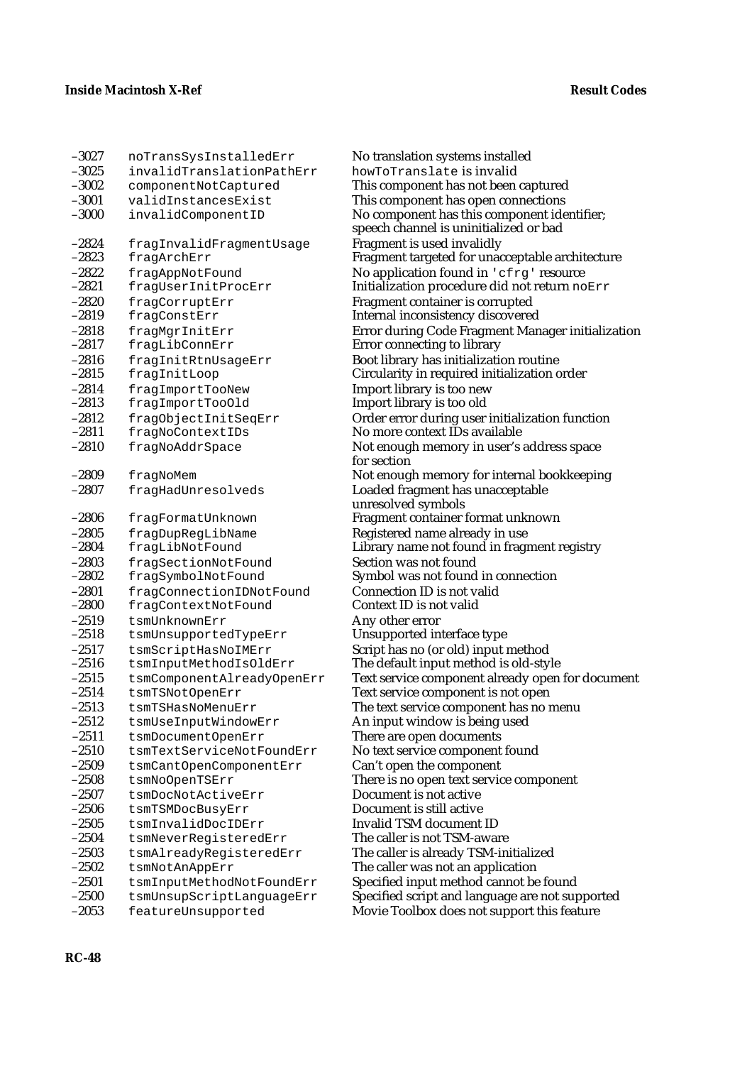| -3027   | noTransSysInstalledErr     |
|---------|----------------------------|
| $-3025$ | invalidTranslationPathErr  |
| $-3002$ | componentNotCaptured       |
| $-3001$ | validInstancesExist        |
| $-3000$ | invalidComponentID         |
|         |                            |
| $-2824$ | fragInvalidFragmentUsage   |
| $-2823$ | fragArchErr                |
| $-2822$ | fragAppNotFound            |
| $-2821$ | fragUserInitProcErr        |
| $-2820$ | fragCorruptErr             |
| $-2819$ | fragConstErr               |
| $-2818$ | fragMgrInitErr             |
| $-2817$ | fragLibConnErr             |
| $-2816$ | fragInitRtnUsageErr        |
| $-2815$ | fragInitLoop               |
| $-2814$ | fragImportTooNew           |
| $-2813$ | fragImportTooOld           |
| $-2812$ | fragObjectInitSeqErr       |
| $-2811$ | fragNoContextIDs           |
| $-2810$ | fragNoAddrSpace            |
|         |                            |
| $-2809$ | fragNoMem                  |
| $-2807$ | fragHadUnresolveds         |
|         |                            |
| $-2806$ | fragFormatUnknown          |
| $-2805$ | fragDupRegLibName          |
| $-2804$ | fragLibNotFound            |
| $-2803$ | fragSectionNotFound        |
| $-2802$ | fragSymbolNotFound         |
| $-2801$ | fragConnectionIDNotFound   |
| $-2800$ | fragContextNotFound        |
| $-2519$ | tsmUnknownErr              |
| $-2518$ | tsmUnsupportedTypeErr      |
| $-2517$ | tsmScriptHasNoIMErr        |
| $-2516$ | tsmInputMethodIsOldErr     |
| $-2515$ | tsmComponentAlreadyOpenErr |
| $-2514$ | tsmTSNotOpenErr            |
| $-2513$ | tsmTSHasNoMenuErr          |
| 2512    | tsmUseInputWindowErr       |
| $-2511$ | tsmDocumentOpenErr         |
| $-2510$ | tsmTextServiceNotFoundErr  |
| $-2509$ | tsmCantOpenComponentErr    |
| $-2508$ | tsmNoOpenTSErr             |
| $-2507$ | tsmDocNotActiveErr         |
| $-2506$ | tsmTSMDocBusyErr           |
| $-2505$ | tsmInvalidDocIDErr         |
| $-2504$ | tsmNeverRegisteredErr      |
| $-2503$ | tsmAlreadyRegisteredErr    |
| $-2502$ | tsmNotAnAppErr             |
| $-2501$ | tsmInputMethodNotFoundErr  |
| $-2500$ | tsmUnsupScriptLanguageErr  |
| $-2053$ | featureUnsupported         |

–3027 noTransSysInstalledErr No translation systems installed howToTranslate is invalid This component has not been captured This component has open connections No component has this component identifier; speech channel is uninitialized or bad Fragment is used invalidly Fragment targeted for unacceptable architecture No application found in 'cfrg' resource Initialization procedure did not return noErr Fragment container is corrupted Internal inconsistency discovered **Error during Code Fragment Manager initialization** Error connecting to library Boot library has initialization routine Circularity in required initialization order Import library is too new Import library is too old Order error during user initialization function No more context IDs available Not enough memory in user's address space for section Not enough memory for internal bookkeeping Loaded fragment has unacceptable unresolved symbols Fragment container format unknown Registered name already in use Library name not found in fragment registry Section was not found Symbol was not found in connection Connection ID is not valid Context ID is not valid Any other error Unsupported interface type Script has no (or old) input method The default input method is old-style Text service component already open for document Text service component is not open The text service component has no menu An input window is being used There are open documents No text service component found Can't open the component There is no open text service component Document is not active Document is still active Invalid TSM document ID The caller is not TSM-aware The caller is already TSM-initialized The caller was not an application Specified input method cannot be found Specified script and language are not supported Movie Toolbox does not support this feature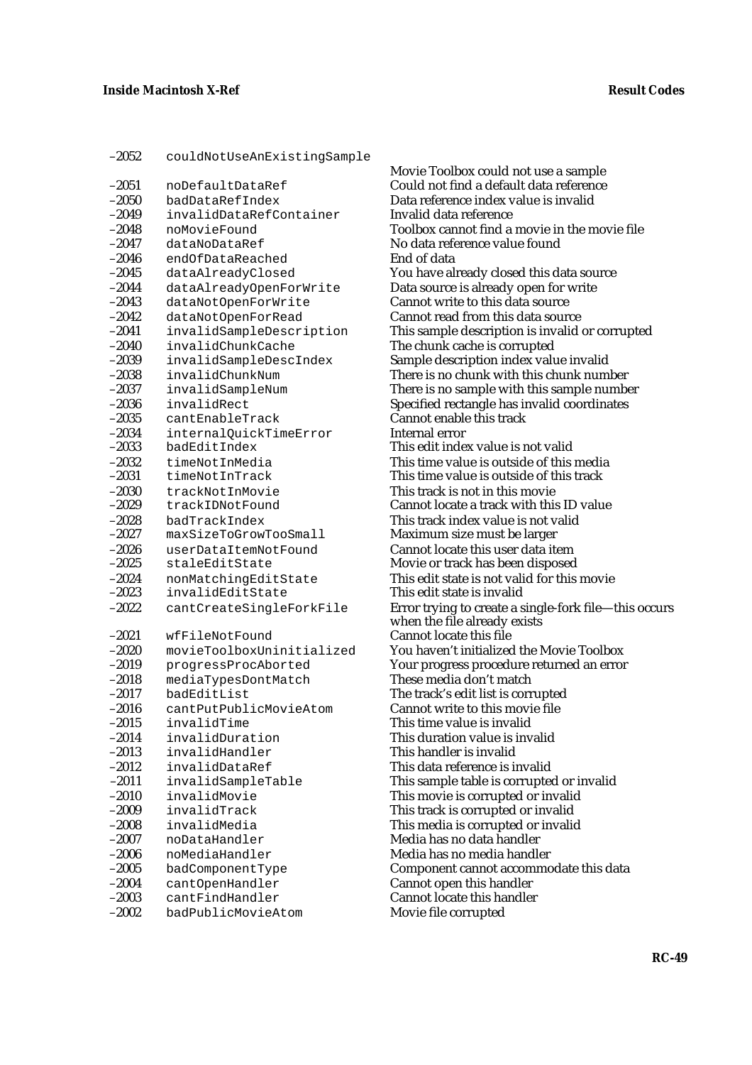| $-2052$          | couldNotUseAnExistingSample                      |
|------------------|--------------------------------------------------|
| -2051            | noDefaultDataRef                                 |
| $-2050$          | badDataRefIndex                                  |
| -2049            | invalidDataRefContainer                          |
| $-2048$          | noMovieFound                                     |
| -2047            | dataNoDataRef                                    |
| $-2046$          | endOfDataReached                                 |
| $-2045$          | dataAlreadyClosed                                |
| -2044            | dataAlreadyOpenForWrite                          |
| $-2043$          | dataNotOpenForWrite                              |
| $-2042$          | dataNotOpenForRead                               |
| $-2041$          | invalidSampleDescription                         |
| $-2040$          | invalidChunkCache                                |
| $-2039$          | invalidSampleDescIndex                           |
| $-2038$          | invalidChunkNum                                  |
| -2037            | invalidSampleNum                                 |
| -2036            | invalidRect                                      |
| $-2035$          | cantEnableTrack                                  |
| $-2034$          | internalQuickTimeError                           |
| -2033            | badEditIndex                                     |
| $-2032$          | timeNotInMedia                                   |
| $-2031$          | timeNotInTrack                                   |
| $-2030$          | trackNotInMovie                                  |
| $-2029$          | trackIDNotFound                                  |
| $-2028$          | badTrackIndex                                    |
| $-2027$          | maxSizeToGrowTooSmall                            |
| $-2026$          | userDataItemNotFound                             |
| -2025            | staleEditState                                   |
| $-2024$          | nonMatchingEditState                             |
| $-2023$          | invalidEditState                                 |
| $-2022$          | cantCreateSingleForkFile                         |
|                  |                                                  |
| –2021<br>$-2020$ | wfFileNotFound                                   |
| $-2019$          | movieToolboxUninitialized<br>progressProcAborted |
| $-2018$          | mediaTypesDontMatch                              |
| $-2017$          | badEditList                                      |
| -2016            | cantPutPublicMovieAtom                           |
| –2015            | invalidTime                                      |
| -2014            | invalidDuration                                  |
| $-2013$          | invalidHandler                                   |
| -2012            | invalidDataRef                                   |
| $-2011$          | invalidSampleTable                               |
|                  | invalidMovie                                     |
| -2010<br>-2009   | invalidTrack                                     |
| $-2008$          | invalidMedia                                     |
| $-2007$          | noDataHandler                                    |
| $-2006$          | noMediaHandler                                   |
| $-2005$          | badComponentType                                 |
| $-2004$          | cantOpenHandler                                  |
| -2003            | cantFindHandler                                  |
| $-2002$          | badPublicMovieAtom                               |

Movie Toolbox could not use a sample Could not find a default data reference Data reference index value is invalid Invalid data reference Toolbox cannot find a movie in the movie file No data reference value found End of data You have already closed this data source Data source is already open for write Cannot write to this data source Cannot read from this data source This sample description is invalid or corrupted The chunk cache is corrupted Sample description index value invalid There is no chunk with this chunk number There is no sample with this sample number Specified rectangle has invalid coordinates  $\dot{\rm C}$ annot enable this track Internal error This edit index value is not valid This time value is outside of this media This time value is outside of this track This track is not in this movie Cannot locate a track with this ID value This track index value is not valid Maximum size must be larger Cannot locate this user data item Movie or track has been disposed This edit state is not valid for this movie This edit state is invalid Error trying to create a single-fork file—this occurs when the file already exists Cannot locate this file You haven't initialized the Movie Toolbox Your progress procedure returned an error These media don't match The track's edit list is corrupted Cannot write to this movie file This time value is invalid This duration value is invalid This handler is invalid This data reference is invalid This sample table is corrupted or invalid This movie is corrupted or invalid This track is corrupted or invalid This media is corrupted or invalid Media has no data ĥandler Media has no media handler Component cannot accommodate this data Cannot open this handler Cannot locate this handler Movie file corrupted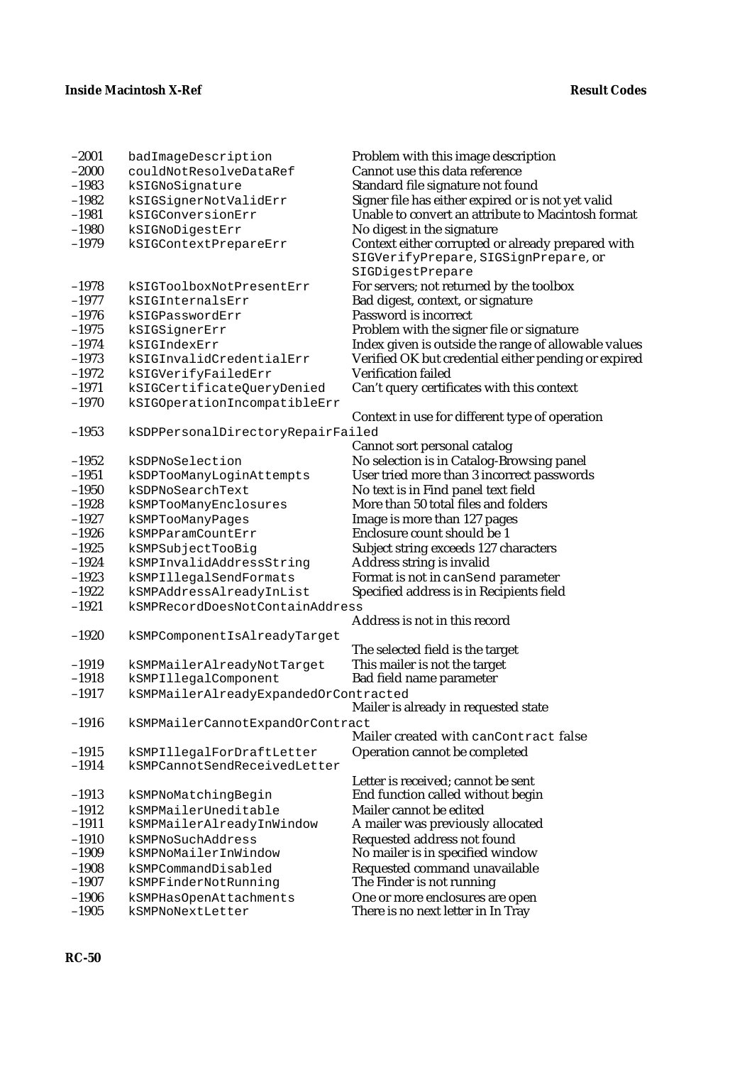| $-2001$            | badImageDescription                        | Problem with this image description                                   |
|--------------------|--------------------------------------------|-----------------------------------------------------------------------|
| $-2000$            | couldNotResolveDataRef                     | Cannot use this data reference                                        |
| $-1983$            | kSIGNoSignature                            | Standard file signature not found                                     |
| $-1982$            | kSIGSignerNotValidErr                      | Signer file has either expired or is not yet valid                    |
| $-1981$            | kSIGConversionErr                          | Unable to convert an attribute to Macintosh format                    |
| $-1980$            | kSIGNoDigestErr                            | No digest in the signature                                            |
| $-1979$            | kSIGContextPrepareErr                      | Context either corrupted or already prepared with                     |
|                    |                                            | SIGVerifyPrepare, SIGSignPrepare, or                                  |
|                    |                                            | SIGDigestPrepare                                                      |
| $-1978$            | kSIGToolboxNotPresentErr                   | For servers; not returned by the toolbox                              |
| $-1977$            | kSIGInternalsErr                           | Bad digest, context, or signature                                     |
| $-1976$            | kSIGPasswordErr                            | Password is incorrect                                                 |
| $-1975$            | kSIGSignerErr                              | Problem with the signer file or signature                             |
| $-1974$            | kSIGIndexErr                               | Index given is outside the range of allowable values                  |
| $-1973$            | kSIGInvalidCredentialErr                   | Verified OK but credential either pending or expired                  |
| $-1972$            | kSIGVerifyFailedErr                        | Verification failed                                                   |
| $-1971$            | kSIGCertificateQueryDenied                 | Can't query certificates with this context                            |
| $-1970$            | kSIGOperationIncompatibleErr               |                                                                       |
|                    |                                            | Context in use for different type of operation                        |
| $-1953$            | kSDPPersonalDirectoryRepairFailed          |                                                                       |
|                    |                                            | Cannot sort personal catalog                                          |
| $-1952$            | kSDPNoSelection                            | No selection is in Catalog-Browsing panel                             |
| $-1951$            | kSDPTooManyLoginAttempts                   | User tried more than 3 incorrect passwords                            |
| $-1950$            | kSDPNoSearchText                           | No text is in Find panel text field                                   |
| $-1928$            | kSMPTooManyEnclosures                      | More than 50 total files and folders                                  |
| $-1927$            | kSMPTooManyPages                           | Image is more than 127 pages                                          |
| $-1926$            | kSMPParamCountErr                          | Enclosure count should be 1                                           |
| $-1925$            | kSMPSubjectTooBig                          | Subject string exceeds 127 characters                                 |
| $-1924$            | kSMPInvalidAddressString                   | Address string is invalid                                             |
| $-1923$            | kSMPIllegalSendFormats                     | Format is not in canSend parameter                                    |
| $-1922$            | kSMPAddressAlreadyInList                   | Specified address is in Recipients field                              |
| $-1921$            | kSMPRecordDoesNotContainAddress            |                                                                       |
|                    |                                            | Address is not in this record                                         |
| $-1920$            | kSMPComponentIsAlreadyTarget               |                                                                       |
|                    |                                            | The selected field is the target                                      |
| $-1919$            | kSMPMailerAlreadyNotTarget                 | This mailer is not the target                                         |
| $-1918$            | kSMPIllegalComponent                       | Bad field name parameter                                              |
| $-1917$            | kSMPMailerAlreadyExpandedOrContracted      |                                                                       |
|                    |                                            | Mailer is already in requested state                                  |
| $-1916$            | kSMPMailerCannotExpandOrContract           |                                                                       |
|                    |                                            | Mailer created with canContract false                                 |
| $-1915$            | kSMPIllegalForDraftLetter                  | Operation cannot be completed                                         |
| $-1914$            | kSMPCannotSendReceivedLetter               |                                                                       |
|                    |                                            | Letter is received; cannot be sent                                    |
| $-1913$            | kSMPNoMatchingBegin                        | End function called without begin                                     |
| $-1912$            | kSMPMailerUneditable                       | Mailer cannot be edited                                               |
| $-1911$            | kSMPMailerAlreadyInWindow                  | A mailer was previously allocated                                     |
| $-1910$            | kSMPNoSuchAddress                          | Requested address not found                                           |
| $-1909$            | kSMPNoMailerInWindow                       | No mailer is in specified window                                      |
| $-1908$<br>$-1907$ | kSMPCommandDisabled                        | Requested command unavailable                                         |
| $-1906$            | kSMPFinderNotRunning                       | The Finder is not running                                             |
| $-1905$            | kSMPHasOpenAttachments<br>kSMPNoNextLetter | One or more enclosures are open<br>There is no next letter in In Tray |
|                    |                                            |                                                                       |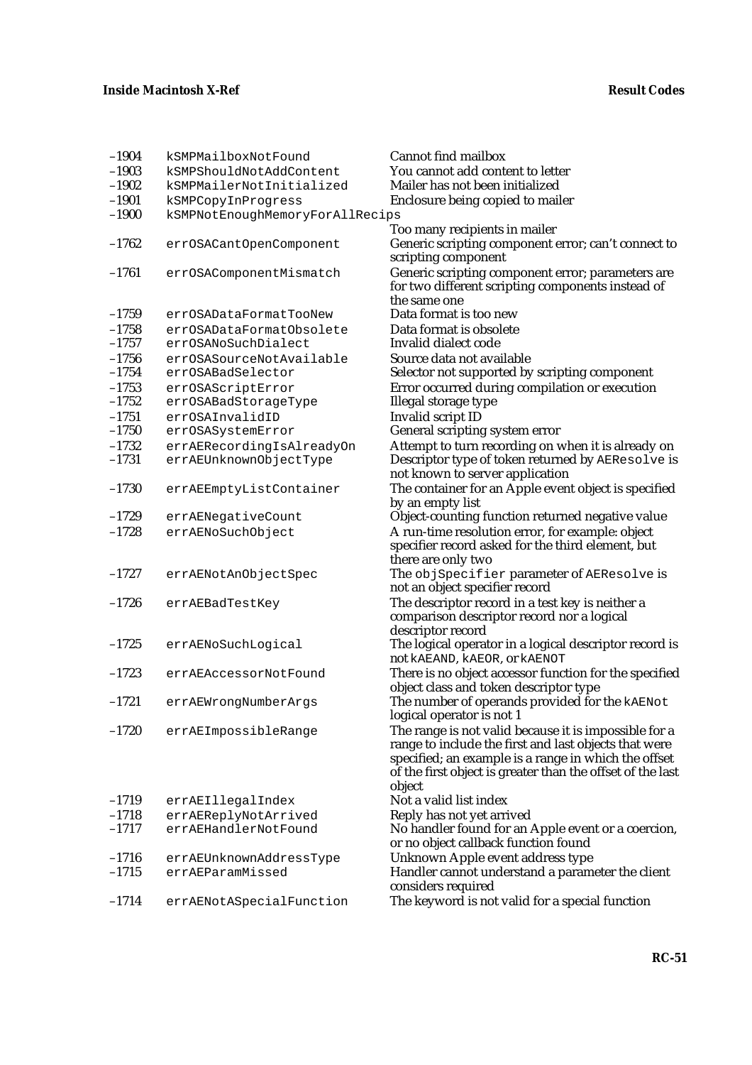| $-1904$ | kSMPMailboxNotFound             | <b>Cannot find mailbox</b>                                                                                                                                             |
|---------|---------------------------------|------------------------------------------------------------------------------------------------------------------------------------------------------------------------|
| $-1903$ | kSMPShouldNotAddContent         | You cannot add content to letter                                                                                                                                       |
| $-1902$ | kSMPMailerNotInitialized        | Mailer has not been initialized                                                                                                                                        |
| $-1901$ | kSMPCopyInProgress              | Enclosure being copied to mailer                                                                                                                                       |
| $-1900$ | kSMPNotEnoughMemoryForAllRecips |                                                                                                                                                                        |
|         |                                 | Too many recipients in mailer                                                                                                                                          |
| $-1762$ | errOSACantOpenComponent         | Generic scripting component error; can't connect to<br>scripting component                                                                                             |
| $-1761$ | errOSAComponentMismatch         | Generic scripting component error; parameters are<br>for two different scripting components instead of                                                                 |
|         |                                 | the same one                                                                                                                                                           |
| $-1759$ | errOSADataFormatTooNew          | Data format is too new                                                                                                                                                 |
| $-1758$ | errOSADataFormatObsolete        | Data format is obsolete                                                                                                                                                |
| $-1757$ | errOSANoSuchDialect             | Invalid dialect code                                                                                                                                                   |
| $-1756$ | errOSASourceNotAvailable        | Source data not available                                                                                                                                              |
| $-1754$ | errOSABadSelector               | Selector not supported by scripting component                                                                                                                          |
| $-1753$ | errOSAScriptError               | Error occurred during compilation or execution                                                                                                                         |
| $-1752$ | errOSABadStorageType            | Illegal storage type                                                                                                                                                   |
| $-1751$ | errOSAInvalidID                 | Invalid script ID                                                                                                                                                      |
| $-1750$ | errOSASystemError               | General scripting system error                                                                                                                                         |
| $-1732$ | errAERecordingIsAlreadyOn       | Attempt to turn recording on when it is already on                                                                                                                     |
| $-1731$ | errAEUnknownObjectType          | Descriptor type of token returned by AEResolve is<br>not known to server application                                                                                   |
| $-1730$ | errAEEmptyListContainer         | The container for an Apple event object is specified                                                                                                                   |
|         |                                 | by an empty list                                                                                                                                                       |
| $-1729$ | errAENegativeCount              | Object-counting function returned negative value                                                                                                                       |
| $-1728$ | errAENoSuchObject               | A run-time resolution error, for example: object                                                                                                                       |
|         |                                 | specifier record asked for the third element, but                                                                                                                      |
| $-1727$ | errAENotAnObjectSpec            | there are only two<br>The objSpecifier parameter of AEResolve is                                                                                                       |
|         |                                 | not an object specifier record                                                                                                                                         |
| $-1726$ | errAEBadTestKey                 | The descriptor record in a test key is neither a<br>comparison descriptor record nor a logical<br>descriptor record                                                    |
| $-1725$ | errAENoSuchLogical              | The logical operator in a logical descriptor record is<br>not kAEAND, kAEOR, or kAENOT                                                                                 |
| $-1723$ | errAEAccessorNotFound           | There is no object accessor function for the specified<br>object class and token descriptor type                                                                       |
| $-1721$ | errAEWrongNumberArgs            | The number of operands provided for the <b>kAENot</b><br>logical operator is not 1                                                                                     |
| $-1720$ | errAEImpossibleRange            | The range is not valid because it is impossible for a<br>range to include the first and last objects that were<br>specified; an example is a range in which the offset |
|         |                                 | of the first object is greater than the offset of the last<br>object                                                                                                   |
| $-1719$ | errAEIllegalIndex               | Not a valid list index                                                                                                                                                 |
| $-1718$ | errAEReplyNotArrived            | Reply has not yet arrived                                                                                                                                              |
| $-1717$ | errAEHandlerNotFound            | No handler found for an Apple event or a coercion,                                                                                                                     |
|         |                                 | or no object callback function found                                                                                                                                   |
| $-1716$ | errAEUnknownAddressType         | Unknown Apple event address type                                                                                                                                       |
| $-1715$ | errAEParamMissed                | Handler cannot understand a parameter the client                                                                                                                       |
|         |                                 | considers required                                                                                                                                                     |
| $-1714$ | errAENotASpecialFunction        | The keyword is not valid for a special function                                                                                                                        |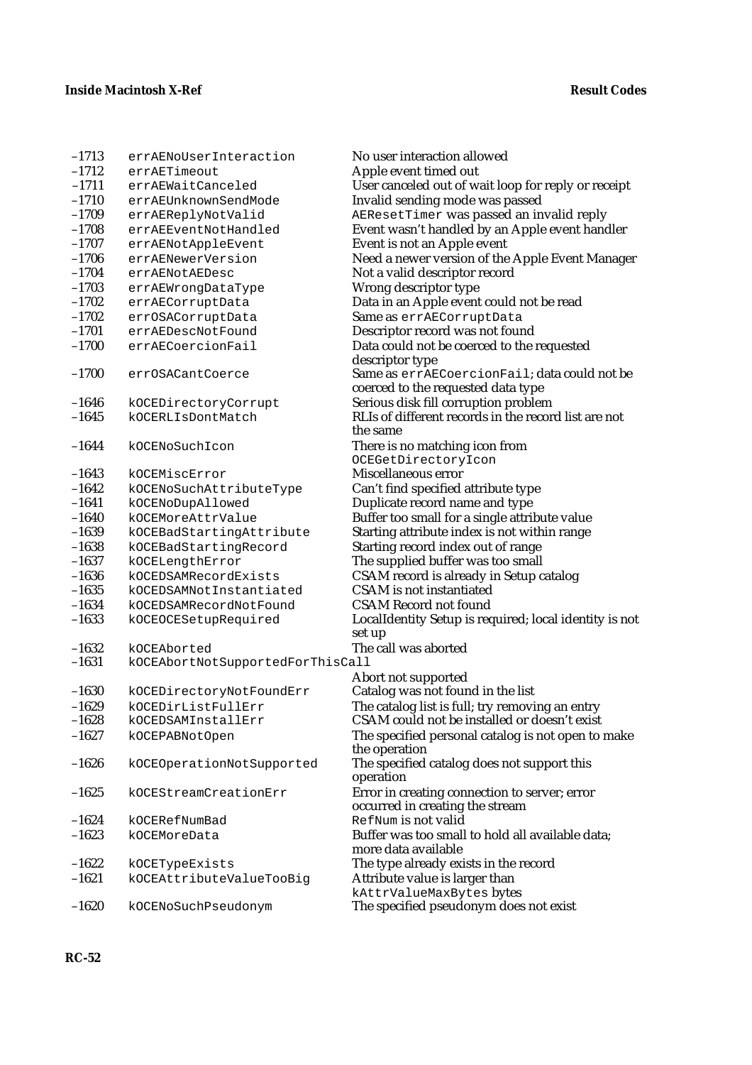| $-1713$ | errAENoUserInteraction           | No user interaction allowed                                             |
|---------|----------------------------------|-------------------------------------------------------------------------|
| $-1712$ | errAETimeout                     | Apple event timed out                                                   |
| $-1711$ | errAEWaitCanceled                | User canceled out of wait loop for reply or receipt                     |
| $-1710$ | errAEUnknownSendMode             | Invalid sending mode was passed                                         |
| $-1709$ | errAEReplyNotValid               | AEResetTimer was passed an invalid reply                                |
| $-1708$ | errAEEventNotHandled             | Event wasn't handled by an Apple event handler                          |
| $-1707$ | errAENotAppleEvent               | Event is not an Apple event                                             |
| $-1706$ | errAENewerVersion                | Need a newer version of the Apple Event Manager                         |
| $-1704$ | errAENotAEDesc                   | Not a valid descriptor record                                           |
| $-1703$ | errAEWrongDataType               | Wrong descriptor type                                                   |
| $-1702$ | errAECorruptData                 | Data in an Apple event could not be read                                |
| $-1702$ | errOSACorruptData                | Same as errAECorruptData                                                |
| $-1701$ | errAEDescNotFound                | Descriptor record was not found                                         |
| $-1700$ | errAECoercionFail                | Data could not be coerced to the requested<br>descriptor type           |
| $-1700$ | errOSACantCoerce                 | Same as errAECoercionFail; data could not be                            |
|         |                                  | coerced to the requested data type                                      |
| $-1646$ | kOCEDirectoryCorrupt             | Serious disk fill corruption problem                                    |
| $-1645$ | kOCERLIsDontMatch                | RLIs of different records in the record list are not                    |
|         |                                  | the same                                                                |
| $-1644$ | kOCENoSuchIcon                   | There is no matching icon from                                          |
|         |                                  | OCEGetDirectoryIcon                                                     |
| $-1643$ | kOCEMiscError                    | Miscellaneous error                                                     |
| $-1642$ | kOCENoSuchAttributeType          | Can't find specified attribute type                                     |
| $-1641$ | kOCENoDupAllowed                 | Duplicate record name and type                                          |
| $-1640$ | kOCEMoreAttrValue                | Buffer too small for a single attribute value                           |
| $-1639$ | kOCEBadStartingAttribute         | Starting attribute index is not within range                            |
| $-1638$ | kOCEBadStartingRecord            | Starting record index out of range                                      |
| $-1637$ | kOCELengthError                  | The supplied buffer was too small                                       |
| $-1636$ | kOCEDSAMRecordExists             | CSAM record is already in Setup catalog                                 |
| $-1635$ | kOCEDSAMNotInstantiated          | <b>CSAM</b> is not instantiated                                         |
| $-1634$ | kOCEDSAMRecordNotFound           | <b>CSAM Record not found</b>                                            |
| $-1633$ | kOCEOCESetupRequired             | LocalIdentity Setup is required; local identity is not<br>set up        |
| $-1632$ | kOCEAborted                      | The call was aborted                                                    |
| $-1631$ | kOCEAbortNotSupportedForThisCall |                                                                         |
|         |                                  | Abort not supported                                                     |
| $-1630$ | kOCEDirectoryNotFoundErr         | Catalog was not found in the list                                       |
| $-1629$ | kOCEDirListFullErr               | The catalog list is full; try removing an entry                         |
| -1628   | kOCEDSAMInstallErr               | CSAM could not be installed or doesn't exist                            |
| $-1627$ | kOCEPABNotOpen                   | The specified personal catalog is not open to make<br>the operation     |
| $-1626$ | kOCEOperationNotSupported        | The specified catalog does not support this<br>operation                |
| $-1625$ | kOCEStreamCreationErr            | Error in creating connection to server; error                           |
| $-1624$ | kOCERefNumBad                    | occurred in creating the stream<br>RefNum is not valid                  |
| $-1623$ | kOCEMoreData                     | Buffer was too small to hold all available data;<br>more data available |
| $-1622$ | kOCETypeExists                   | The type already exists in the record                                   |
| $-1621$ | kOCEAttributeValueTooBig         | Attribute value is larger than                                          |
|         |                                  | kAttrValueMaxBytes bytes                                                |
| $-1620$ | kOCENoSuchPseudonym              | The specified pseudonym does not exist                                  |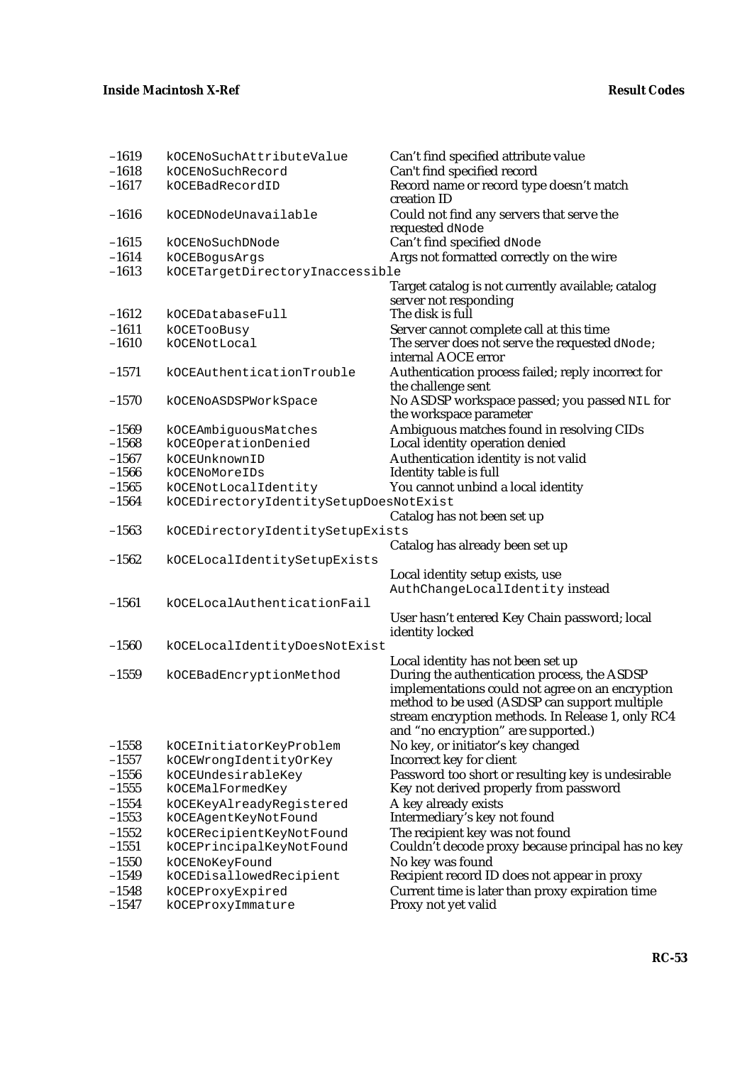| $-1619$ | kOCENoSuchAttributeValue               | Can't find specified attribute value               |
|---------|----------------------------------------|----------------------------------------------------|
| $-1618$ | kOCENoSuchRecord                       | Can't find specified record                        |
| $-1617$ | kOCEBadRecordID                        | Record name or record type doesn't match           |
|         |                                        | creation ID                                        |
| $-1616$ | kOCEDNodeUnavailable                   | Could not find any servers that serve the          |
|         |                                        | requested dNode                                    |
| $-1615$ | kOCENoSuchDNode                        | Can't find specified dNode                         |
| $-1614$ | kOCEBogusArgs                          | Args not formatted correctly on the wire           |
| $-1613$ | kOCETargetDirectoryInaccessible        |                                                    |
|         |                                        | Target catalog is not currently available; catalog |
|         |                                        | server not responding                              |
| $-1612$ | kOCEDatabaseFull                       | The disk is full                                   |
| $-1611$ | kOCETooBusy                            | Server cannot complete call at this time           |
| $-1610$ | kOCENotLocal                           | The server does not serve the requested dNode;     |
|         |                                        | internal AOCE error                                |
|         |                                        |                                                    |
| $-1571$ | kOCEAuthenticationTrouble              | Authentication process failed; reply incorrect for |
|         |                                        | the challenge sent                                 |
| $-1570$ | kOCENoASDSPWorkSpace                   | No ASDSP workspace passed; you passed NIL for      |
|         |                                        | the workspace parameter                            |
| $-1569$ | kOCEAmbiguousMatches                   | Ambiguous matches found in resolving CIDs          |
| $-1568$ | kOCEOperationDenied                    | Local identity operation denied                    |
| $-1567$ | kOCEUnknownID                          | Authentication identity is not valid               |
| $-1566$ | kOCENoMoreIDs                          | Identity table is full                             |
| $-1565$ | kOCENotLocalIdentity                   | You cannot unbind a local identity                 |
| $-1564$ | kOCEDirectoryIdentitySetupDoesNotExist |                                                    |
|         |                                        | Catalog has not been set up                        |
| $-1563$ | kOCEDirectoryIdentitySetupExists       |                                                    |
|         |                                        | Catalog has already been set up                    |
| $-1562$ | kOCELocalIdentitySetupExists           |                                                    |
|         |                                        | Local identity setup exists, use                   |
|         |                                        | AuthChangeLocalIdentity instead                    |
| $-1561$ | kOCELocalAuthenticationFail            |                                                    |
|         |                                        | User hasn't entered Key Chain password; local      |
|         |                                        | identity locked                                    |
| $-1560$ | kOCELocalIdentityDoesNotExist          |                                                    |
|         |                                        | Local identity has not been set up                 |
| $-1559$ |                                        | During the authentication process, the ASDSP       |
|         | kOCEBadEncryptionMethod                | implementations could not agree on an encryption   |
|         |                                        | method to be used (ASDSP can support multiple      |
|         |                                        | stream encryption methods. In Release 1, only RC4  |
|         |                                        | and "no encryption" are supported.)                |
|         |                                        |                                                    |
| $-1558$ | kOCEInitiatorKeyProblem                | No key, or initiator's key changed                 |
| $-1557$ | kOCEWrongIdentityOrKey                 | Incorrect key for client                           |
| $-1556$ | kOCEUndesirableKey                     | Password too short or resulting key is undesirable |
| $-1555$ | kOCEMalFormedKey                       | Key not derived properly from password             |
| $-1554$ | kOCEKeyAlreadyRegistered               | A key already exists                               |
| $-1553$ | kOCEAgentKeyNotFound                   | Intermediary's key not found                       |
| $-1552$ | kOCERecipientKeyNotFound               | The recipient key was not found                    |
| $-1551$ | kOCEPrincipalKeyNotFound               | Couldn't decode proxy because principal has no key |
| $-1550$ | kOCENoKeyFound                         | No key was found                                   |
| $-1549$ | kOCEDisallowedRecipient                | Recipient record ID does not appear in proxy       |
| $-1548$ | kOCEProxyExpired                       | Current time is later than proxy expiration time   |
| $-1547$ | kOCEProxyImmature                      | Proxy not yet valid                                |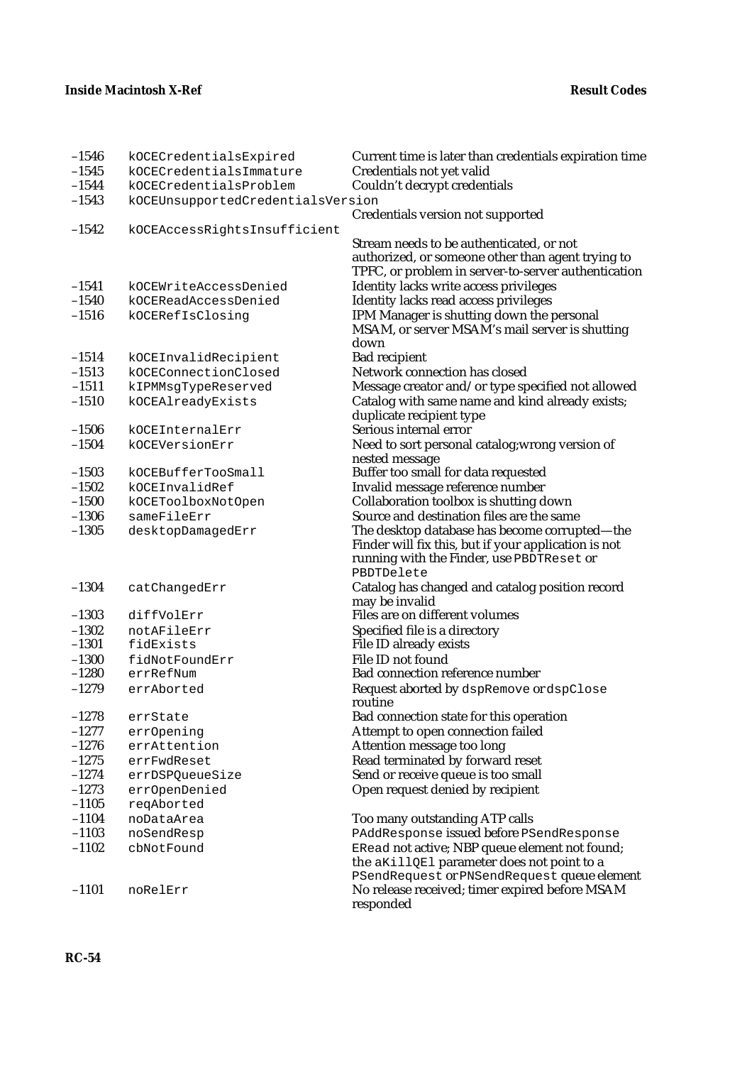| $-1546$ | kOCECredentialsExpired                                 | Current time is later than credentials expiration time            |  |
|---------|--------------------------------------------------------|-------------------------------------------------------------------|--|
| $-1545$ | kOCECredentialsImmature                                | Credentials not yet valid                                         |  |
| $-1544$ | Couldn't decrypt credentials<br>kOCECredentialsProblem |                                                                   |  |
| $-1543$ | kOCEUnsupportedCredentialsVersion                      |                                                                   |  |
|         |                                                        | Credentials version not supported                                 |  |
| $-1542$ | kOCEAccessRightsInsufficient                           |                                                                   |  |
|         |                                                        | Stream needs to be authenticated, or not                          |  |
|         |                                                        | authorized, or someone other than agent trying to                 |  |
|         |                                                        | TPFC, or problem in server-to-server authentication               |  |
| $-1541$ | kOCEWriteAccessDenied                                  | Identity lacks write access privileges                            |  |
| $-1540$ | kOCEReadAccessDenied                                   | Identity lacks read access privileges                             |  |
| $-1516$ | kOCERefIsClosing                                       | IPM Manager is shutting down the personal                         |  |
|         |                                                        | MSAM, or server MSAM's mail server is shutting                    |  |
|         |                                                        | down                                                              |  |
| $-1514$ | kOCEInvalidRecipient                                   | <b>Bad recipient</b>                                              |  |
| $-1513$ | kOCEConnectionClosed                                   | Network connection has closed                                     |  |
| $-1511$ | kIPMMsgTypeReserved                                    | Message creator and/or type specified not allowed                 |  |
| $-1510$ | kOCEAlreadyExists                                      | Catalog with same name and kind already exists;                   |  |
|         |                                                        | duplicate recipient type                                          |  |
| $-1506$ | kOCEInternalErr                                        | Serious internal error                                            |  |
| $-1504$ | kOCEVersionErr                                         | Need to sort personal catalog; wrong version of                   |  |
|         |                                                        | nested message                                                    |  |
| $-1503$ | kOCEBufferTooSmall                                     | Buffer too small for data requested                               |  |
| $-1502$ | kOCEInvalidRef                                         | Invalid message reference number                                  |  |
| $-1500$ | kOCEToolboxNotOpen                                     | Collaboration toolbox is shutting down                            |  |
| $-1306$ | sameFileErr                                            | Source and destination files are the same                         |  |
| $-1305$ | desktopDamagedErr                                      | The desktop database has become corrupted-the                     |  |
|         |                                                        | Finder will fix this, but if your application is not              |  |
|         |                                                        | running with the Finder, use PBDTReset or<br>PBDTDelete           |  |
| $-1304$ |                                                        |                                                                   |  |
|         | catChangedErr                                          | Catalog has changed and catalog position record<br>may be invalid |  |
| $-1303$ | diffVolErr                                             | Files are on different volumes                                    |  |
| $-1302$ | notAFileErr                                            | Specified file is a directory                                     |  |
| $-1301$ | fidExists                                              | File ID already exists                                            |  |
| $-1300$ | fidNotFoundErr                                         | File ID not found                                                 |  |
| $-1280$ | errRefNum                                              | <b>Bad connection reference number</b>                            |  |
| $-1279$ | errAborted                                             | Request aborted by dspRemove or dspClose                          |  |
|         |                                                        | routine                                                           |  |
| $-1278$ | errState                                               | Bad connection state for this operation                           |  |
| $-1277$ | errOpening                                             | Attempt to open connection failed                                 |  |
| $-1276$ | errAttention                                           | Attention message too long                                        |  |
| $-1275$ | errFwdReset                                            | Read terminated by forward reset                                  |  |
| $-1274$ | errDSPQueueSize                                        | Send or receive queue is too small                                |  |
| $-1273$ | errOpenDenied                                          | Open request denied by recipient                                  |  |
| $-1105$ | reqAborted                                             |                                                                   |  |
| $-1104$ | noDataArea                                             | Too many outstanding ATP calls                                    |  |
| $-1103$ | noSendResp                                             | PAddResponse issued before PSendResponse                          |  |
| $-1102$ | cbNotFound                                             | ERead not active; NBP queue element not found;                    |  |
|         |                                                        | the aKillQEl parameter does not point to a                        |  |
|         |                                                        | PSendRequest or PNSendRequest queue element                       |  |
| $-1101$ | noRelErr                                               | No release received; timer expired before MSAM                    |  |
|         |                                                        | responded                                                         |  |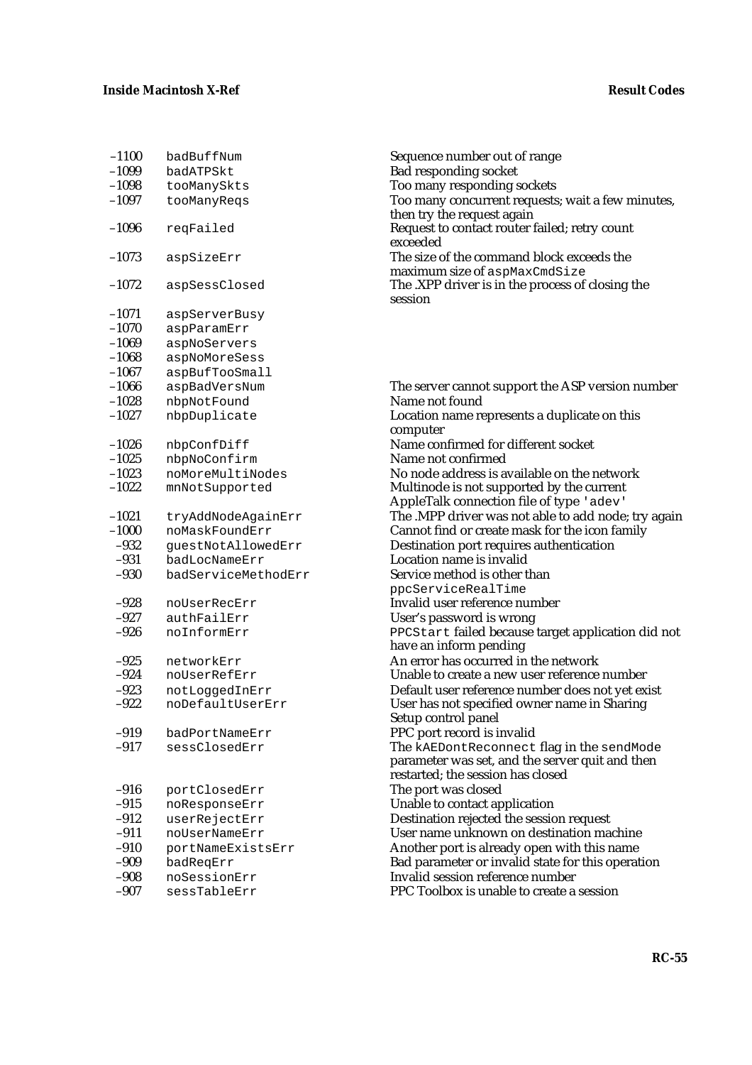| $-1100$ | badBuffNum        |
|---------|-------------------|
| $-1099$ | badATPSkt         |
| $-1098$ | tooManySkts       |
| $-1097$ | tooManyReqs       |
| $-1096$ | reqFailed         |
| $-1073$ | aspSizeErr        |
| $-1072$ | aspSessClosed     |
| $-1071$ | aspServerBusy     |
| $-1070$ | aspParamErr       |
| $-1069$ | aspNoServers      |
| $-1068$ | aspNoMoreSess     |
| $-1067$ | aspBufTooSmall    |
| $-1066$ | aspBadVersNum     |
| $-1028$ | nbpNotFound       |
| $-1027$ | nbpDuplicate      |
| $-1026$ | nbpConfDiff       |
| $-1025$ | nbpNoConfirm      |
| $-1023$ | noMoreMultiNodes  |
| $-1022$ | mnNotSupported    |
| $-1021$ | tryAddNodeAgainEl |
| $-1000$ | noMaskFoundErr    |
| $-932$  | guestNotAllowedE1 |
| $-931$  | badLocNameErr     |
| $-930$  | badServiceMethodl |
| $-928$  | noUserRecErr      |
| $-927$  | authFailErr       |
| $-926$  | noInformErr       |
| $-925$  | networkErr        |
| $-924$  | noUserRefErr      |
| $-923$  | notLoggedInErr    |
| $-922$  | noDefaultUserErr  |
| $-919$  | badPortNameErr    |
| $-917$  | sessClosedErr     |
| $-916$  | portClosedErr     |
| $-915$  | noResponseErr     |
| $-912$  | userRejectErr     |
| -911    | noUserNameErr     |
| $-910$  | portNameExistsEri |
| -909    | badReqErr         |
| -908    | noSessionErr      |
| -907    | cTableFrr         |

Sequence number out of range Bad responding socket Too many responding sockets Too many concurrent requests; wait a few minutes, then try the request again Request to contact router failed; retry count exceeded The size of the command block exceeds the maximum size of aspMaxCmdSize The .XPP driver is in the process of closing the session

The server cannot support the ASP version number Name not found Location name represents a duplicate on this computer Name confirmed for different socket Name not confirmed No node address is available on the network Multinode is not supported by the current AppleTalk connection file of type 'adev'  $\mathbb{R}^n$  The .MPP driver was not able to add node; try again Cannot find or create mask for the icon family externation port requires authentication port requires authentication Location name is invalid  $\mathbb{E}$ rr Service method is other than ppcServiceRealTime Invalid user reference number User's password is wrong PPCStart failed because target application did not have an inform pending An error has occurred in the network Unable to create a new user reference number Default user reference number does not yet exist User has not specified owner name in Sharing Setup control panel PPC port record is invalid The kAEDontReconnect flag in the sendMode parameter was set, and the server quit and then restarted; the session has closed The port was closed Unable to contact application Destination rejected the session request User name unknown on destination machine exteed of the Another port is already open with this name Bad parameter or invalid state for this operation Invalid session reference number –907 sessTableErr PPC Toolbox is unable to create a session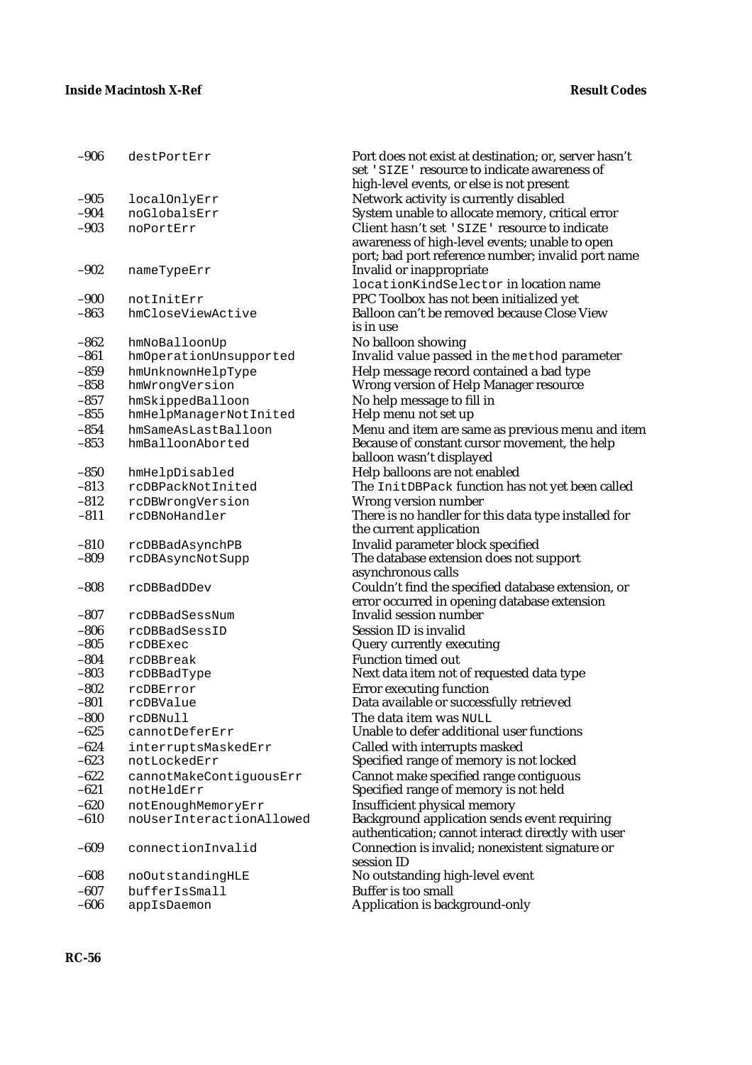| $-906$           | destPortErr                           | Port does not exist at destination; or, server hasn't<br>set 'SIZE' resource to indicate awareness of |
|------------------|---------------------------------------|-------------------------------------------------------------------------------------------------------|
| $-905$           |                                       | high-level events, or else is not present                                                             |
| $-904$           | localOnlyErr<br>noGlobalsErr          | Network activity is currently disabled<br>System unable to allocate memory, critical error            |
| $-903$           | noPortErr                             | Client hasn't set 'SIZE' resource to indicate                                                         |
|                  |                                       | awareness of high-level events; unable to open<br>port; bad port reference number; invalid port name  |
| $-902$           | nameTypeErr                           | Invalid or inappropriate<br>locationKindSelector in location name                                     |
| $-900$           | notInitErr                            | PPC Toolbox has not been initialized yet                                                              |
| $-863$           | hmCloseViewActive                     | Balloon can't be removed because Close View<br>is in use                                              |
| $-862$           | hmNoBalloonUp                         | No balloon showing                                                                                    |
| $-861$           | hmOperationUnsupported                | Invalid value passed in the method parameter                                                          |
| $-859$           | hmUnknownHelpType                     | Help message record contained a bad type                                                              |
| $-858$           | hmWrongVersion                        | <b>Wrong version of Help Manager resource</b>                                                         |
| $-857$           | hmSkippedBalloon                      | No help message to fill in                                                                            |
| $-855$           | hmHelpManagerNotInited                | Help menu not set up                                                                                  |
| $-854$           | hmSameAsLastBalloon                   | Menu and item are same as previous menu and item                                                      |
| $-853$           | hmBalloonAborted                      | Because of constant cursor movement, the help                                                         |
|                  |                                       | balloon wasn't displayed                                                                              |
| $-850$           | hmHelpDisabled                        | Help balloons are not enabled                                                                         |
| $-813$           | rcDBPackNotInited                     | The InitDBPack function has not yet been called                                                       |
| $-812$           | rcDBWrongVersion                      | Wrong version number                                                                                  |
| $-811$           | rcDBNoHandler                         | There is no handler for this data type installed for                                                  |
|                  |                                       | the current application                                                                               |
| $-810$           | rcDBBadAsynchPB                       | Invalid parameter block specified                                                                     |
| $-809$           | rcDBAsyncNotSupp                      | The database extension does not support                                                               |
|                  |                                       | asynchronous calls                                                                                    |
| $-808$           | rcDBBadDDev                           | Couldn't find the specified database extension, or<br>error occurred in opening database extension    |
| $-807$           | rcDBBadSessNum                        | <b>Invalid session number</b>                                                                         |
| $-806$           | rcDBBadSessID                         | Session ID is invalid                                                                                 |
| $-805$           | rcDBExec                              | Query currently executing                                                                             |
| $-804$           | rcDBBreak                             | <b>Function timed out</b>                                                                             |
| $-803$           | rcDBBadType                           | Next data item not of requested data type                                                             |
| $-802$           | rcDBError                             | <b>Error executing function</b>                                                                       |
| $-801$           | rcDBValue                             | Data available or successfully retrieved                                                              |
| $-800$<br>$-625$ | rcDBNull<br>cannotDeferErr            | The data item was NULL<br>Unable to defer additional user functions                                   |
| $-624$           |                                       |                                                                                                       |
| $-623$           | interruptsMaskedErr<br>notLockedErr   | Called with interrupts masked                                                                         |
| $-622$           |                                       | Specified range of memory is not locked                                                               |
| $-621$           | cannotMakeContiguousErr<br>notHeldErr | Cannot make specified range contiguous                                                                |
| $-620$           | notEnoughMemoryErr                    | Specified range of memory is not held<br>Insufficient physical memory                                 |
| $-610$           | noUserInteractionAllowed              |                                                                                                       |
|                  |                                       | Background application sends event requiring<br>authentication; cannot interact directly with user    |
| $-609$           | connectionInvalid                     | Connection is invalid; nonexistent signature or<br>session ID                                         |
| $-608$           | noOutstandingHLE                      | No outstanding high-level event                                                                       |
| $-607$           | bufferIsSmall                         | <b>Buffer is too small</b>                                                                            |
| $-606$           | appIsDaemon                           | Application is background-only                                                                        |
|                  |                                       |                                                                                                       |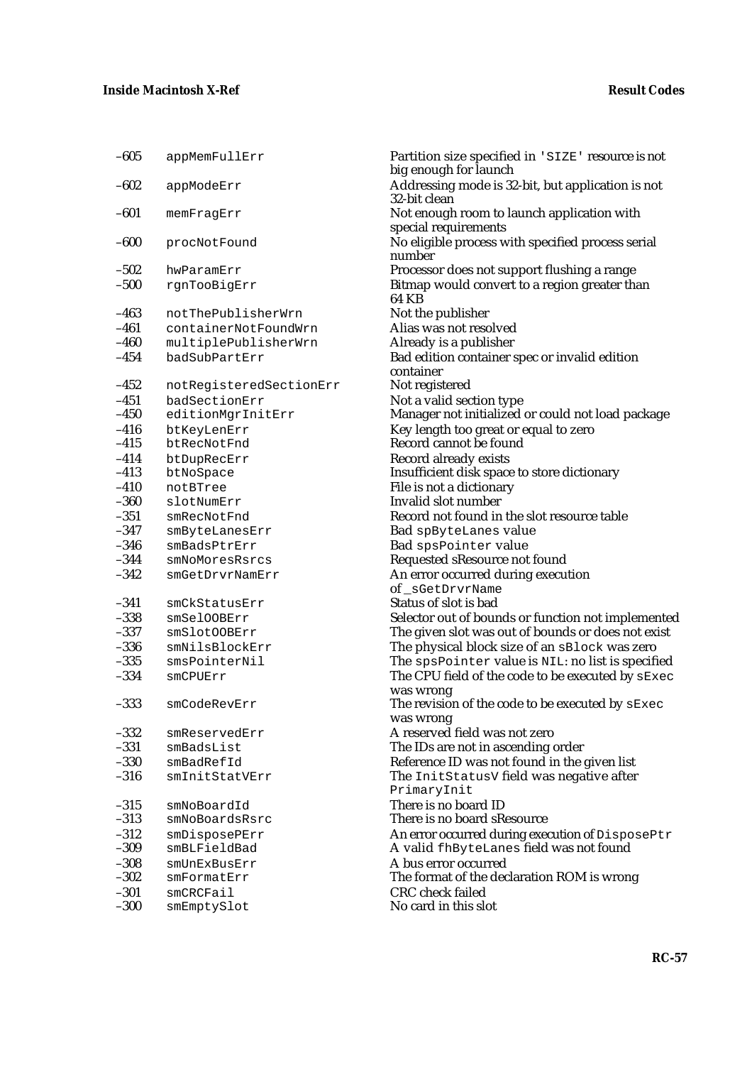| $-005$           | appMemFullErr                  | Partition size speci                       |
|------------------|--------------------------------|--------------------------------------------|
|                  |                                | big enough for laur                        |
| $-602$           | appModeErr                     | Addressing mode i                          |
|                  |                                | 32-bit clean                               |
| $-601$           | memFragErr                     | Not enough room t<br>special requiremen    |
| $-600$           |                                | No eligible process                        |
|                  | procNotFound                   | number                                     |
| $-502$           | hwParamErr                     | Processor does not                         |
| $-500$           | rgnTooBigErr                   | <b>Bitmap would conv</b>                   |
|                  |                                | 64 KB                                      |
| $-463$           | notThePublisherWrn             | Not the publisher                          |
| $-461$           | containerNotFoundWrn           | Alias was not resol                        |
| $-460$           | multiplePublisherWrn           | Already is a publis!                       |
| $-454$           | badSubPartErr                  | <b>Bad edition contain</b>                 |
|                  |                                | container                                  |
| $-452$           | notRegisteredSectionErr        | Not registered                             |
| $-451$           | badSectionErr                  | Not a valid section                        |
| $-450$           | editionMgrInitErr              | Manager not initial                        |
| $-416$           | btKeyLenErr                    | Key length too grea                        |
| $-415$           | btRecNotFnd                    | Record cannot be fo                        |
| $-414$           | btDupRecErr                    | Record already exis                        |
| $-413$           | btNoSpace                      | Insufficient disk sp                       |
| $-410$           | notBTree                       | File is not a diction                      |
| $-360$           | slotNumErr                     | Invalid slot number                        |
| $-351$<br>$-347$ | smRecNotFnd                    | Record not found in                        |
| $-346$           | smByteLanesErr                 | <b>Bad</b> spByteLanes                     |
| $-344$           | smBadsPtrErr<br>smNoMoresRsrcs | Bad spsPointer<br><b>Requested sResour</b> |
| $-342$           | smGetDrvrNamErr                | An error occurred o                        |
|                  |                                | of _sGetDrvrName                           |
| $-341$           | smCkStatusErr                  | Status of slot is bad                      |
| $-338$           | smSelOOBErr                    | Selector out of bour                       |
| $-337$           | smSlotOOBErr                   | The given slot was                         |
| $-336$           | smNilsBlockErr                 | The physical block                         |
| $-335$           | smsPointerNil                  | The spsPointer                             |
| $-334$           | smCPUErr                       | The CPU field of th                        |
|                  |                                | was wrong                                  |
| $-333$           | smCodeRevErr                   | The revision of the                        |
|                  |                                | was wrong                                  |
| $-332$           | smReservedErr                  | A reserved field wa                        |
| $-331$           | smBadsList                     | The IDs are not in a                       |
| $-330$           | smBadRefId                     | Reference ID was n                         |
| $-316$           | smInitStatVErr                 | The InitStatusV                            |
|                  |                                | PrimaryInit                                |
| $-315$           | smNoBoardId                    | There is no board I                        |
| $-313$           | smNoBoardsRsrc                 | There is no board s                        |
| $-312$           | smDisposePErr                  | An error occurred d                        |
| $-309$           | smBLFieldBad                   | A valid fhByteLa                           |
| $-308$<br>$-302$ | smUnExBusErr<br>smFormatErr    | A bus error occurre<br>The format of the d |
| $-301$           | smCRCFail                      | <b>CRC</b> check failed                    |
| $-300$           | smEmptySlot                    | No card in this slot                       |
|                  |                                |                                            |

–605 appMemFullErr Partition size specified in 'SIZE' resource is not big enough for launch Addressing mode is 32-bit, but application is not 32-bit clean Not enough room to launch application with special requirements No eligible process with specified process serial number Processor does not support flushing a range Bitmap would convert to a region greater than 64 KB Not the publisher Alias was not resolved Already is a publisher Bad edition container spec or invalid edition container Err Not registered Not a valid section type Manager not initialized or could not load package Key length too great or equal to zero Record cannot be found Record already exists Insufficient disk space to store dictionary File is not a dictionary Invalid slot number Record not found in the slot resource table Bad spByteLanes value Bad spsPointer value Requested sResource not found An error occurred during execution of \_sGetDrvrName Status of slot is bad Selector out of bounds or function not implemented The given slot was out of bounds or does not exist The physical block size of an sBlock was zero The spsPointer value is NIL: no list is specified The CPU field of the code to be executed by sExec was wrong The revision of the code to be executed by  $sExc$ was wrong A reserved field was not zero The IDs are not in ascending order Reference ID was not found in the given list The InitStatusV field was negative after PrimaryInit There is no board ID There is no board sResource An error occurred during execution of  $DisposePtr$ A valid fhByteLanes field was not found A bus error occurred The format of the declaration ROM is wrong CRC check failed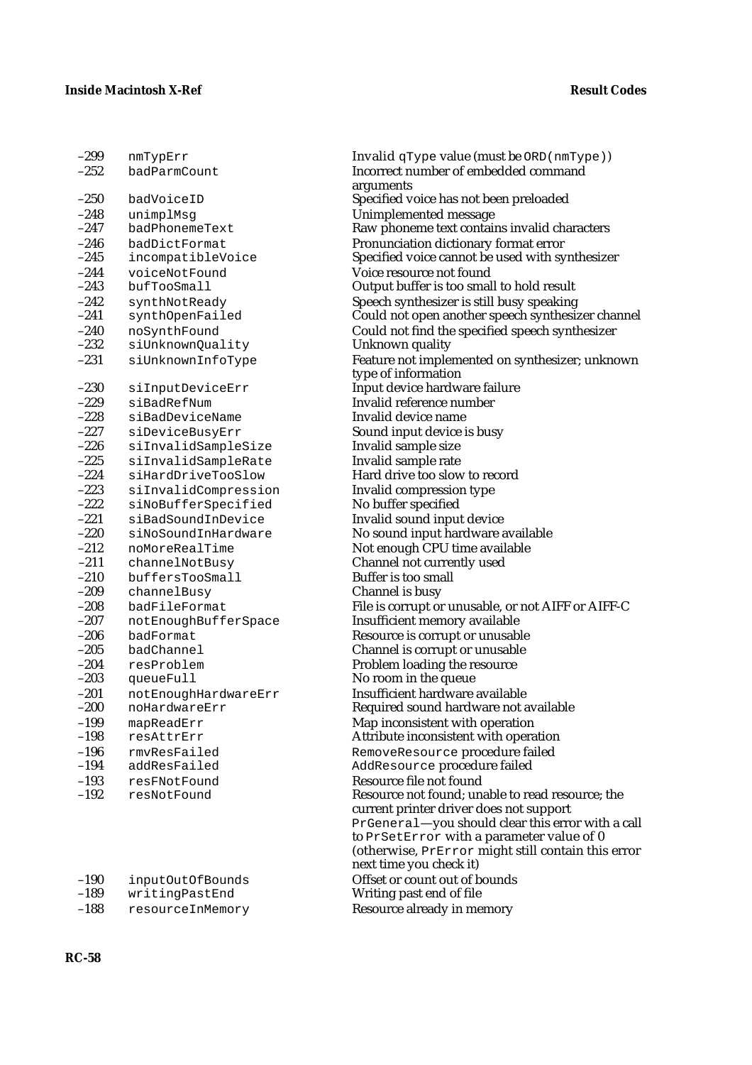| ишт ХЪғт т                            |
|---------------------------------------|
| badParmCount                          |
| badVoiceID                            |
|                                       |
| unimplMsg                             |
| badPhonemeText                        |
| badDictFormat                         |
| incompatibleVoice                     |
| voiceNotFound                         |
| bufTooSmall                           |
| synthNotReady                         |
| synthOpenFailed                       |
| noSynthFound                          |
| siUnknownQuality                      |
| siUnknownInfoType                     |
| siInputDeviceErr                      |
| siBadRefNum                           |
| siBadDeviceName                       |
| siDeviceBusyErr                       |
| siInvalidSampleSize                   |
| siInvalidSampleRate                   |
| siHardDriveTooSlow                    |
| siInvalidCompression                  |
| siNoBufferSpecified                   |
| siBadSoundInDevice                    |
| siNoSoundInHardware                   |
| noMoreRealTime                        |
| channelNotBusy                        |
| buffersTooSmall                       |
| channelBusy                           |
| badFileFormat                         |
| notEnoughBufferSpace                  |
| badFormat                             |
| badChannel                            |
| resProblem                            |
| queueFull                             |
|                                       |
| notEnoughHardwareErr<br>noHardwareErr |
|                                       |
| mapReadErr                            |
| resAttrErr                            |
| rmvResFailed                          |
| addResFailed                          |
| resFNotFound                          |
| resNotFound                           |
|                                       |

| $-190$ | inputOutOfBounds |
|--------|------------------|
| $-189$ | writingPastEnd   |
| $-188$ | resourceInMemory |

299 nmTypErr Invalid qType value (must be ORD(nmType)) Incorrect number of embedded command arguments Specified voice has not been preloaded Unimplemented message Raw phoneme text contains invalid characters Pronunciation dictionary format error Specified voice cannot be used with synthesizer Voice resource not found Output buffer is too small to hold result Speech synthesizer is still busy speaking Could not open another speech synthesizer channel Could not find the specified speech synthesizer Unknown quality Feature not implemented on synthesizer; unknown type of information Input device hardware failure Invalid reference number Invalid device name Sound input device is busy Invalid sample size Invalid sample rate Hard drive too slow to record Invalid compression type No buffer specified Invalid sound input device No sound input hardware available Not enough CPU time available Channel not currently used Buffer is too small Channel is busy File is corrupt or unusable, or not AIFF or AIFF-C Insufficient memory available Resource is corrupt or unusable Channel is corrupt or unusable Problem loading the resource No room in the queue Insufficient hardware available Required sound hardware not available Map inconsistent with operation Attribute inconsistent with operation RemoveResource procedure failed AddResource procedure failed Resource file not found Resource not found; unable to read resource; the current printer driver does not support PrGeneral—you should clear this error with a call to PrSetError with a parameter value of 0 (otherwise, PrError might still contain this error next time you check it) Offset or count out of bounds Writing past end of file Resource already in memory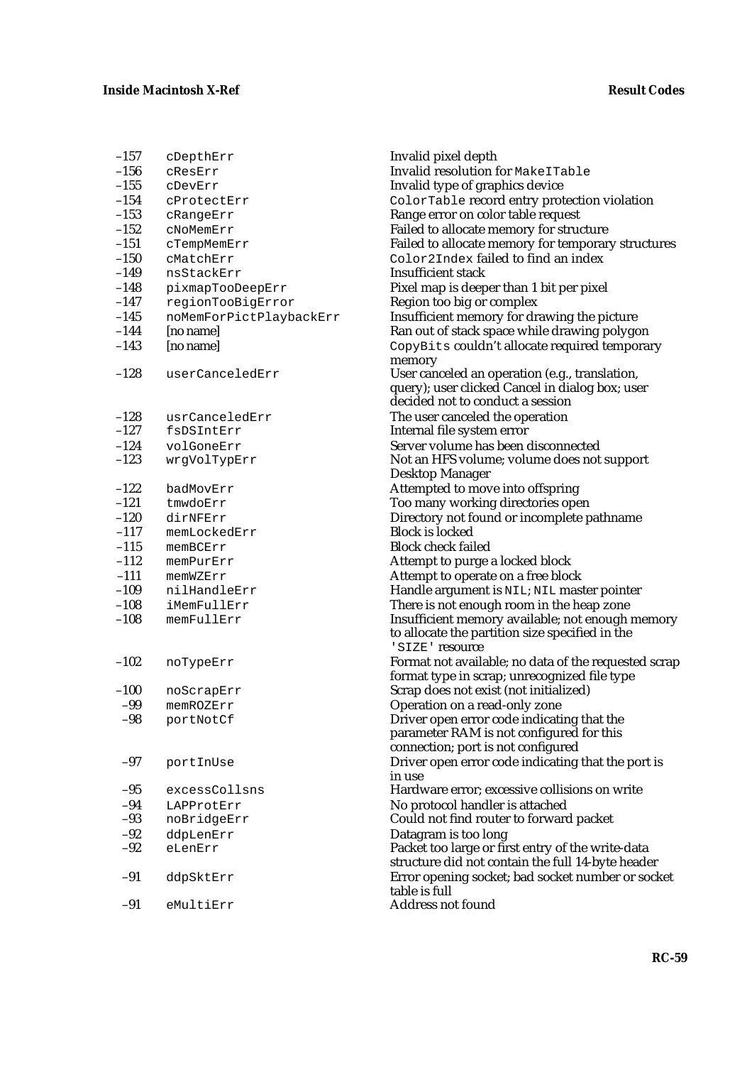| $-157$ | cDepthErr               |
|--------|-------------------------|
| $-156$ | CResErr                 |
| $-155$ | cDevErr                 |
| $-154$ | cProtectErr             |
| $-153$ | cRangeErr               |
| $-152$ | cNoMemErr               |
| $-151$ | cTempMemErr             |
| $-150$ | cMatchErr               |
| -149   | nsStackErr              |
| $-148$ | pixmapTooDeepErr        |
| $-147$ | regionTooBigError       |
| $-145$ | noMemForPictPlaybackErr |
| $-144$ | [no name]               |
| $-143$ | [no name]               |
|        |                         |
| $-128$ | userCanceledErr         |
|        |                         |
| $-128$ | usrCanceledErr          |
| $-127$ | fsDSIntErr              |
| $-124$ | volGoneErr              |
| $-123$ | wrgVolTypErr            |
|        |                         |
| $-122$ | badMovErr               |
| $-121$ | tmwdoErr                |
| $-120$ | dirNFErr                |
| $-117$ | memLockedErr            |
| $-115$ | memBCErr                |
| $-112$ | memPurErr               |
| $-111$ | memWZErr                |
| -109   | nilHandleErr            |
| $-108$ | iMemFullErr             |
| $-108$ | memFullErr              |
|        |                         |
| $-102$ | noTypeErr               |
|        |                         |
| $-100$ | noScrapErr              |
| $-99$  | memROZErr               |
| -98    | portNotCf               |
|        |                         |
| -97    | portInUse               |
| -95    | excessCollsns           |
| $-94$  | LAPProtErr              |
| $-93$  | noBridgeErr             |
| $-92$  | ddpLenErr               |
| $-92$  | eLenErr                 |
| $-91$  | ddpSktErr               |
| $-91$  | eMultiErr               |

Invalid pixel depth Invalid resolution for MakeITable Invalid type of graphics device ColorTable record entry protection violation Range error on color table request Failed to allocate memory for structure Failed to allocate memory for temporary structures  $\text{Color2Index}$  failed to find an index Insufficient stack Pixel map is deeper than 1 bit per pixel Region too big or complex Insufficient memory for drawing the picture Ran out of stack space while drawing polygon CopyBits couldn't allocate required temporary memory User canceled an operation (e.g., translation, query); user clicked Cancel in dialog box; user decided not to conduct a session The user canceled the operation Internal file system error Server volume has been disconnected Not an HFS volume; volume does not support Desktop Manager Attempted to move into offspring Too many working directories open Directory not found or incomplete pathname Block is locked Block check failed Attempt to purge a locked block Attempt to operate on a free block Handle argument is NIL; NIL master pointer There is not enough room in the heap zone Insufficient memory available; not enough memory to allocate the partition size specified in the 'SIZE' resource Format not available; no data of the requested scrap format type in scrap; unrecognized file type Scrap does not exist (not initialized) Operation on a read-only zone Driver open error code indicating that the parameter RAM is not configured for this connection; port is not configured Driver open error code indicating that the port is in use Hardware error; excessive collisions on write No protocol handler is attached Could not find router to forward packet Datagram is too long Packet too large or first entry of the write-data structure did not contain the full 14-byte header Error opening socket; bad socket number or socket table is full Address not found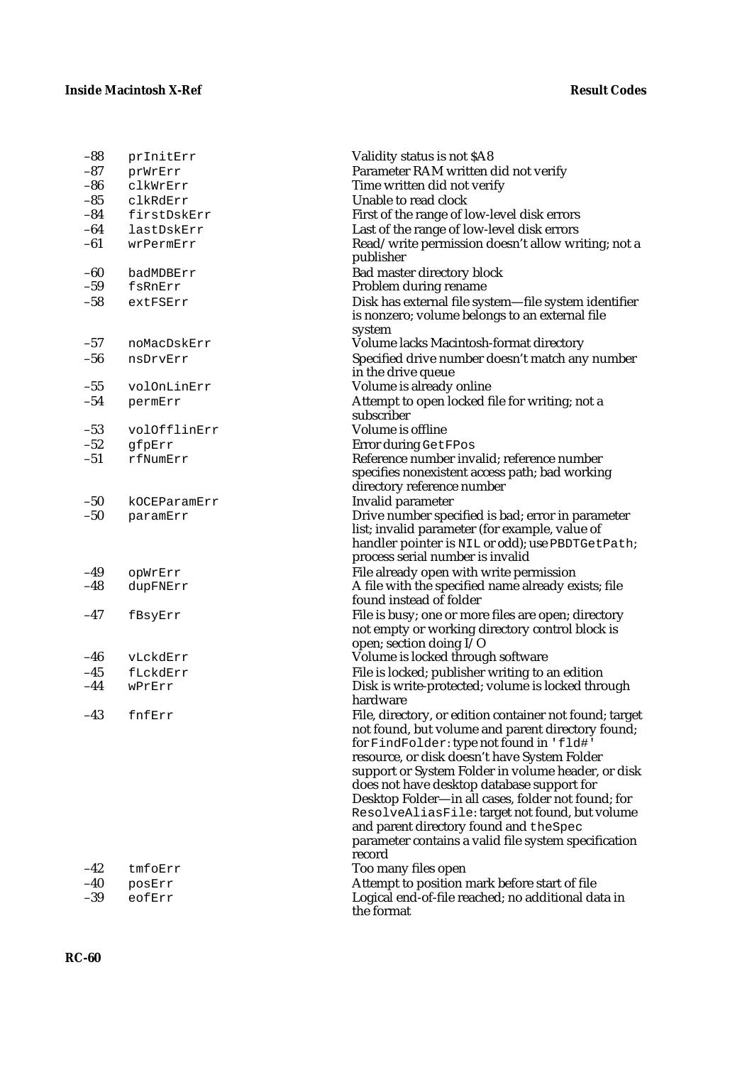| $-88$          | prInitErr        | Validity status is not \$A8                                                                                                                                                                                                                                                                                                                                                                                                                                                                                                      |
|----------------|------------------|----------------------------------------------------------------------------------------------------------------------------------------------------------------------------------------------------------------------------------------------------------------------------------------------------------------------------------------------------------------------------------------------------------------------------------------------------------------------------------------------------------------------------------|
| $-87$          | prWrErr          | Parameter RAM written did not verify                                                                                                                                                                                                                                                                                                                                                                                                                                                                                             |
| -86            | clkWrErr         | Time written did not verify                                                                                                                                                                                                                                                                                                                                                                                                                                                                                                      |
| $-85$          | clkRdErr         | Unable to read clock                                                                                                                                                                                                                                                                                                                                                                                                                                                                                                             |
| $-84$          | firstDskErr      | First of the range of low-level disk errors                                                                                                                                                                                                                                                                                                                                                                                                                                                                                      |
| $-64$          | lastDskErr       | Last of the range of low-level disk errors                                                                                                                                                                                                                                                                                                                                                                                                                                                                                       |
| $-61$          | wrPermErr        | Read/write permission doesn't allow writing; not a<br>publisher                                                                                                                                                                                                                                                                                                                                                                                                                                                                  |
| $-60$          | badMDBErr        | <b>Bad master directory block</b>                                                                                                                                                                                                                                                                                                                                                                                                                                                                                                |
| $-59$          | fsRnErr          | Problem during rename                                                                                                                                                                                                                                                                                                                                                                                                                                                                                                            |
| $-58$          | extFSErr         | Disk has external file system-file system identifier<br>is nonzero; volume belongs to an external file<br>system                                                                                                                                                                                                                                                                                                                                                                                                                 |
| $-57$          | noMacDskErr      | Volume lacks Macintosh-format directory                                                                                                                                                                                                                                                                                                                                                                                                                                                                                          |
| $-56$          | nsDrvErr         | Specified drive number doesn't match any number                                                                                                                                                                                                                                                                                                                                                                                                                                                                                  |
|                |                  | in the drive queue                                                                                                                                                                                                                                                                                                                                                                                                                                                                                                               |
| $-55$          | volOnLinErr      | Volume is already online                                                                                                                                                                                                                                                                                                                                                                                                                                                                                                         |
| $-54$          | permErr          | Attempt to open locked file for writing; not a                                                                                                                                                                                                                                                                                                                                                                                                                                                                                   |
|                |                  | subscriber                                                                                                                                                                                                                                                                                                                                                                                                                                                                                                                       |
| $-53$          | volOfflinErr     | Volume is offline                                                                                                                                                                                                                                                                                                                                                                                                                                                                                                                |
| $-52$          | gfpErr           | Error during GetFPos                                                                                                                                                                                                                                                                                                                                                                                                                                                                                                             |
| $-51$          | rfNumErr         | Reference number invalid; reference number                                                                                                                                                                                                                                                                                                                                                                                                                                                                                       |
|                |                  | specifies nonexistent access path; bad working<br>directory reference number                                                                                                                                                                                                                                                                                                                                                                                                                                                     |
| $-50$          | kOCEParamErr     | Invalid parameter                                                                                                                                                                                                                                                                                                                                                                                                                                                                                                                |
| $-50$          | paramErr         | Drive number specified is bad; error in parameter<br>list; invalid parameter (for example, value of<br>handler pointer is NIL or odd); use PBDTGetPath;<br>process serial number is invalid                                                                                                                                                                                                                                                                                                                                      |
| $-49$          | opWrErr          | File already open with write permission                                                                                                                                                                                                                                                                                                                                                                                                                                                                                          |
| $-48$          | dupFNErr         | A file with the specified name already exists; file<br>found instead of folder                                                                                                                                                                                                                                                                                                                                                                                                                                                   |
| $-47$          | fBsyErr          | File is busy; one or more files are open; directory<br>not empty or working directory control block is<br>open; section doing I/O                                                                                                                                                                                                                                                                                                                                                                                                |
| $-46$          | vLckdErr         | Volume is locked through software                                                                                                                                                                                                                                                                                                                                                                                                                                                                                                |
| $-45$          | fLckdErr         | File is locked; publisher writing to an edition                                                                                                                                                                                                                                                                                                                                                                                                                                                                                  |
| $-44$          | wPrErr           | Disk is write-protected; volume is locked through<br>hardware                                                                                                                                                                                                                                                                                                                                                                                                                                                                    |
| $-43$          | fnfErr           | File, directory, or edition container not found; target<br>not found, but volume and parent directory found;<br>for FindFolder: type not found in 'fld#'<br>resource, or disk doesn't have System Folder<br>support or System Folder in volume header, or disk<br>does not have desktop database support for<br>Desktop Folder—in all cases, folder not found; for<br>ResolveAliasFile: target not found, but volume<br>and parent directory found and theSpec<br>parameter contains a valid file system specification<br>record |
| $-42$          | tmfoErr          | Too many files open                                                                                                                                                                                                                                                                                                                                                                                                                                                                                                              |
| $-40$<br>$-39$ | posErr<br>eofErr | Attempt to position mark before start of file<br>Logical end-of-file reached; no additional data in<br>the format                                                                                                                                                                                                                                                                                                                                                                                                                |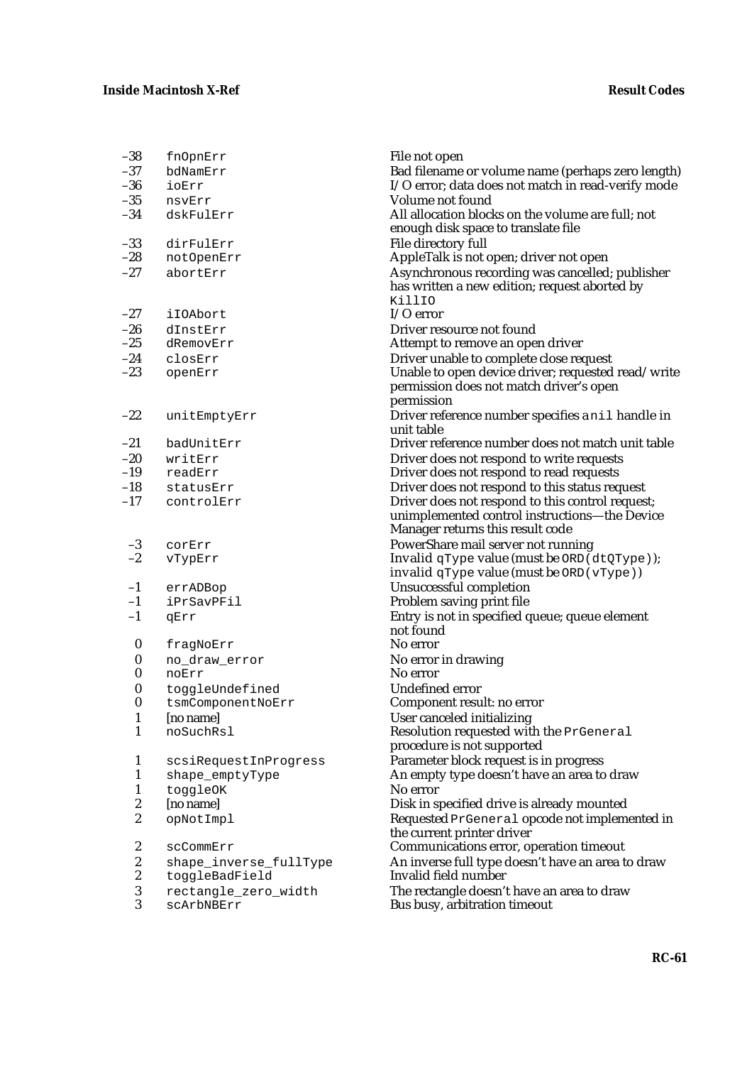| $-38$                                | fnOpnErr                       | File not open                                                                            |
|--------------------------------------|--------------------------------|------------------------------------------------------------------------------------------|
| $-37$                                | bdNamErr                       | Bad filename or volume name (perhaps zero length)                                        |
| $-36$                                | ioErr                          | I/O error; data does not match in read-verify mode                                       |
| $-35$                                | nsvErr                         | Volume not found                                                                         |
| $-34$                                | dskFulErr                      | All allocation blocks on the volume are full; not<br>enough disk space to translate file |
| $-33$                                | dirFulErr                      | File directory full                                                                      |
| $-28$                                | notOpenErr                     | AppleTalk is not open; driver not open                                                   |
| $-27$                                | abortErr                       | Asynchronous recording was cancelled; publisher                                          |
|                                      |                                | has written a new edition; request aborted by                                            |
|                                      |                                | KillIO                                                                                   |
| $-27$                                | iIOAbort                       | $I/O$ error                                                                              |
| $-26$                                | dInstErr                       | Driver resource not found                                                                |
| $-25$                                | dRemovErr                      | Attempt to remove an open driver                                                         |
| $-24$                                | closErr                        | Driver unable to complete close request                                                  |
| $-23$                                | openErr                        | Unable to open device driver; requested read/write                                       |
|                                      |                                | permission does not match driver's open                                                  |
|                                      |                                | permission                                                                               |
| $-22$                                | unitEmptyErr                   | Driver reference number specifies a nil handle in<br>unit table                          |
| $-21$                                | badUnitErr                     | Driver reference number does not match unit table                                        |
| $-20$                                | writErr                        | Driver does not respond to write requests                                                |
| $-19$                                | readErr                        | Driver does not respond to read requests                                                 |
| $-18$                                | statusErr                      | Driver does not respond to this status request                                           |
| $-17$                                | controlErr                     | Driver does not respond to this control request;                                         |
|                                      |                                | unimplemented control instructions-the Device                                            |
|                                      |                                | Manager returns this result code                                                         |
| $-3$                                 | corErr                         | PowerShare mail server not running                                                       |
| $-2$                                 | vTypErr                        | Invalid qType value (must be ORD (dtQType));                                             |
|                                      |                                | invalid $q$ Type value (must be ORD ( $v$ Type))                                         |
| $-1$                                 | errADBop                       | Unsuccessful completion                                                                  |
| $-1$                                 | iPrSavPFil                     | Problem saving print file                                                                |
| $-1$                                 | qErr                           | Entry is not in specified queue; queue element                                           |
|                                      |                                | not found                                                                                |
| $\boldsymbol{0}$                     | fragNoErr                      | No error                                                                                 |
| $\boldsymbol{0}$                     | no_draw_error                  | No error in drawing                                                                      |
| $\bf{0}$                             | noErr                          | No error                                                                                 |
| $\boldsymbol{0}$<br>$\boldsymbol{0}$ | toggleUndefined                | <b>Undefined error</b>                                                                   |
| 1                                    | tsmComponentNoErr<br>[no name] | Component result: no error<br>User canceled initializing                                 |
| 1                                    | noSuchRsl                      | Resolution requested with the PrGeneral                                                  |
|                                      |                                | procedure is not supported                                                               |
| 1                                    | scsiRequestInProgress          | Parameter block request is in progress                                                   |
| 1                                    | shape_emptyType                | An empty type doesn't have an area to draw                                               |
| 1                                    | toggleOK                       | No error                                                                                 |
| 2                                    | [no name]                      | Disk in specified drive is already mounted                                               |
| $\boldsymbol{2}$                     | opNotImpl                      | Requested PrGeneral opcode not implemented in                                            |
|                                      |                                | the current printer driver                                                               |
| 2                                    | scCommErr                      | Communications error, operation timeout                                                  |
| $\boldsymbol{2}$                     | shape_inverse_fullType         | An inverse full type doesn't have an area to draw                                        |
| $\boldsymbol{2}$                     | toggleBadField                 | Invalid field number                                                                     |
| $\boldsymbol{3}$                     | rectangle_zero_width           | The rectangle doesn't have an area to draw                                               |
| 3                                    | scArbNBErr                     | Bus busy, arbitration timeout                                                            |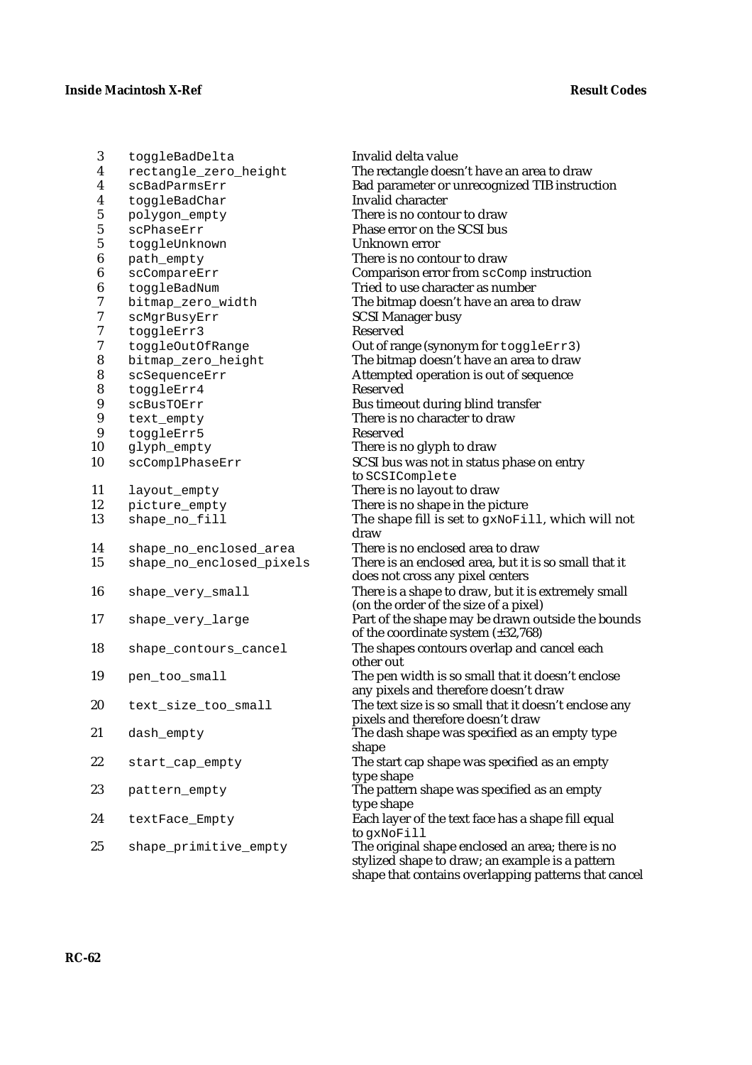3 toggleBadDelta Invalid delta value 4 rectangle\_zero\_height The rectangle doesn't have an area to draw 4 scBadParmsErr Bad parameter or unrecognized TIB instruction<br>4 toggleBadChar **Bad parameter** Invalid character 4 toggleBadChar **Invalid character**<br>5 polygon empty **Invalid character** polygon\_empty There is no contour to draw 5 scPhaseErr Phase error on the SCSI bus<br>5 toggleUnknown Unknown error 5 toggleUnknown<br>6 path empty 6 path\_empty There is no contour to draw<br>6 scCompareErr Comparison error from scCc Comparison error from scComp instruction 6 toggleBadNum Tried to use character as number<br>
7 bitmap zero width The bitmap doesn't have an area bitmap\_zero\_width The bitmap doesn't have an area to draw 7 scMgrBusyErr SCSI Manager busy<br>7 togaleErr3 Reserved 7 toggleErr3<br>7 toggleOutO 7 toggleOutOfRange **Out of range (synonym for** toggleErr3)<br>8 bitmap zero height **The bitmap doesn't have an area to draw** bitmap\_zero\_height The bitmap doesn't have an area to draw 8 scSequenceErr Attempted operation is out of sequence 8 toggleErr4 Reserved 9 scBusTOErr Bus timeout during blind transfer<br>9 text empty There is no character to draw text empty There is no character to draw 9 toggleErr5 Reserved<br>10 glyph\_empty There is r There is no glyph to draw 10 scComplPhaseErr SCSI bus was not in status phase on entry to SCSIComplete 11 layout\_empty There is no layout to draw<br>12 picture empty There is no shape in the pi 12 picture\_empty<br>
13 shape\_no\_fill<br>
13 shape\_no\_fill<br>
19 The shape fill is set to gxNoFill The shape fill is set to gxNoFill, which will not draw 14 shape\_no\_enclosed\_area There is no enclosed area to draw<br>15 shape no enclosed pixels There is an enclosed area but it is shape\_no\_enclosed\_pixels There is an enclosed area, but it is so small that it does not cross any pixel centers 16 shape\_very\_small There is a shape to draw, but it is extremely small (on the order of the size of a pixel) 17 shape\_very\_large Part of the shape may be drawn outside the bounds of the coordinate system (±32,768) 18 shape\_contours\_cancel The shapes contours overlap and cancel each other out 19 pen\_too\_small The pen width is so small that it doesn't enclose any pixels and therefore doesn't draw 20 text\_size\_too\_small The text size is so small that it doesn't enclose any pixels and therefore doesn't draw 21 dash\_empty The dash shape was specified as an empty type shape 22 start\_cap\_empty The start cap shape was specified as an empty type shape 23 pattern\_empty The pattern shape was specified as an empty type shape 24 textFace Empty Each layer of the text face has a shape fill equal to gxNoFill 25 shape\_primitive\_empty The original shape enclosed an area; there is no stylized shape to draw; an example is a pattern shape that contains overlapping patterns that cancel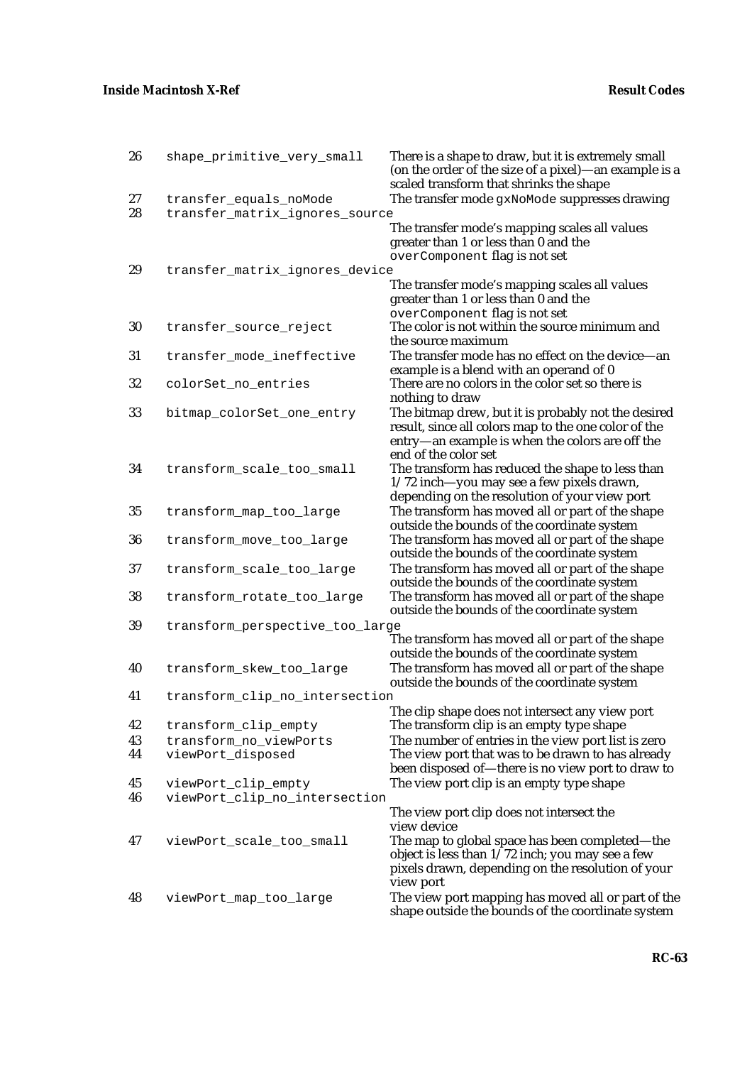| 26       | shape_primitive_very_small                               | There is a shape to draw, but it is extremely small<br>(on the order of the size of a pixel)—an example is a<br>scaled transform that shrinks the shape                |
|----------|----------------------------------------------------------|------------------------------------------------------------------------------------------------------------------------------------------------------------------------|
| 27<br>28 | transfer_equals_noMode<br>transfer_matrix_ignores_source | The transfer mode gxNoMode suppresses drawing                                                                                                                          |
|          |                                                          | The transfer mode's mapping scales all values<br>greater than 1 or less than 0 and the<br>overComponent flag is not set                                                |
| 29       | transfer_matrix_ignores_device                           |                                                                                                                                                                        |
|          |                                                          | The transfer mode's mapping scales all values<br>greater than 1 or less than 0 and the<br>overComponent flag is not set                                                |
| 30       | transfer_source_reject                                   | The color is not within the source minimum and<br>the source maximum                                                                                                   |
| 31       | transfer_mode_ineffective                                | The transfer mode has no effect on the device-an<br>example is a blend with an operand of 0                                                                            |
| 32       | colorSet_no_entries                                      | There are no colors in the color set so there is<br>nothing to draw                                                                                                    |
| 33       | bitmap_colorSet_one_entry                                | The bitmap drew, but it is probably not the desired<br>result, since all colors map to the one color of the<br>entry—an example is when the colors are off the         |
| 34       | transform_scale_too_small                                | end of the color set<br>The transform has reduced the shape to less than<br>1/72 inch-you may see a few pixels drawn,<br>depending on the resolution of your view port |
| 35       | transform_map_too_large                                  | The transform has moved all or part of the shape<br>outside the bounds of the coordinate system                                                                        |
| 36       | transform_move_too_large                                 | The transform has moved all or part of the shape<br>outside the bounds of the coordinate system                                                                        |
| 37       | transform_scale_too_large                                | The transform has moved all or part of the shape<br>outside the bounds of the coordinate system                                                                        |
| 38       | transform_rotate_too_large                               | The transform has moved all or part of the shape<br>outside the bounds of the coordinate system                                                                        |
| 39       | transform_perspective_too_large                          | The transform has moved all or part of the shape                                                                                                                       |
| 40       | transform_skew_too_large                                 | outside the bounds of the coordinate system<br>The transform has moved all or part of the shape<br>outside the bounds of the coordinate system                         |
| 41       | transform_clip_no_intersection                           |                                                                                                                                                                        |
| 42       | transform_clip_empty                                     | The clip shape does not intersect any view port<br>The transform clip is an empty type shape                                                                           |
| 43<br>44 | transform_no_viewPorts<br>viewPort_disposed              | The number of entries in the view port list is zero<br>The view port that was to be drawn to has already                                                               |
|          |                                                          | been disposed of—there is no view port to draw to                                                                                                                      |
| 45<br>46 | viewPort_clip_empty<br>viewPort_clip_no_intersection     | The view port clip is an empty type shape                                                                                                                              |
|          |                                                          | The view port clip does not intersect the                                                                                                                              |
| 47       | viewPort_scale_too_small                                 | view device<br>The map to global space has been completed—the<br>object is less than $1/72$ inch; you may see a few                                                    |
| 48       | viewPort_map_too_large                                   | pixels drawn, depending on the resolution of your<br>view port<br>The view port mapping has moved all or part of the                                                   |
|          |                                                          | shape outside the bounds of the coordinate system                                                                                                                      |